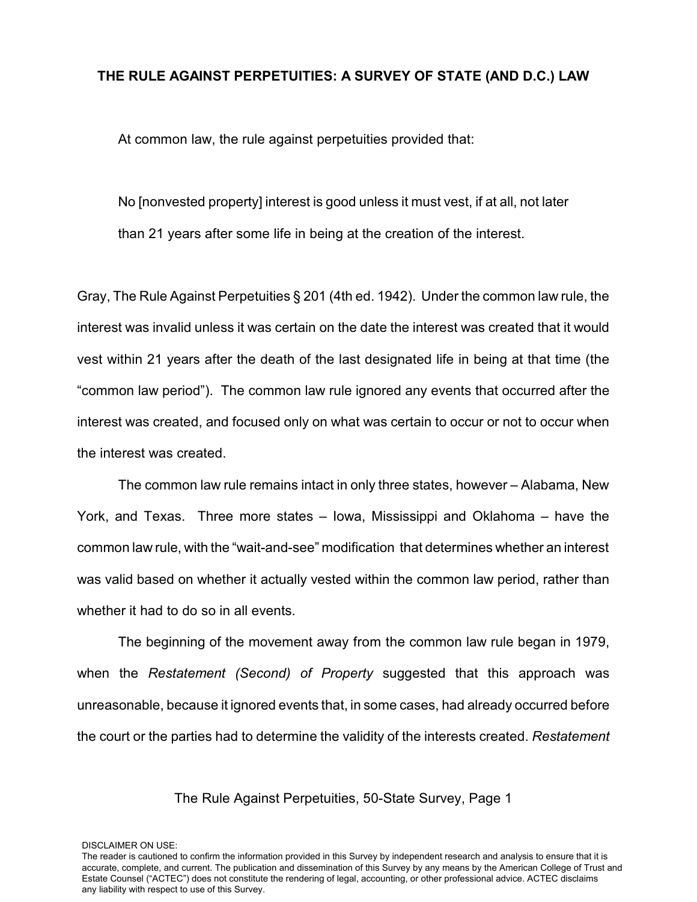## **THE RULE AGAINST PERPETUITIES: A SURVEY OF STATE (AND D.C.) LAW**

At common law, the rule against perpetuities provided that:

No [nonvested property] interest is good unless it must vest, if at all, not later than 21 years after some life in being at the creation of the interest.

Gray, The Rule Against Perpetuities § 201 (4th ed. 1942). Under the common law rule, the interest was invalid unless it was certain on the date the interest was created that it would vest within 21 years after the death of the last designated life in being at that time (the "common law period"). The common law rule ignored any events that occurred after the interest was created, and focused only on what was certain to occur or not to occur when the interest was created.

The common law rule remains intact in only three states, however – Alabama, New York, and Texas. Three more states – Iowa, Mississippi and Oklahoma – have the common law rule, with the "wait-and-see" modification that determines whether an interest was valid based on whether it actually vested within the common law period, rather than whether it had to do so in all events.

The beginning of the movement away from the common law rule began in 1979, when the *Restatement (Second) of Property* suggested that this approach was unreasonable, because it ignored events that, in some cases, had already occurred before the court or the parties had to determine the validity of the interests created. *Restatement*

The Rule Against Perpetuities, 50-State Survey, Page 1

DISCLAIMER ON USE: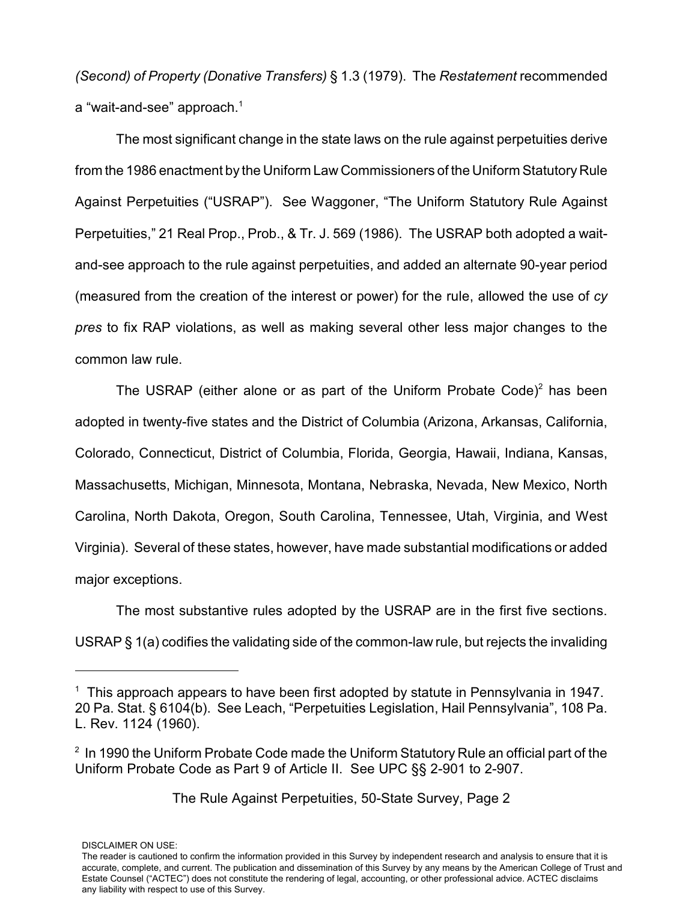*(Second) of Property (Donative Transfers)* § 1.3 (1979). The *Restatement* recommended a "wait-and-see" approach. $1$ 

The most significant change in the state laws on the rule against perpetuities derive from the 1986 enactment by the Uniform Law Commissioners of the Uniform Statutory Rule Against Perpetuities ("USRAP"). See Waggoner, "The Uniform Statutory Rule Against Perpetuities," 21 Real Prop., Prob., & Tr. J. 569 (1986). The USRAP both adopted a waitand-see approach to the rule against perpetuities, and added an alternate 90-year period (measured from the creation of the interest or power) for the rule, allowed the use of *cy pres* to fix RAP violations, as well as making several other less major changes to the common law rule.

The USRAP (either alone or as part of the Uniform Probate Code)<sup>2</sup> has been adopted in twenty-five states and the District of Columbia (Arizona, Arkansas, California, Colorado, Connecticut, District of Columbia, Florida, Georgia, Hawaii, Indiana, Kansas, Massachusetts, Michigan, Minnesota, Montana, Nebraska, Nevada, New Mexico, North Carolina, North Dakota, Oregon, South Carolina, Tennessee, Utah, Virginia, and West Virginia). Several of these states, however, have made substantial modifications or added major exceptions.

The most substantive rules adopted by the USRAP are in the first five sections. USRAP § 1(a) codifies the validating side of the common-law rule, but rejects the invaliding

The Rule Against Perpetuities, 50-State Survey, Page 2

 $^1$  This approach appears to have been first adopted by statute in Pennsylvania in 1947. 20 Pa. Stat. § 6104(b). See Leach, "Perpetuities Legislation, Hail Pennsylvania", 108 Pa. L. Rev. 1124 (1960).

 $2$  In 1990 the Uniform Probate Code made the Uniform Statutory Rule an official part of the Uniform Probate Code as Part 9 of Article II. See UPC §§ 2-901 to 2-907.

The reader is cautioned to confirm the information provided in this Survey by independent research and analysis to ensure that it is accurate, complete, and current. The publication and dissemination of this Survey by any means by the American College of Trust and Estate Counsel ("ACTEC") does not constitute the rendering of legal, accounting, or other professional advice. ACTEC disclaims any liability with respect to use of this Survey.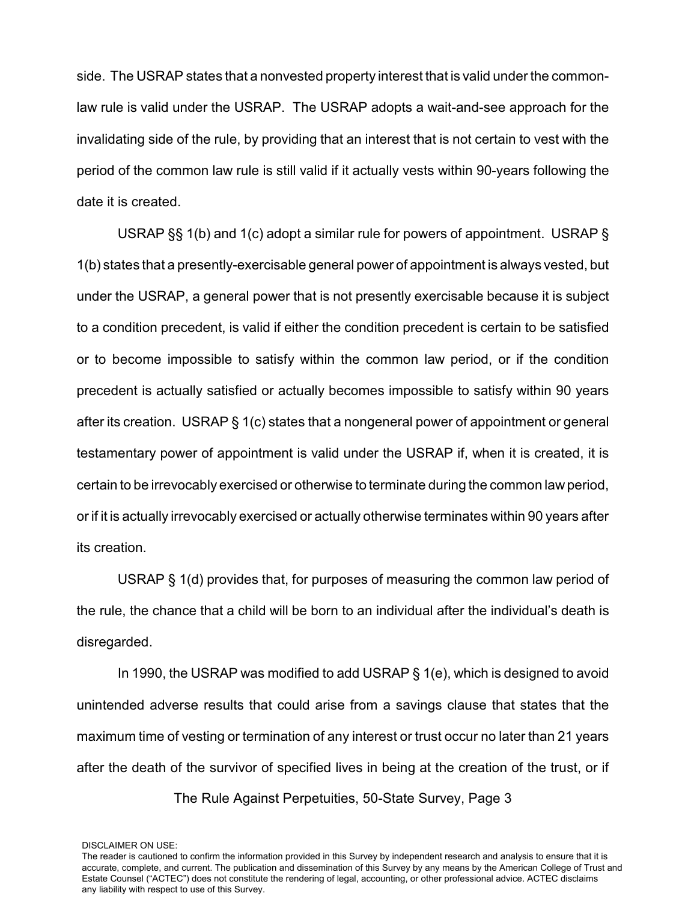side. The USRAP states that a nonvested property interest that is valid under the commonlaw rule is valid under the USRAP. The USRAP adopts a wait-and-see approach for the invalidating side of the rule, by providing that an interest that is not certain to vest with the period of the common law rule is still valid if it actually vests within 90-years following the date it is created.

USRAP §§ 1(b) and 1(c) adopt a similar rule for powers of appointment. USRAP § 1(b) states that a presently-exercisable general power of appointment is always vested, but under the USRAP, a general power that is not presently exercisable because it is subject to a condition precedent, is valid if either the condition precedent is certain to be satisfied or to become impossible to satisfy within the common law period, or if the condition precedent is actually satisfied or actually becomes impossible to satisfy within 90 years after its creation. USRAP § 1(c) states that a nongeneral power of appointment or general testamentary power of appointment is valid under the USRAP if, when it is created, it is certain to be irrevocably exercised or otherwise to terminate during the common law period, or if it is actually irrevocably exercised or actually otherwise terminates within 90 years after its creation.

USRAP § 1(d) provides that, for purposes of measuring the common law period of the rule, the chance that a child will be born to an individual after the individual's death is disregarded.

In 1990, the USRAP was modified to add USRAP § 1(e), which is designed to avoid unintended adverse results that could arise from a savings clause that states that the maximum time of vesting or termination of any interest or trust occur no later than 21 years after the death of the survivor of specified lives in being at the creation of the trust, or if

The Rule Against Perpetuities, 50-State Survey, Page 3

The reader is cautioned to confirm the information provided in this Survey by independent research and analysis to ensure that it is accurate, complete, and current. The publication and dissemination of this Survey by any means by the American College of Trust and Estate Counsel ("ACTEC") does not constitute the rendering of legal, accounting, or other professional advice. ACTEC disclaims any liability with respect to use of this Survey.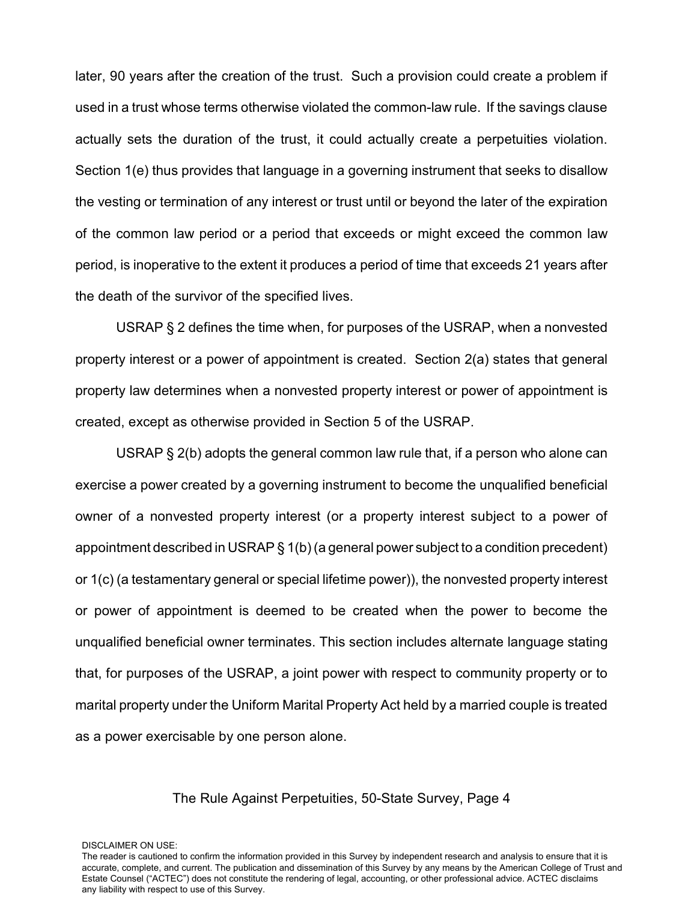later, 90 years after the creation of the trust. Such a provision could create a problem if used in a trust whose terms otherwise violated the common-law rule. If the savings clause actually sets the duration of the trust, it could actually create a perpetuities violation. Section 1(e) thus provides that language in a governing instrument that seeks to disallow the vesting or termination of any interest or trust until or beyond the later of the expiration of the common law period or a period that exceeds or might exceed the common law period, is inoperative to the extent it produces a period of time that exceeds 21 years after the death of the survivor of the specified lives.

USRAP § 2 defines the time when, for purposes of the USRAP, when a nonvested property interest or a power of appointment is created. Section 2(a) states that general property law determines when a nonvested property interest or power of appointment is created, except as otherwise provided in Section 5 of the USRAP.

USRAP § 2(b) adopts the general common law rule that, if a person who alone can exercise a power created by a governing instrument to become the unqualified beneficial owner of a nonvested property interest (or a property interest subject to a power of appointment described in USRAP § 1(b) (a general power subject to a condition precedent) or 1(c) (a testamentary general or special lifetime power)), the nonvested property interest or power of appointment is deemed to be created when the power to become the unqualified beneficial owner terminates. This section includes alternate language stating that, for purposes of the USRAP, a joint power with respect to community property or to marital property under the Uniform Marital Property Act held by a married couple is treated as a power exercisable by one person alone.

The Rule Against Perpetuities, 50-State Survey, Page 4

DISCLAIMER ON USE: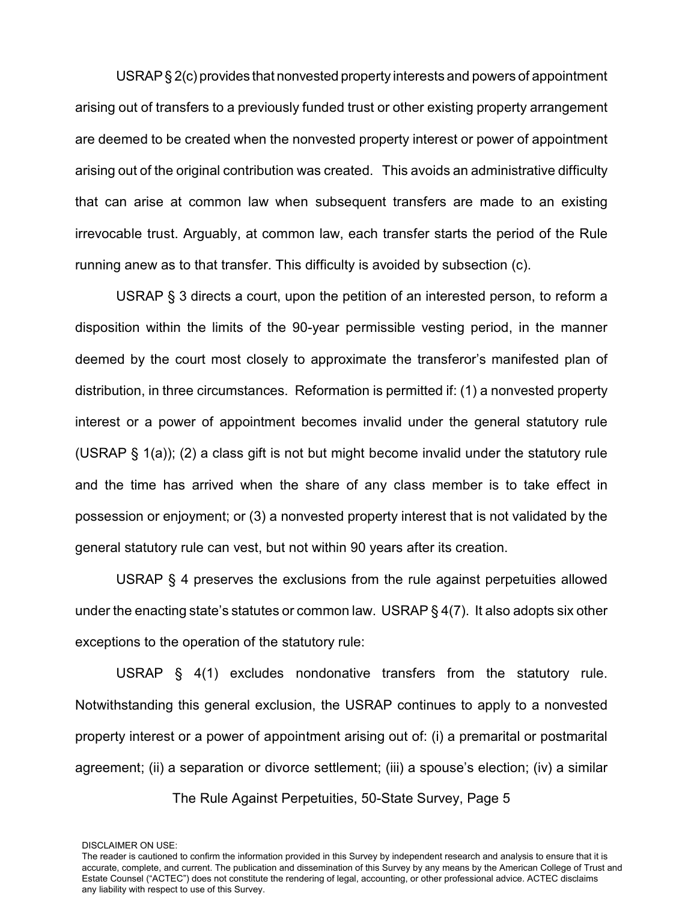USRAP § 2(c) provides that nonvested property interests and powers of appointment arising out of transfers to a previously funded trust or other existing property arrangement are deemed to be created when the nonvested property interest or power of appointment arising out of the original contribution was created. This avoids an administrative difficulty that can arise at common law when subsequent transfers are made to an existing irrevocable trust. Arguably, at common law, each transfer starts the period of the Rule running anew as to that transfer. This difficulty is avoided by subsection (c).

USRAP § 3 directs a court, upon the petition of an interested person, to reform a disposition within the limits of the 90-year permissible vesting period, in the manner deemed by the court most closely to approximate the transferor's manifested plan of distribution, in three circumstances. Reformation is permitted if: (1) a nonvested property interest or a power of appointment becomes invalid under the general statutory rule (USRAP § 1(a)); (2) a class gift is not but might become invalid under the statutory rule and the time has arrived when the share of any class member is to take effect in possession or enjoyment; or (3) a nonvested property interest that is not validated by the general statutory rule can vest, but not within 90 years after its creation.

USRAP § 4 preserves the exclusions from the rule against perpetuities allowed under the enacting state's statutes or common law. USRAP § 4(7). It also adopts six other exceptions to the operation of the statutory rule:

USRAP § 4(1) excludes nondonative transfers from the statutory rule. Notwithstanding this general exclusion, the USRAP continues to apply to a nonvested property interest or a power of appointment arising out of: (i) a premarital or postmarital agreement; (ii) a separation or divorce settlement; (iii) a spouse's election; (iv) a similar

The Rule Against Perpetuities, 50-State Survey, Page 5

The reader is cautioned to confirm the information provided in this Survey by independent research and analysis to ensure that it is accurate, complete, and current. The publication and dissemination of this Survey by any means by the American College of Trust and Estate Counsel ("ACTEC") does not constitute the rendering of legal, accounting, or other professional advice. ACTEC disclaims any liability with respect to use of this Survey.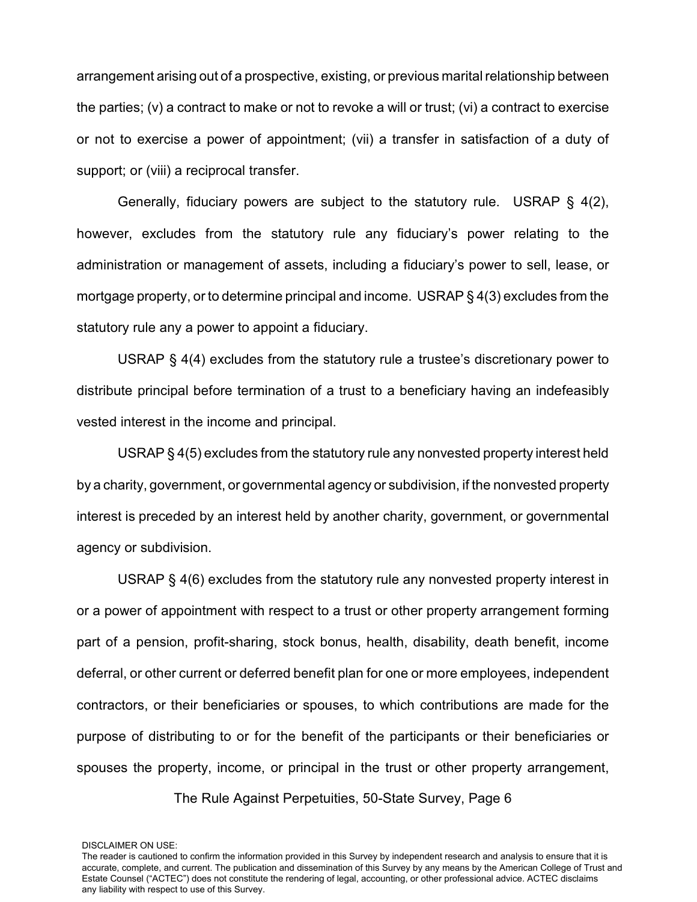arrangement arising out of a prospective, existing, or previous marital relationship between the parties; (v) a contract to make or not to revoke a will or trust; (vi) a contract to exercise or not to exercise a power of appointment; (vii) a transfer in satisfaction of a duty of support; or (viii) a reciprocal transfer.

Generally, fiduciary powers are subject to the statutory rule. USRAP § 4(2), however, excludes from the statutory rule any fiduciary's power relating to the administration or management of assets, including a fiduciary's power to sell, lease, or mortgage property, or to determine principal and income. USRAP § 4(3) excludes from the statutory rule any a power to appoint a fiduciary.

USRAP § 4(4) excludes from the statutory rule a trustee's discretionary power to distribute principal before termination of a trust to a beneficiary having an indefeasibly vested interest in the income and principal.

USRAP § 4(5) excludes from the statutory rule any nonvested property interest held by a charity, government, or governmental agency or subdivision, if the nonvested property interest is preceded by an interest held by another charity, government, or governmental agency or subdivision.

USRAP § 4(6) excludes from the statutory rule any nonvested property interest in or a power of appointment with respect to a trust or other property arrangement forming part of a pension, profit-sharing, stock bonus, health, disability, death benefit, income deferral, or other current or deferred benefit plan for one or more employees, independent contractors, or their beneficiaries or spouses, to which contributions are made for the purpose of distributing to or for the benefit of the participants or their beneficiaries or spouses the property, income, or principal in the trust or other property arrangement,

The Rule Against Perpetuities, 50-State Survey, Page 6

The reader is cautioned to confirm the information provided in this Survey by independent research and analysis to ensure that it is accurate, complete, and current. The publication and dissemination of this Survey by any means by the American College of Trust and Estate Counsel ("ACTEC") does not constitute the rendering of legal, accounting, or other professional advice. ACTEC disclaims any liability with respect to use of this Survey.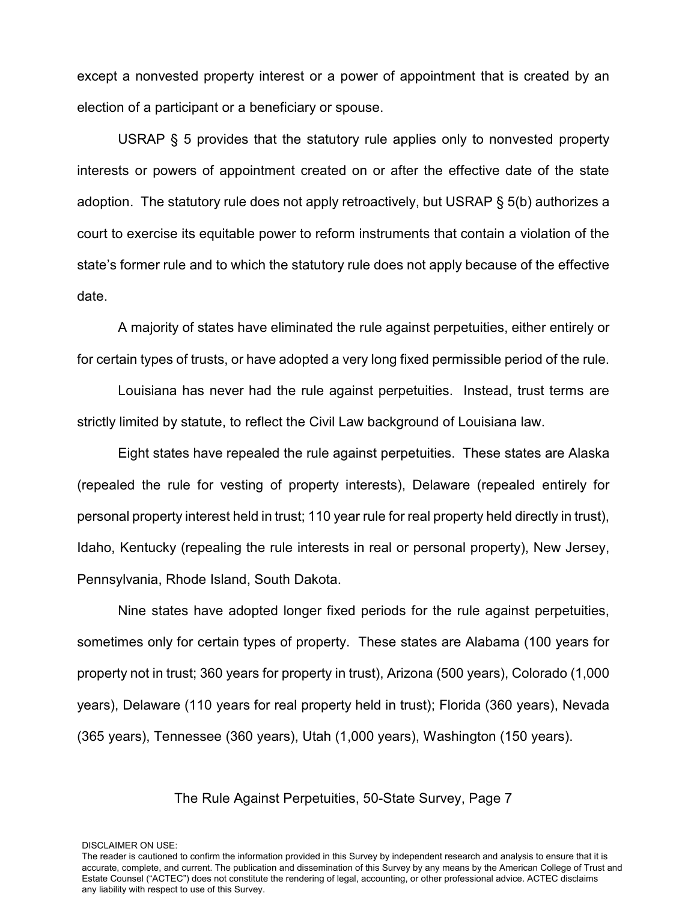except a nonvested property interest or a power of appointment that is created by an election of a participant or a beneficiary or spouse.

USRAP § 5 provides that the statutory rule applies only to nonvested property interests or powers of appointment created on or after the effective date of the state adoption. The statutory rule does not apply retroactively, but USRAP § 5(b) authorizes a court to exercise its equitable power to reform instruments that contain a violation of the state's former rule and to which the statutory rule does not apply because of the effective date.

A majority of states have eliminated the rule against perpetuities, either entirely or for certain types of trusts, or have adopted a very long fixed permissible period of the rule.

Louisiana has never had the rule against perpetuities. Instead, trust terms are strictly limited by statute, to reflect the Civil Law background of Louisiana law.

Eight states have repealed the rule against perpetuities. These states are Alaska (repealed the rule for vesting of property interests), Delaware (repealed entirely for personal property interest held in trust; 110 year rule for real property held directly in trust), Idaho, Kentucky (repealing the rule interests in real or personal property), New Jersey, Pennsylvania, Rhode Island, South Dakota.

Nine states have adopted longer fixed periods for the rule against perpetuities, sometimes only for certain types of property. These states are Alabama (100 years for property not in trust; 360 years for property in trust), Arizona (500 years), Colorado (1,000 years), Delaware (110 years for real property held in trust); Florida (360 years), Nevada (365 years), Tennessee (360 years), Utah (1,000 years), Washington (150 years).

The Rule Against Perpetuities, 50-State Survey, Page 7

DISCLAIMER ON USE: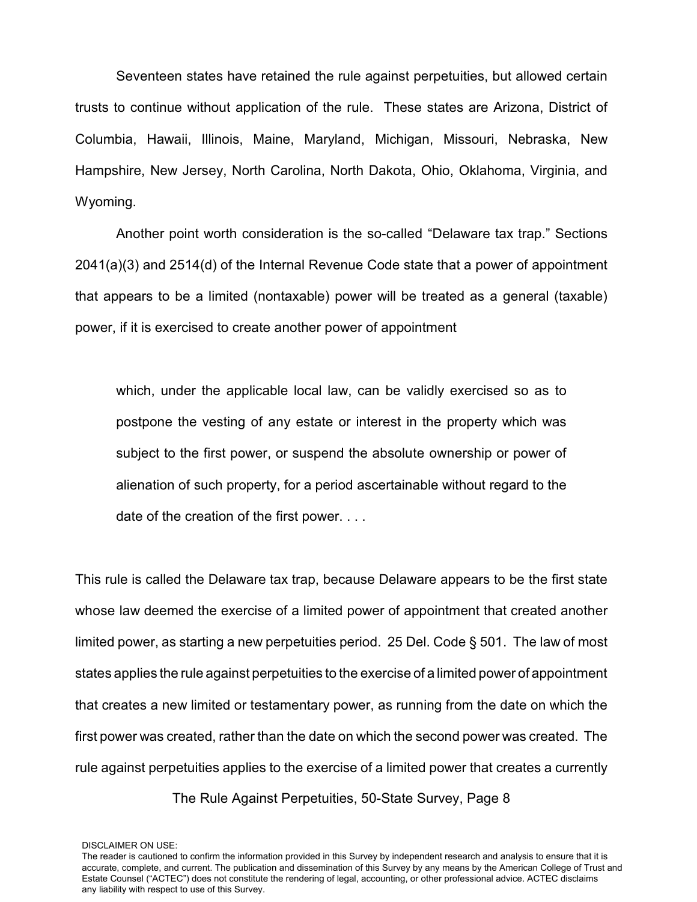Seventeen states have retained the rule against perpetuities, but allowed certain trusts to continue without application of the rule. These states are Arizona, District of Columbia, Hawaii, Illinois, Maine, Maryland, Michigan, Missouri, Nebraska, New Hampshire, New Jersey, North Carolina, North Dakota, Ohio, Oklahoma, Virginia, and Wyoming.

Another point worth consideration is the so-called "Delaware tax trap." Sections 2041(a)(3) and 2514(d) of the Internal Revenue Code state that a power of appointment that appears to be a limited (nontaxable) power will be treated as a general (taxable) power, if it is exercised to create another power of appointment

which, under the applicable local law, can be validly exercised so as to postpone the vesting of any estate or interest in the property which was subject to the first power, or suspend the absolute ownership or power of alienation of such property, for a period ascertainable without regard to the date of the creation of the first power. . . .

This rule is called the Delaware tax trap, because Delaware appears to be the first state whose law deemed the exercise of a limited power of appointment that created another limited power, as starting a new perpetuities period. 25 Del. Code § 501. The law of most states applies the rule against perpetuities to the exercise of a limited power of appointment that creates a new limited or testamentary power, as running from the date on which the first power was created, rather than the date on which the second power was created. The rule against perpetuities applies to the exercise of a limited power that creates a currently

The Rule Against Perpetuities, 50-State Survey, Page 8

The reader is cautioned to confirm the information provided in this Survey by independent research and analysis to ensure that it is accurate, complete, and current. The publication and dissemination of this Survey by any means by the American College of Trust and Estate Counsel ("ACTEC") does not constitute the rendering of legal, accounting, or other professional advice. ACTEC disclaims any liability with respect to use of this Survey.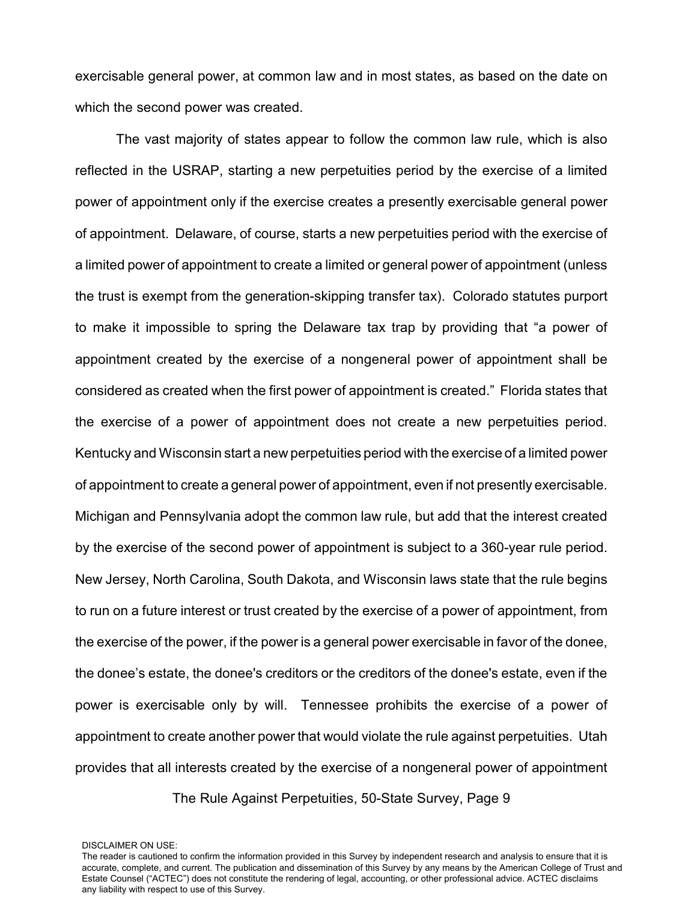exercisable general power, at common law and in most states, as based on the date on which the second power was created.

The vast majority of states appear to follow the common law rule, which is also reflected in the USRAP, starting a new perpetuities period by the exercise of a limited power of appointment only if the exercise creates a presently exercisable general power of appointment. Delaware, of course, starts a new perpetuities period with the exercise of a limited power of appointment to create a limited or general power of appointment (unless the trust is exempt from the generation-skipping transfer tax). Colorado statutes purport to make it impossible to spring the Delaware tax trap by providing that "a power of appointment created by the exercise of a nongeneral power of appointment shall be considered as created when the first power of appointment is created." Florida states that the exercise of a power of appointment does not create a new perpetuities period. Kentucky and Wisconsin start a new perpetuities period with the exercise of a limited power of appointment to create a general power of appointment, even if not presently exercisable. Michigan and Pennsylvania adopt the common law rule, but add that the interest created by the exercise of the second power of appointment is subject to a 360-year rule period. New Jersey, North Carolina, South Dakota, and Wisconsin laws state that the rule begins to run on a future interest or trust created by the exercise of a power of appointment, from the exercise of the power, if the power is a general power exercisable in favor of the donee, the donee's estate, the donee's creditors or the creditors of the donee's estate, even if the power is exercisable only by will. Tennessee prohibits the exercise of a power of appointment to create another power that would violate the rule against perpetuities. Utah provides that all interests created by the exercise of a nongeneral power of appointment

The Rule Against Perpetuities, 50-State Survey, Page 9

The reader is cautioned to confirm the information provided in this Survey by independent research and analysis to ensure that it is accurate, complete, and current. The publication and dissemination of this Survey by any means by the American College of Trust and Estate Counsel ("ACTEC") does not constitute the rendering of legal, accounting, or other professional advice. ACTEC disclaims any liability with respect to use of this Survey.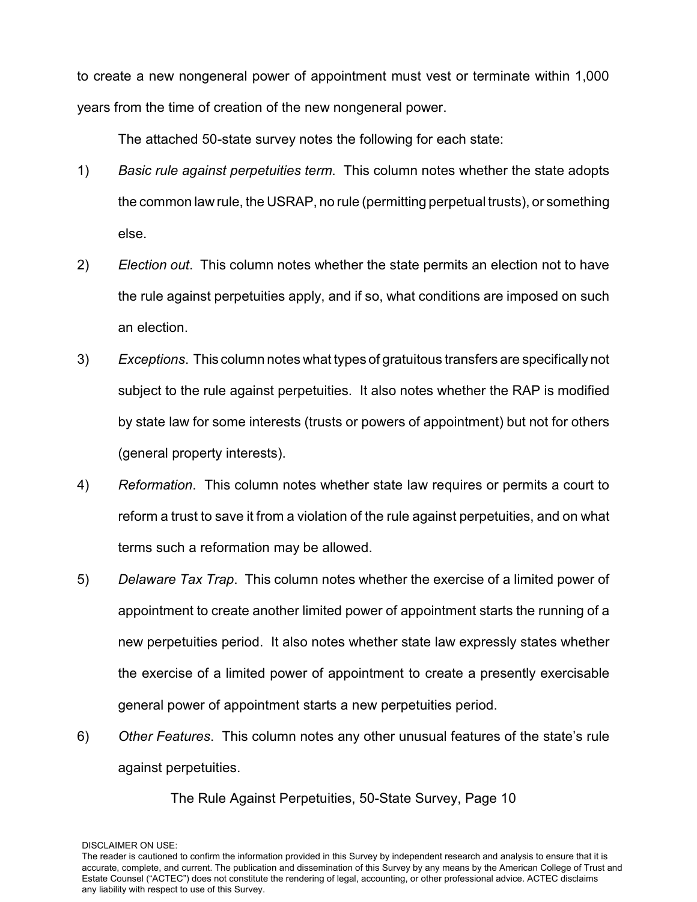to create a new nongeneral power of appointment must vest or terminate within 1,000 years from the time of creation of the new nongeneral power.

The attached 50-state survey notes the following for each state:

- 1) *Basic rule against perpetuities term*. This column notes whether the state adopts the common law rule, the USRAP, no rule (permitting perpetual trusts), or something else.
- 2) *Election out*. This column notes whether the state permits an election not to have the rule against perpetuities apply, and if so, what conditions are imposed on such an election.
- 3) *Exceptions*. This column notes what types of gratuitous transfers are specifically not subject to the rule against perpetuities. It also notes whether the RAP is modified by state law for some interests (trusts or powers of appointment) but not for others (general property interests).
- 4) *Reformation*. This column notes whether state law requires or permits a court to reform a trust to save it from a violation of the rule against perpetuities, and on what terms such a reformation may be allowed.
- 5) *Delaware Tax Trap*. This column notes whether the exercise of a limited power of appointment to create another limited power of appointment starts the running of a new perpetuities period. It also notes whether state law expressly states whether the exercise of a limited power of appointment to create a presently exercisable general power of appointment starts a new perpetuities period.
- 6) *Other Features*. This column notes any other unusual features of the state's rule against perpetuities.

The Rule Against Perpetuities, 50-State Survey, Page 10

The reader is cautioned to confirm the information provided in this Survey by independent research and analysis to ensure that it is accurate, complete, and current. The publication and dissemination of this Survey by any means by the American College of Trust and Estate Counsel ("ACTEC") does not constitute the rendering of legal, accounting, or other professional advice. ACTEC disclaims any liability with respect to use of this Survey.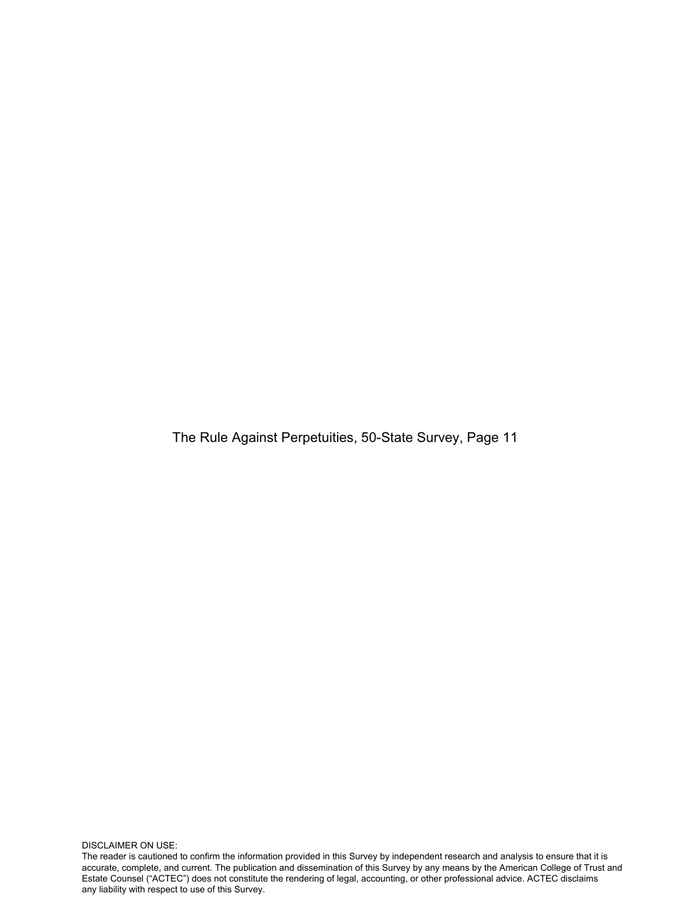The Rule Against Perpetuities, 50-State Survey, Page 11

The reader is cautioned to confirm the information provided in this Survey by independent research and analysis to ensure that it is accurate, complete, and current. The publication and dissemination of this Survey by any means by the American College of Trust and Estate Counsel ("ACTEC") does not constitute the rendering of legal, accounting, or other professional advice. ACTEC disclaims any liability with respect to use of this Survey.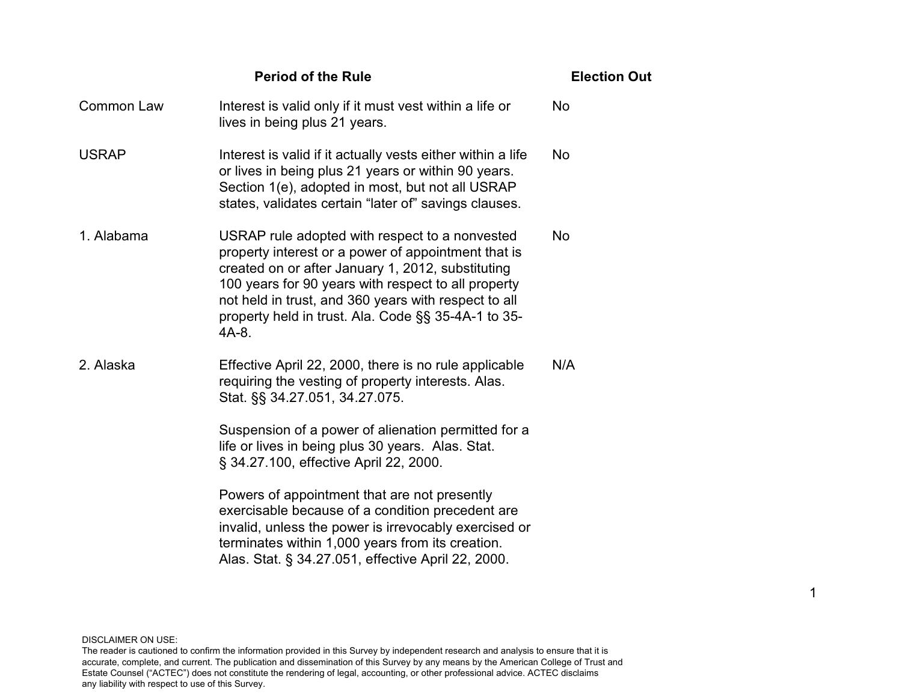|              | <b>Period of the Rule</b>                                                                                                                                                                                                                                                                                                                 | <b>Election Out</b> |
|--------------|-------------------------------------------------------------------------------------------------------------------------------------------------------------------------------------------------------------------------------------------------------------------------------------------------------------------------------------------|---------------------|
| Common Law   | Interest is valid only if it must vest within a life or<br>lives in being plus 21 years.                                                                                                                                                                                                                                                  | <b>No</b>           |
| <b>USRAP</b> | Interest is valid if it actually vests either within a life<br>or lives in being plus 21 years or within 90 years.<br>Section 1(e), adopted in most, but not all USRAP<br>states, validates certain "later of" savings clauses.                                                                                                           | <b>No</b>           |
| 1. Alabama   | USRAP rule adopted with respect to a nonvested<br>property interest or a power of appointment that is<br>created on or after January 1, 2012, substituting<br>100 years for 90 years with respect to all property<br>not held in trust, and 360 years with respect to all<br>property held in trust. Ala. Code §§ 35-4A-1 to 35-<br>4A-8. | <b>No</b>           |
| 2. Alaska    | Effective April 22, 2000, there is no rule applicable<br>requiring the vesting of property interests. Alas.<br>Stat. §§ 34.27.051, 34.27.075.                                                                                                                                                                                             | N/A                 |
|              | Suspension of a power of alienation permitted for a<br>life or lives in being plus 30 years. Alas. Stat.<br>§ 34.27.100, effective April 22, 2000.                                                                                                                                                                                        |                     |
|              | Powers of appointment that are not presently<br>exercisable because of a condition precedent are<br>invalid, unless the power is irrevocably exercised or<br>terminates within 1,000 years from its creation.<br>Alas. Stat. § 34.27.051, effective April 22, 2000.                                                                       |                     |
|              |                                                                                                                                                                                                                                                                                                                                           |                     |

The reader is cautioned to confirm the information provided in this Survey by independent research and analysis to ensure that it is accurate, complete, and current. The publication and dissemination of this Survey by any means by the American College of Trust and Estate Counsel ("ACTEC") does not constitute the rendering of legal, accounting, or other professional advice. ACTEC disclaims any liability with respect to use of this Survey.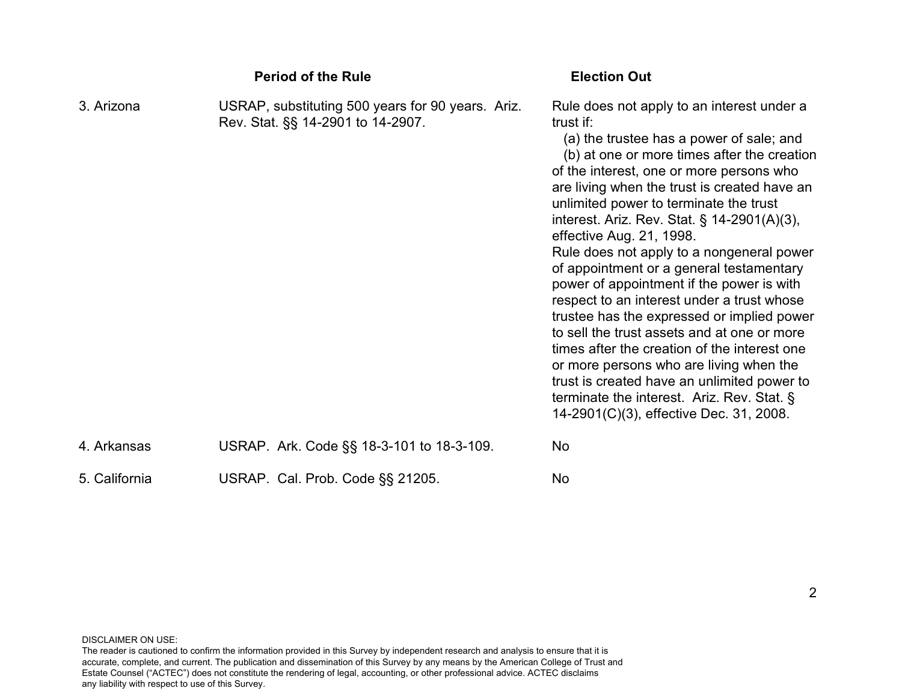|               | <b>Period of the Rule</b>                                                              | <b>Election Out</b>                                                                                                                                                                                                                                                                                                                                                                                                                                                                                                                                                                                                                                                                                                                                                                                                                                                                        |
|---------------|----------------------------------------------------------------------------------------|--------------------------------------------------------------------------------------------------------------------------------------------------------------------------------------------------------------------------------------------------------------------------------------------------------------------------------------------------------------------------------------------------------------------------------------------------------------------------------------------------------------------------------------------------------------------------------------------------------------------------------------------------------------------------------------------------------------------------------------------------------------------------------------------------------------------------------------------------------------------------------------------|
| 3. Arizona    | USRAP, substituting 500 years for 90 years. Ariz.<br>Rev. Stat. §§ 14-2901 to 14-2907. | Rule does not apply to an interest under a<br>trust if:<br>(a) the trustee has a power of sale; and<br>(b) at one or more times after the creation<br>of the interest, one or more persons who<br>are living when the trust is created have an<br>unlimited power to terminate the trust<br>interest. Ariz. Rev. Stat. § 14-2901(A)(3),<br>effective Aug. 21, 1998.<br>Rule does not apply to a nongeneral power<br>of appointment or a general testamentary<br>power of appointment if the power is with<br>respect to an interest under a trust whose<br>trustee has the expressed or implied power<br>to sell the trust assets and at one or more<br>times after the creation of the interest one<br>or more persons who are living when the<br>trust is created have an unlimited power to<br>terminate the interest. Ariz. Rev. Stat. $\S$<br>14-2901(C)(3), effective Dec. 31, 2008. |
| 4. Arkansas   | USRAP. Ark. Code §§ 18-3-101 to 18-3-109.                                              | No                                                                                                                                                                                                                                                                                                                                                                                                                                                                                                                                                                                                                                                                                                                                                                                                                                                                                         |
| 5. California | USRAP. Cal. Prob. Code §§ 21205.                                                       | No                                                                                                                                                                                                                                                                                                                                                                                                                                                                                                                                                                                                                                                                                                                                                                                                                                                                                         |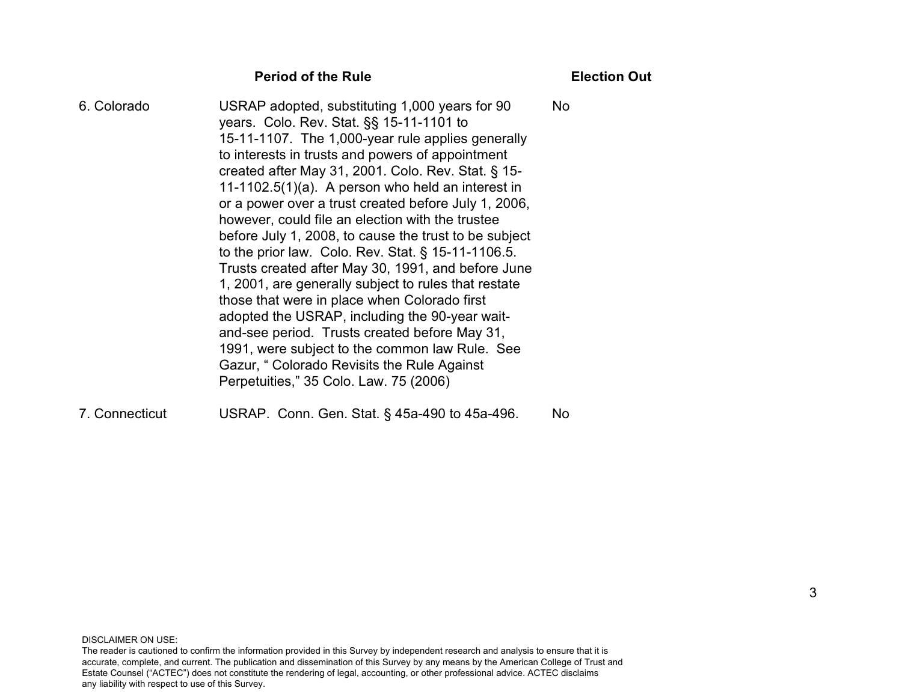| <b>Period of the Rule</b> |  |  |  |
|---------------------------|--|--|--|
|---------------------------|--|--|--|

**Period Out** 

| 6. Colorado    | USRAP adopted, substituting 1,000 years for 90<br>years. Colo. Rev. Stat. §§ 15-11-1101 to<br>15-11-1107. The 1,000-year rule applies generally<br>to interests in trusts and powers of appointment<br>created after May 31, 2001. Colo. Rev. Stat. § 15-<br>11-1102.5(1)(a). A person who held an interest in<br>or a power over a trust created before July 1, 2006,<br>however, could file an election with the trustee<br>before July 1, 2008, to cause the trust to be subject<br>to the prior law. Colo. Rev. Stat. $\S$ 15-11-1106.5.<br>Trusts created after May 30, 1991, and before June<br>1, 2001, are generally subject to rules that restate<br>those that were in place when Colorado first<br>adopted the USRAP, including the 90-year wait-<br>and-see period. Trusts created before May 31,<br>1991, were subject to the common law Rule. See<br>Gazur, " Colorado Revisits the Rule Against<br>Perpetuities," 35 Colo. Law. 75 (2006) | No |
|----------------|----------------------------------------------------------------------------------------------------------------------------------------------------------------------------------------------------------------------------------------------------------------------------------------------------------------------------------------------------------------------------------------------------------------------------------------------------------------------------------------------------------------------------------------------------------------------------------------------------------------------------------------------------------------------------------------------------------------------------------------------------------------------------------------------------------------------------------------------------------------------------------------------------------------------------------------------------------|----|
| 7. Connecticut | USRAP. Conn. Gen. Stat. § 45a-490 to 45a-496.                                                                                                                                                                                                                                                                                                                                                                                                                                                                                                                                                                                                                                                                                                                                                                                                                                                                                                            | No |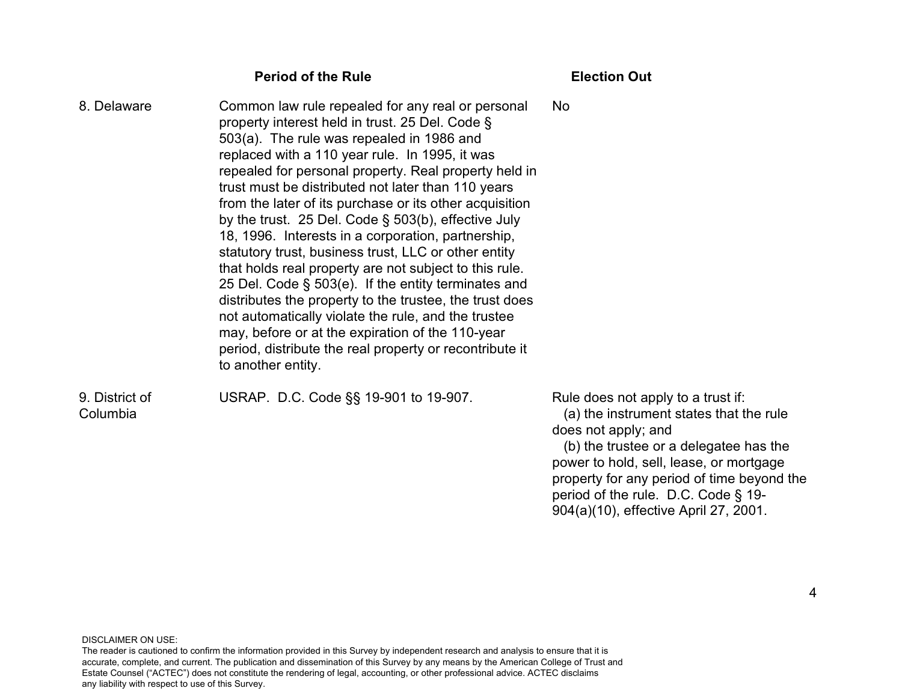# **Period Out**

| 8. Delaware                | Common law rule repealed for any real or personal<br>property interest held in trust. 25 Del. Code §<br>503(a). The rule was repealed in 1986 and<br>replaced with a 110 year rule. In 1995, it was<br>repealed for personal property. Real property held in<br>trust must be distributed not later than 110 years<br>from the later of its purchase or its other acquisition<br>by the trust. 25 Del. Code $\S$ 503(b), effective July<br>18, 1996. Interests in a corporation, partnership,<br>statutory trust, business trust, LLC or other entity<br>that holds real property are not subject to this rule.<br>25 Del. Code § 503(e). If the entity terminates and<br>distributes the property to the trustee, the trust does<br>not automatically violate the rule, and the trustee<br>may, before or at the expiration of the 110-year<br>period, distribute the real property or recontribute it<br>to another entity. | No               |
|----------------------------|-------------------------------------------------------------------------------------------------------------------------------------------------------------------------------------------------------------------------------------------------------------------------------------------------------------------------------------------------------------------------------------------------------------------------------------------------------------------------------------------------------------------------------------------------------------------------------------------------------------------------------------------------------------------------------------------------------------------------------------------------------------------------------------------------------------------------------------------------------------------------------------------------------------------------------|------------------|
| 9. District of<br>Columbia | USRAP. D.C. Code §§ 19-901 to 19-907.                                                                                                                                                                                                                                                                                                                                                                                                                                                                                                                                                                                                                                                                                                                                                                                                                                                                                         | Rule do<br>a) th |

bes not apply to a trust if:

e instrument states that the rule does not apply; and

 (b) the trustee or a delegatee has the power to hold, sell, lease, or mortgage property for any period of time beyond the period of the rule. D.C. Code § 19- 904(a)(10), effective April 27, 2001.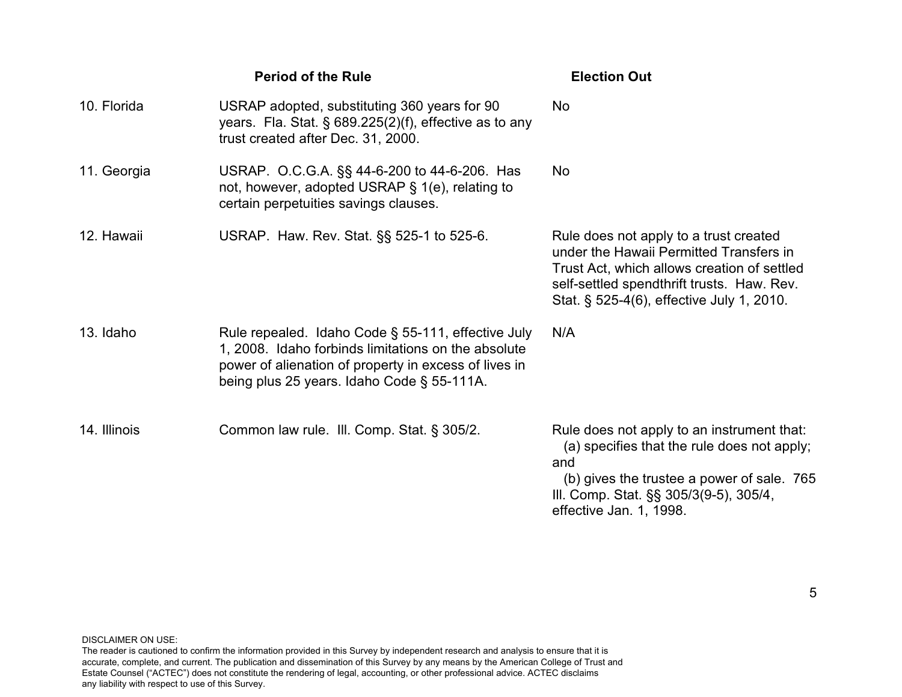|              | <b>Period of the Rule</b>                                                                                                                                                                                        | <b>Election Out</b>                                                                                                                                                                                                         |
|--------------|------------------------------------------------------------------------------------------------------------------------------------------------------------------------------------------------------------------|-----------------------------------------------------------------------------------------------------------------------------------------------------------------------------------------------------------------------------|
| 10. Florida  | USRAP adopted, substituting 360 years for 90<br>years. Fla. Stat. $\S$ 689.225(2)(f), effective as to any<br>trust created after Dec. 31, 2000.                                                                  | <b>No</b>                                                                                                                                                                                                                   |
| 11. Georgia  | USRAP. O.C.G.A. §§ 44-6-200 to 44-6-206. Has<br>not, however, adopted USRAP § 1(e), relating to<br>certain perpetuities savings clauses.                                                                         | No.                                                                                                                                                                                                                         |
| 12. Hawaii   | USRAP. Haw. Rev. Stat. §§ 525-1 to 525-6.                                                                                                                                                                        | Rule does not apply to a trust created<br>under the Hawaii Permitted Transfers in<br>Trust Act, which allows creation of settled<br>self-settled spendthrift trusts. Haw. Rev.<br>Stat. § 525-4(6), effective July 1, 2010. |
| 13. Idaho    | Rule repealed. Idaho Code § 55-111, effective July<br>1, 2008. Idaho forbinds limitations on the absolute<br>power of alienation of property in excess of lives in<br>being plus 25 years. Idaho Code § 55-111A. | N/A                                                                                                                                                                                                                         |
| 14. Illinois | Common law rule. III. Comp. Stat. § 305/2.                                                                                                                                                                       | Rule does not apply to an instrument that:<br>(a) specifies that the rule does not apply;<br>and<br>(b) gives the trustee a power of sale. 765<br>III. Comp. Stat. §§ 305/3(9-5), 305/4,<br>effective Jan. 1, 1998.         |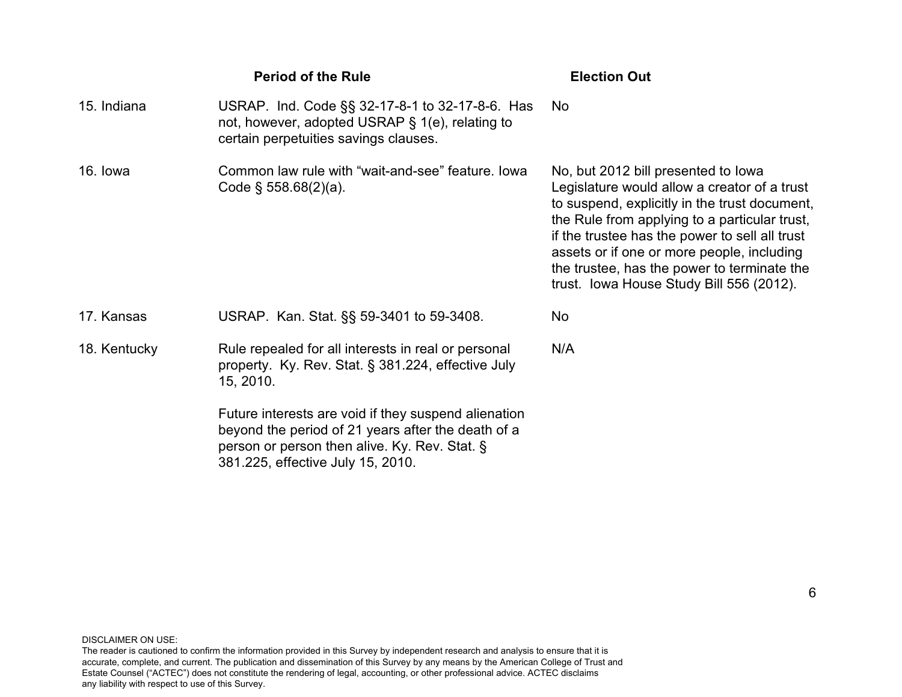|              | <b>Period of the Rule</b>                                                                                                                                                                        | <b>Election Out</b>                                                                                                                                                                                                                                                                                                                                                              |
|--------------|--------------------------------------------------------------------------------------------------------------------------------------------------------------------------------------------------|----------------------------------------------------------------------------------------------------------------------------------------------------------------------------------------------------------------------------------------------------------------------------------------------------------------------------------------------------------------------------------|
| 15. Indiana  | USRAP. Ind. Code §§ 32-17-8-1 to 32-17-8-6. Has<br>not, however, adopted USRAP § 1(e), relating to<br>certain perpetuities savings clauses.                                                      | N <sub>o</sub>                                                                                                                                                                                                                                                                                                                                                                   |
| 16. lowa     | Common law rule with "wait-and-see" feature. Iowa<br>Code $\S 558.68(2)(a)$ .                                                                                                                    | No, but 2012 bill presented to lowa<br>Legislature would allow a creator of a trust<br>to suspend, explicitly in the trust document,<br>the Rule from applying to a particular trust,<br>if the trustee has the power to sell all trust<br>assets or if one or more people, including<br>the trustee, has the power to terminate the<br>trust. Iowa House Study Bill 556 (2012). |
| 17. Kansas   | USRAP. Kan. Stat. §§ 59-3401 to 59-3408.                                                                                                                                                         | No                                                                                                                                                                                                                                                                                                                                                                               |
| 18. Kentucky | Rule repealed for all interests in real or personal<br>property. Ky. Rev. Stat. § 381.224, effective July<br>15, 2010.                                                                           | N/A                                                                                                                                                                                                                                                                                                                                                                              |
|              | Future interests are void if they suspend alienation<br>beyond the period of 21 years after the death of a<br>person or person then alive. Ky. Rev. Stat. §<br>381.225, effective July 15, 2010. |                                                                                                                                                                                                                                                                                                                                                                                  |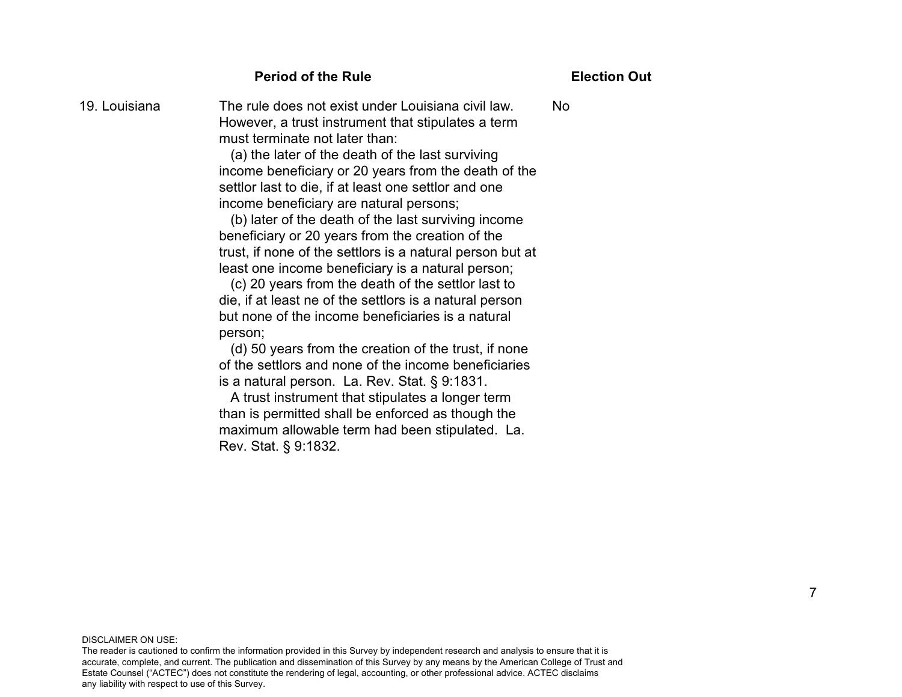## **Period of the Rule Election Out**

No

19. Louisiana The rule does not exist under Louisiana civil law. However, a trust instrument that stipulates a term must terminate not later than:

> (a) the later of the death of the last surviving income beneficiary or 20 years from the death of the settlor last to die, if at least one settlor and one income beneficiary are natural persons;

> (b) later of the death of the last surviving income beneficiary or 20 years from the creation of the trust, if none of the settlors is a natural person but at least one income beneficiary is a natural person;

 (c) 20 years from the death of the settlor last to die, if at least ne of the settlors is a natural person but none of the income beneficiaries is a natural person;

 (d) 50 years from the creation of the trust, if none of the settlors and none of the income beneficiaries is a natural person. La. Rev. Stat. § 9:1831.

 A trust instrument that stipulates a longer term than is permitted shall be enforced as though the maximum allowable term had been stipulated. La. Rev. Stat. § 9:1832.

### DISCLAIMER ON USE: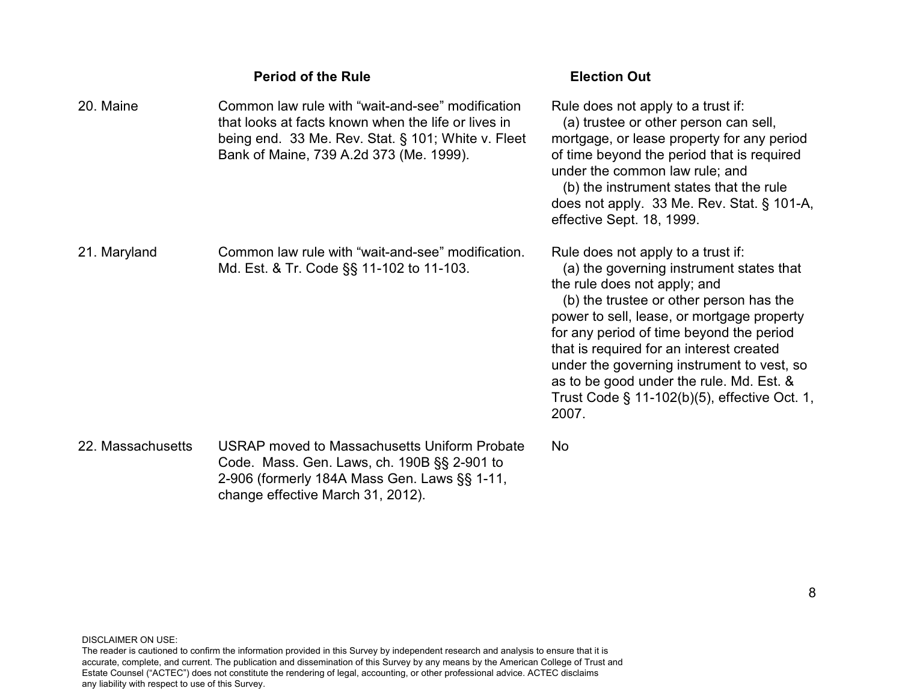|                   | <b>Period of the Rule</b>                                                                                                                                                                                   | <b>Election Out</b>                                                                                                                                                                                                                                                                                                                                                                                                                                |
|-------------------|-------------------------------------------------------------------------------------------------------------------------------------------------------------------------------------------------------------|----------------------------------------------------------------------------------------------------------------------------------------------------------------------------------------------------------------------------------------------------------------------------------------------------------------------------------------------------------------------------------------------------------------------------------------------------|
| 20. Maine         | Common law rule with "wait-and-see" modification<br>that looks at facts known when the life or lives in<br>being end. 33 Me. Rev. Stat. $\S$ 101; White v. Fleet<br>Bank of Maine, 739 A.2d 373 (Me. 1999). | Rule does not apply to a trust if:<br>(a) trustee or other person can sell,<br>mortgage, or lease property for any period<br>of time beyond the period that is required<br>under the common law rule; and<br>(b) the instrument states that the rule<br>does not apply. $33$ Me. Rev. Stat. § 101-A,<br>effective Sept. 18, 1999.                                                                                                                  |
| 21. Maryland      | Common law rule with "wait-and-see" modification.<br>Md. Est. & Tr. Code §§ 11-102 to 11-103.                                                                                                               | Rule does not apply to a trust if:<br>(a) the governing instrument states that<br>the rule does not apply; and<br>(b) the trustee or other person has the<br>power to sell, lease, or mortgage property<br>for any period of time beyond the period<br>that is required for an interest created<br>under the governing instrument to vest, so<br>as to be good under the rule. Md. Est. &<br>Trust Code § 11-102(b)(5), effective Oct. 1,<br>2007. |
| 22. Massachusetts | USRAP moved to Massachusetts Uniform Probate<br>Code. Mass. Gen. Laws, ch. 190B §§ 2-901 to<br>2-906 (formerly 184A Mass Gen. Laws §§ 1-11,                                                                 | No                                                                                                                                                                                                                                                                                                                                                                                                                                                 |

change effective March 31, 2012).

DISCLAIMER ON USE:

The reader is cautioned to confirm the information provided in this Survey by independent research and analysis to ensure that it is accurate, complete, and current. The publication and dissemination of this Survey by any means by the American College of Trust and Estate Counsel ("ACTEC") does not constitute the rendering of legal, accounting, or other professional advice. ACTEC disclaims any liability with respect to use of this Survey.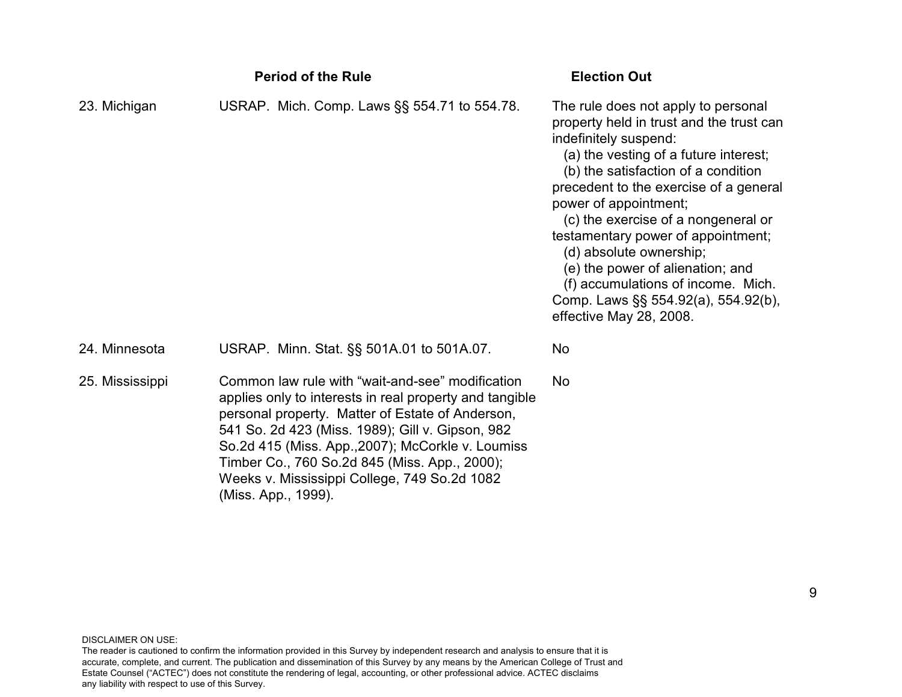|                 | <b>Period of the Rule</b>                                                                                                                                                                                                                                                                                                                                                                        | <b>Election Out</b>                                                                                                                                                                                                                                                                                                                                                                                                                                                                                             |
|-----------------|--------------------------------------------------------------------------------------------------------------------------------------------------------------------------------------------------------------------------------------------------------------------------------------------------------------------------------------------------------------------------------------------------|-----------------------------------------------------------------------------------------------------------------------------------------------------------------------------------------------------------------------------------------------------------------------------------------------------------------------------------------------------------------------------------------------------------------------------------------------------------------------------------------------------------------|
| 23. Michigan    | USRAP. Mich. Comp. Laws §§ 554.71 to 554.78.                                                                                                                                                                                                                                                                                                                                                     | The rule does not apply to personal<br>property held in trust and the trust can<br>indefinitely suspend:<br>(a) the vesting of a future interest;<br>(b) the satisfaction of a condition<br>precedent to the exercise of a general<br>power of appointment;<br>(c) the exercise of a nongeneral or<br>testamentary power of appointment;<br>(d) absolute ownership;<br>(e) the power of alienation; and<br>(f) accumulations of income. Mich.<br>Comp. Laws §§ 554.92(a), 554.92(b),<br>effective May 28, 2008. |
| 24. Minnesota   | USRAP. Minn. Stat. §§ 501A.01 to 501A.07.                                                                                                                                                                                                                                                                                                                                                        | No                                                                                                                                                                                                                                                                                                                                                                                                                                                                                                              |
| 25. Mississippi | Common law rule with "wait-and-see" modification<br>applies only to interests in real property and tangible<br>personal property. Matter of Estate of Anderson,<br>541 So. 2d 423 (Miss. 1989); Gill v. Gipson, 982<br>So.2d 415 (Miss. App., 2007); McCorkle v. Loumiss<br>Timber Co., 760 So.2d 845 (Miss. App., 2000);<br>Weeks v. Mississippi College, 749 So.2d 1082<br>(Miss. App., 1999). | <b>No</b>                                                                                                                                                                                                                                                                                                                                                                                                                                                                                                       |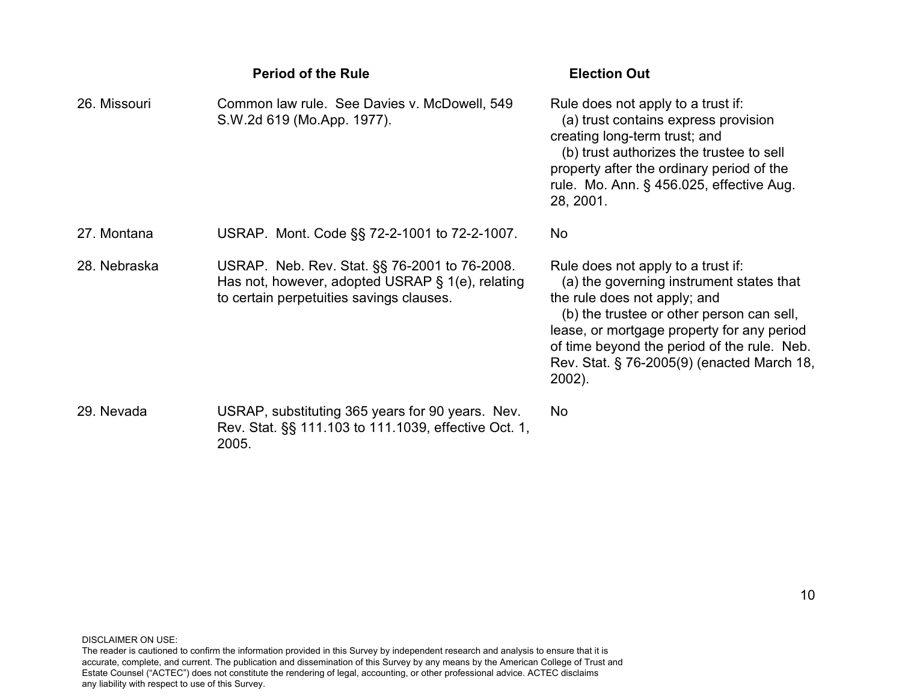|              | <b>Period of the Rule</b>                                                                                                                     | <b>Election Out</b>                                                                                                                                                                                                                                                                                                 |
|--------------|-----------------------------------------------------------------------------------------------------------------------------------------------|---------------------------------------------------------------------------------------------------------------------------------------------------------------------------------------------------------------------------------------------------------------------------------------------------------------------|
| 26. Missouri | Common law rule. See Davies v. McDowell, 549<br>S.W.2d 619 (Mo.App. 1977).                                                                    | Rule does not apply to a trust if:<br>(a) trust contains express provision<br>creating long-term trust; and<br>(b) trust authorizes the trustee to sell<br>property after the ordinary period of the<br>rule. Mo. Ann. § 456.025, effective Aug.<br>28, 2001.                                                       |
| 27. Montana  | USRAP. Mont. Code §§ 72-2-1001 to 72-2-1007.                                                                                                  | No                                                                                                                                                                                                                                                                                                                  |
| 28. Nebraska | USRAP. Neb. Rev. Stat. §§ 76-2001 to 76-2008.<br>Has not, however, adopted USRAP § 1(e), relating<br>to certain perpetuities savings clauses. | Rule does not apply to a trust if:<br>(a) the governing instrument states that<br>the rule does not apply; and<br>(b) the trustee or other person can sell,<br>lease, or mortgage property for any period<br>of time beyond the period of the rule. Neb.<br>Rev. Stat. § 76-2005(9) (enacted March 18,<br>$2002$ ). |
| 29. Nevada   | USRAP, substituting 365 years for 90 years. Nev.<br>Rev. Stat. §§ 111.103 to 111.1039, effective Oct. 1,<br>2005.                             | No                                                                                                                                                                                                                                                                                                                  |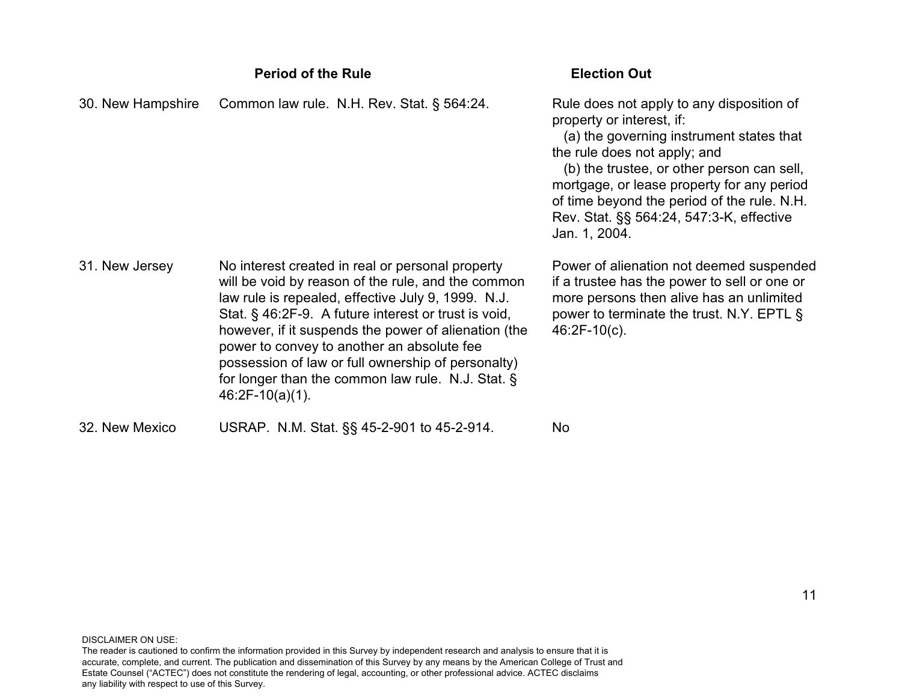|                   | <b>Period of the Rule</b>                                                                                                                                                                                                                                                                                                                                                                                                                                      | <b>Election Out</b>                                                                                                                                                                                                                                                                                                                                        |
|-------------------|----------------------------------------------------------------------------------------------------------------------------------------------------------------------------------------------------------------------------------------------------------------------------------------------------------------------------------------------------------------------------------------------------------------------------------------------------------------|------------------------------------------------------------------------------------------------------------------------------------------------------------------------------------------------------------------------------------------------------------------------------------------------------------------------------------------------------------|
| 30. New Hampshire | Common law rule. N.H. Rev. Stat. § 564:24.                                                                                                                                                                                                                                                                                                                                                                                                                     | Rule does not apply to any disposition of<br>property or interest, if:<br>(a) the governing instrument states that<br>the rule does not apply; and<br>(b) the trustee, or other person can sell,<br>mortgage, or lease property for any period<br>of time beyond the period of the rule. N.H.<br>Rev. Stat. §§ 564:24, 547:3-K, effective<br>Jan. 1, 2004. |
| 31. New Jersey    | No interest created in real or personal property<br>will be void by reason of the rule, and the common<br>law rule is repealed, effective July 9, 1999. N.J.<br>Stat. § 46:2F-9. A future interest or trust is void,<br>however, if it suspends the power of alienation (the<br>power to convey to another an absolute fee<br>possession of law or full ownership of personalty)<br>for longer than the common law rule. N.J. Stat. $\S$<br>$46:2F-10(a)(1)$ . | Power of alienation not deemed suspended<br>if a trustee has the power to sell or one or<br>more persons then alive has an unlimited<br>power to terminate the trust. N.Y. EPTL §<br>$46:2F-10(c)$ .                                                                                                                                                       |
| 32. New Mexico    | USRAP. N.M. Stat. §§ 45-2-901 to 45-2-914.                                                                                                                                                                                                                                                                                                                                                                                                                     | No                                                                                                                                                                                                                                                                                                                                                         |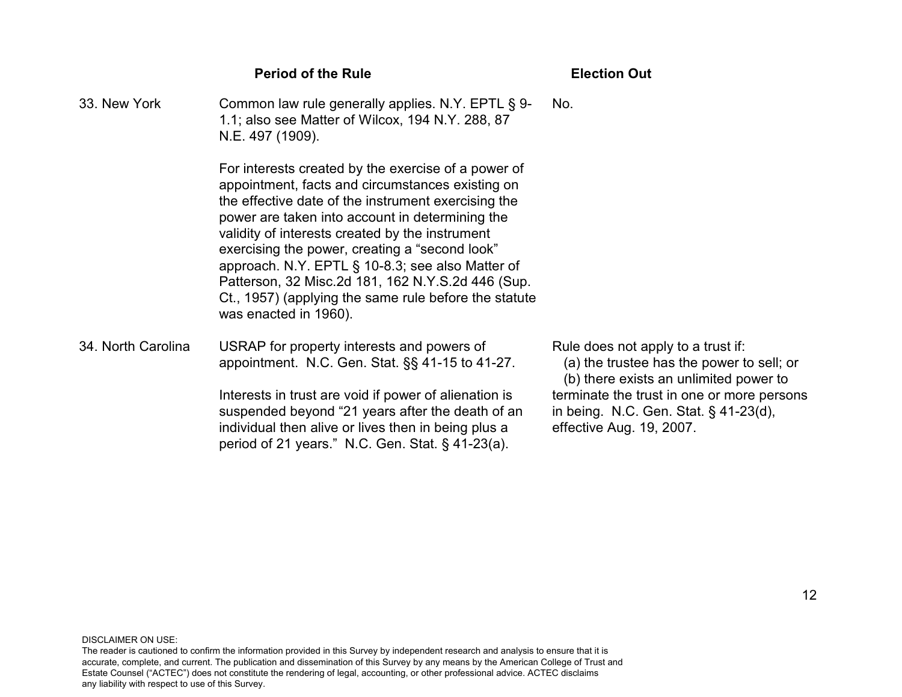|                    | Period of the Rule                                                                                                                                                                                                                                                                                                                                                                                                                                                                                                | <b>Election Out</b>                                                                                                                                                                                                                             |
|--------------------|-------------------------------------------------------------------------------------------------------------------------------------------------------------------------------------------------------------------------------------------------------------------------------------------------------------------------------------------------------------------------------------------------------------------------------------------------------------------------------------------------------------------|-------------------------------------------------------------------------------------------------------------------------------------------------------------------------------------------------------------------------------------------------|
| 33. New York       | Common law rule generally applies. N.Y. EPTL § 9-<br>1.1; also see Matter of Wilcox, 194 N.Y. 288, 87<br>N.E. 497 (1909).                                                                                                                                                                                                                                                                                                                                                                                         | No.                                                                                                                                                                                                                                             |
|                    | For interests created by the exercise of a power of<br>appointment, facts and circumstances existing on<br>the effective date of the instrument exercising the<br>power are taken into account in determining the<br>validity of interests created by the instrument<br>exercising the power, creating a "second look"<br>approach. N.Y. EPTL § 10-8.3; see also Matter of<br>Patterson, 32 Misc.2d 181, 162 N.Y.S.2d 446 (Sup.<br>Ct., 1957) (applying the same rule before the statute<br>was enacted in 1960). |                                                                                                                                                                                                                                                 |
| 34. North Carolina | USRAP for property interests and powers of<br>appointment. N.C. Gen. Stat. §§ 41-15 to 41-27.<br>Interests in trust are void if power of alienation is<br>suspended beyond "21 years after the death of an<br>individual then alive or lives then in being plus a<br>period of 21 years." N.C. Gen. Stat. $\S$ 41-23(a).                                                                                                                                                                                          | Rule does not apply to a trust if:<br>(a) the trustee has the power to sell; or<br>(b) there exists an unlimited power to<br>terminate the trust in one or more persons<br>in being. N.C. Gen. Stat. $\S$ 41-23(d),<br>effective Aug. 19, 2007. |

# **Period of the Rule Election Out**

## DISCLAIMER ON USE: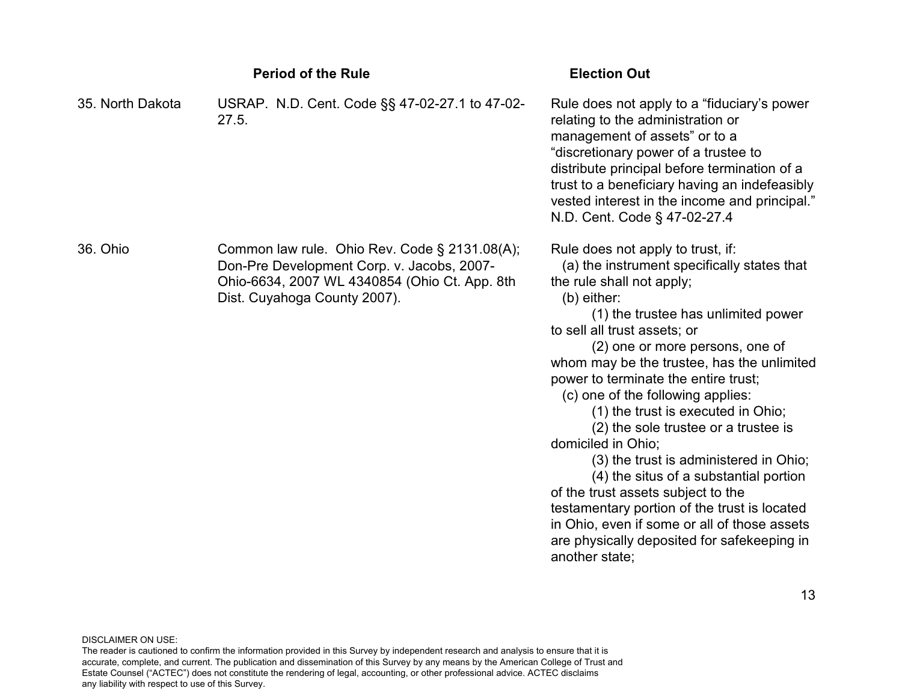|                  | <b>Period of the Rule</b>                                                                                                                                                    | <b>Election Out</b>                                                                                                                                                                                                                                                                                                                                                                                                                                                                                                                                                                                                                                                                                                                                                |
|------------------|------------------------------------------------------------------------------------------------------------------------------------------------------------------------------|--------------------------------------------------------------------------------------------------------------------------------------------------------------------------------------------------------------------------------------------------------------------------------------------------------------------------------------------------------------------------------------------------------------------------------------------------------------------------------------------------------------------------------------------------------------------------------------------------------------------------------------------------------------------------------------------------------------------------------------------------------------------|
| 35. North Dakota | USRAP. N.D. Cent. Code §§ 47-02-27.1 to 47-02-<br>27.5.                                                                                                                      | Rule does not apply to a "fiduciary's power<br>relating to the administration or<br>management of assets" or to a<br>"discretionary power of a trustee to<br>distribute principal before termination of a<br>trust to a beneficiary having an indefeasibly<br>vested interest in the income and principal."<br>N.D. Cent. Code § 47-02-27.4                                                                                                                                                                                                                                                                                                                                                                                                                        |
| 36. Ohio         | Common law rule. Ohio Rev. Code § 2131.08(A);<br>Don-Pre Development Corp. v. Jacobs, 2007-<br>Ohio-6634, 2007 WL 4340854 (Ohio Ct. App. 8th<br>Dist. Cuyahoga County 2007). | Rule does not apply to trust, if:<br>(a) the instrument specifically states that<br>the rule shall not apply;<br>$(b)$ either:<br>(1) the trustee has unlimited power<br>to sell all trust assets; or<br>(2) one or more persons, one of<br>whom may be the trustee, has the unlimited<br>power to terminate the entire trust;<br>(c) one of the following applies:<br>(1) the trust is executed in Ohio;<br>(2) the sole trustee or a trustee is<br>domiciled in Ohio;<br>(3) the trust is administered in Ohio;<br>(4) the situs of a substantial portion<br>of the trust assets subject to the<br>testamentary portion of the trust is located<br>in Ohio, even if some or all of those assets<br>are physically deposited for safekeeping in<br>another state; |

The reader is cautioned to confirm the information provided in this Survey by independent research and analysis to ensure that it is accurate, complete, and current. The publication and dissemination of this Survey by any means by the American College of Trust and Estate Counsel ("ACTEC") does not constitute the rendering of legal, accounting, or other professional advice. ACTEC disclaims any liability with respect to use of this Survey.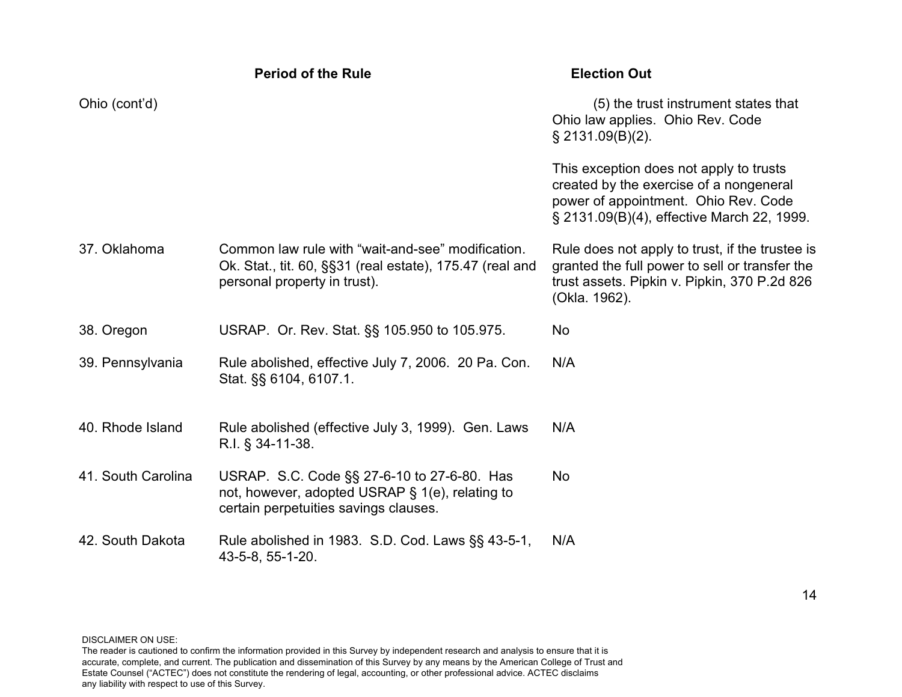|                    | <b>Period of the Rule</b>                                                                                                                     | <b>Election Out</b>                                                                                                                                                      |
|--------------------|-----------------------------------------------------------------------------------------------------------------------------------------------|--------------------------------------------------------------------------------------------------------------------------------------------------------------------------|
| Ohio (cont'd)      |                                                                                                                                               | (5) the trust instrument states that<br>Ohio law applies. Ohio Rev. Code<br>§ 2131.09(B)(2).                                                                             |
|                    |                                                                                                                                               | This exception does not apply to trusts<br>created by the exercise of a nongeneral<br>power of appointment. Ohio Rev. Code<br>§ 2131.09(B)(4), effective March 22, 1999. |
| 37. Oklahoma       | Common law rule with "wait-and-see" modification.<br>Ok. Stat., tit. 60, §§31 (real estate), 175.47 (real and<br>personal property in trust). | Rule does not apply to trust, if the trustee is<br>granted the full power to sell or transfer the<br>trust assets. Pipkin v. Pipkin, 370 P.2d 826<br>(Okla. 1962).       |
| 38. Oregon         | USRAP. Or. Rev. Stat. §§ 105.950 to 105.975.                                                                                                  | N <sub>o</sub>                                                                                                                                                           |
| 39. Pennsylvania   | Rule abolished, effective July 7, 2006. 20 Pa. Con.<br>Stat. §§ 6104, 6107.1.                                                                 | N/A                                                                                                                                                                      |
| 40. Rhode Island   | Rule abolished (effective July 3, 1999). Gen. Laws<br>R.I. § 34-11-38.                                                                        | N/A                                                                                                                                                                      |
| 41. South Carolina | USRAP. S.C. Code §§ 27-6-10 to 27-6-80. Has<br>not, however, adopted USRAP § 1(e), relating to<br>certain perpetuities savings clauses.       | <b>No</b>                                                                                                                                                                |
| 42. South Dakota   | Rule abolished in 1983. S.D. Cod. Laws §§ 43-5-1,<br>43-5-8, 55-1-20.                                                                         | N/A                                                                                                                                                                      |

The reader is cautioned to confirm the information provided in this Survey by independent research and analysis to ensure that it is accurate, complete, and current. The publication and dissemination of this Survey by any means by the American College of Trust and Estate Counsel ("ACTEC") does not constitute the rendering of legal, accounting, or other professional advice. ACTEC disclaims any liability with respect to use of this Survey.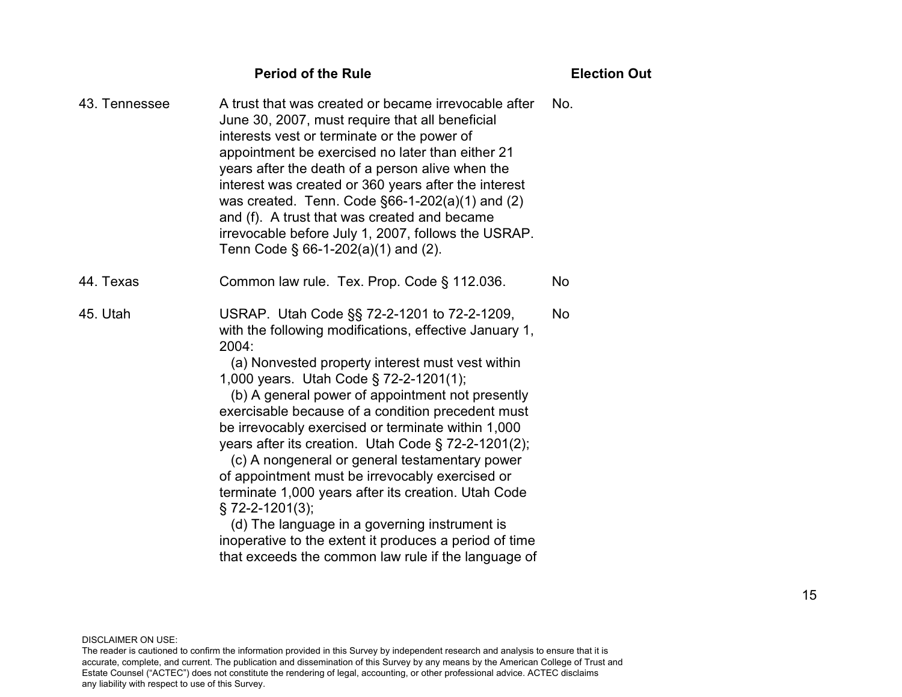|               | <b>Period of the Rule</b>                                                                                                                                                                                                                                                                                                                                                                                                                                                                                                                                                                                                                                                                                                                                                              | <b>Election Out</b> |
|---------------|----------------------------------------------------------------------------------------------------------------------------------------------------------------------------------------------------------------------------------------------------------------------------------------------------------------------------------------------------------------------------------------------------------------------------------------------------------------------------------------------------------------------------------------------------------------------------------------------------------------------------------------------------------------------------------------------------------------------------------------------------------------------------------------|---------------------|
| 43. Tennessee | A trust that was created or became irrevocable after<br>June 30, 2007, must require that all beneficial<br>interests vest or terminate or the power of<br>appointment be exercised no later than either 21<br>years after the death of a person alive when the<br>interest was created or 360 years after the interest<br>was created. Tenn. Code $\S66-1-202(a)(1)$ and (2)<br>and (f). A trust that was created and became<br>irrevocable before July 1, 2007, follows the USRAP.<br>Tenn Code $\S$ 66-1-202(a)(1) and (2).                                                                                                                                                                                                                                                          | No.                 |
| 44. Texas     | Common law rule. Tex. Prop. Code § 112.036.                                                                                                                                                                                                                                                                                                                                                                                                                                                                                                                                                                                                                                                                                                                                            | <b>No</b>           |
| 45. Utah      | USRAP. Utah Code §§ 72-2-1201 to 72-2-1209,<br>with the following modifications, effective January 1,<br>2004:<br>(a) Nonvested property interest must vest within<br>1,000 years. Utah Code § 72-2-1201(1);<br>(b) A general power of appointment not presently<br>exercisable because of a condition precedent must<br>be irrevocably exercised or terminate within 1,000<br>years after its creation. Utah Code § 72-2-1201(2);<br>(c) A nongeneral or general testamentary power<br>of appointment must be irrevocably exercised or<br>terminate 1,000 years after its creation. Utah Code<br>$\S$ 72-2-1201(3);<br>(d) The language in a governing instrument is<br>inoperative to the extent it produces a period of time<br>that exceeds the common law rule if the language of | <b>No</b>           |

The reader is cautioned to confirm the information provided in this Survey by independent research and analysis to ensure that it is accurate, complete, and current. The publication and dissemination of this Survey by any means by the American College of Trust and Estate Counsel ("ACTEC") does not constitute the rendering of legal, accounting, or other professional advice. ACTEC disclaims any liability with respect to use of this Survey.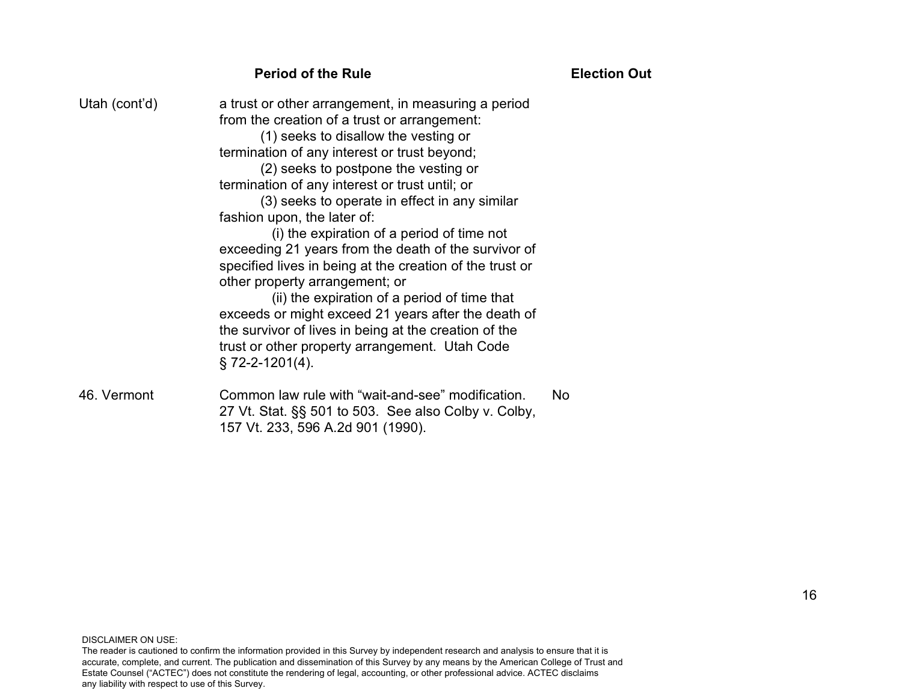# **Period of the Rule Election Out**

| Utah (cont'd) | a trust or other arrangement, in measuring a period<br>from the creation of a trust or arrangement:<br>(1) seeks to disallow the vesting or<br>termination of any interest or trust beyond;<br>(2) seeks to postpone the vesting or<br>termination of any interest or trust until; or<br>(3) seeks to operate in effect in any similar<br>fashion upon, the later of:<br>(i) the expiration of a period of time not<br>exceeding 21 years from the death of the survivor of<br>specified lives in being at the creation of the trust or<br>other property arrangement; or<br>(ii) the expiration of a period of time that<br>exceeds or might exceed 21 years after the death of<br>the survivor of lives in being at the creation of the<br>trust or other property arrangement. Utah Code<br>$\S$ 72-2-1201(4). |                |
|---------------|-------------------------------------------------------------------------------------------------------------------------------------------------------------------------------------------------------------------------------------------------------------------------------------------------------------------------------------------------------------------------------------------------------------------------------------------------------------------------------------------------------------------------------------------------------------------------------------------------------------------------------------------------------------------------------------------------------------------------------------------------------------------------------------------------------------------|----------------|
| 46. Vermont   | Common law rule with "wait-and-see" modification.<br>27 Vt. Stat. §§ 501 to 503. See also Colby v. Colby,<br>157 Vt. 233, 596 A.2d 901 (1990).                                                                                                                                                                                                                                                                                                                                                                                                                                                                                                                                                                                                                                                                    | N <sub>o</sub> |

DISCLAIMER ON USE: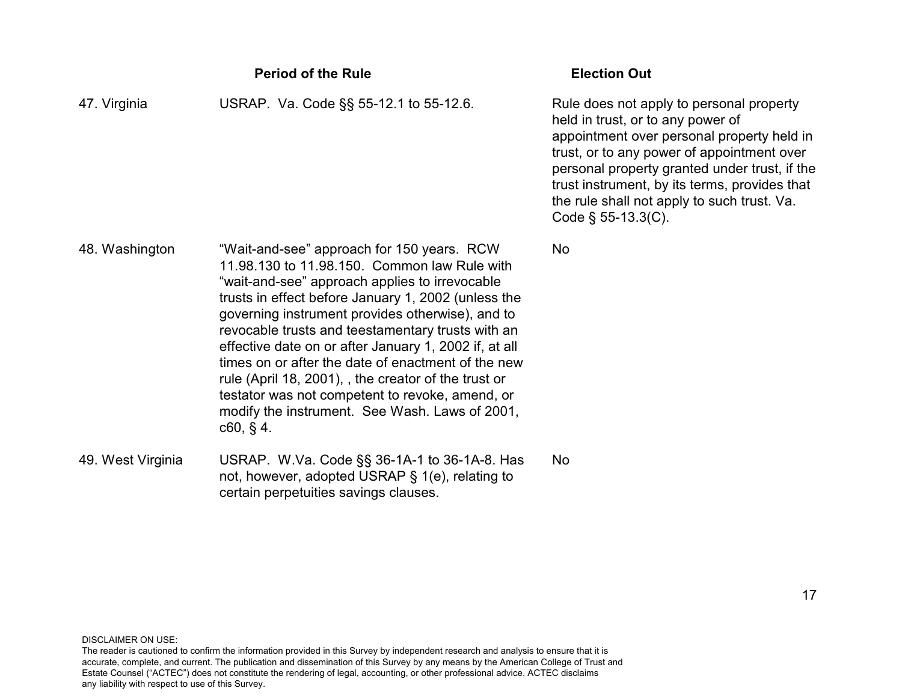|                   | <b>Period of the Rule</b>                                                                                                                                                                                                                                                                                                                                                                                                                                                                                                                                                                              | <b>Election Out</b>                                                                                                                                                                                                                                                                                                                                 |
|-------------------|--------------------------------------------------------------------------------------------------------------------------------------------------------------------------------------------------------------------------------------------------------------------------------------------------------------------------------------------------------------------------------------------------------------------------------------------------------------------------------------------------------------------------------------------------------------------------------------------------------|-----------------------------------------------------------------------------------------------------------------------------------------------------------------------------------------------------------------------------------------------------------------------------------------------------------------------------------------------------|
| 47. Virginia      | USRAP. Va. Code §§ 55-12.1 to 55-12.6.                                                                                                                                                                                                                                                                                                                                                                                                                                                                                                                                                                 | Rule does not apply to personal property<br>held in trust, or to any power of<br>appointment over personal property held in<br>trust, or to any power of appointment over<br>personal property granted under trust, if the<br>trust instrument, by its terms, provides that<br>the rule shall not apply to such trust. Va.<br>Code $\S$ 55-13.3(C). |
| 48. Washington    | "Wait-and-see" approach for 150 years. RCW<br>11.98.130 to 11.98.150. Common law Rule with<br>"wait-and-see" approach applies to irrevocable<br>trusts in effect before January 1, 2002 (unless the<br>governing instrument provides otherwise), and to<br>revocable trusts and teestamentary trusts with an<br>effective date on or after January 1, 2002 if, at all<br>times on or after the date of enactment of the new<br>rule (April 18, 2001), the creator of the trust or<br>testator was not competent to revoke, amend, or<br>modify the instrument. See Wash. Laws of 2001,<br>$c60, \S 4.$ | No.                                                                                                                                                                                                                                                                                                                                                 |
| 49. West Virginia | USRAP. W.Va. Code §§ 36-1A-1 to 36-1A-8. Has<br>not, however, adopted USRAP § 1(e), relating to<br>certain perpetuities savings clauses.                                                                                                                                                                                                                                                                                                                                                                                                                                                               | No                                                                                                                                                                                                                                                                                                                                                  |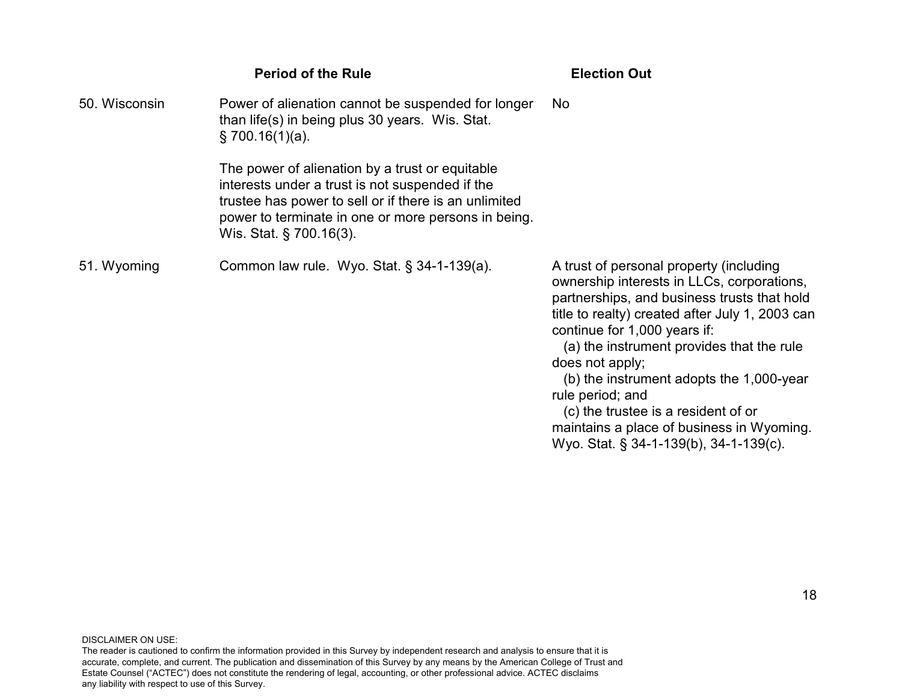|               | <b>Period of the Rule</b>                                                                                                                                                                                                                     | <b>Election Out</b>                                                                                                                                                                                                                                                                                                                                                                               |
|---------------|-----------------------------------------------------------------------------------------------------------------------------------------------------------------------------------------------------------------------------------------------|---------------------------------------------------------------------------------------------------------------------------------------------------------------------------------------------------------------------------------------------------------------------------------------------------------------------------------------------------------------------------------------------------|
| 50. Wisconsin | Power of alienation cannot be suspended for longer<br>than life(s) in being plus 30 years. Wis. Stat.<br>$\S$ 700.16(1)(a).                                                                                                                   | No.                                                                                                                                                                                                                                                                                                                                                                                               |
|               | The power of alienation by a trust or equitable<br>interests under a trust is not suspended if the<br>trustee has power to sell or if there is an unlimited<br>power to terminate in one or more persons in being.<br>Wis. Stat. § 700.16(3). |                                                                                                                                                                                                                                                                                                                                                                                                   |
| 51. Wyoming   | Common law rule. Wyo. Stat. § 34-1-139(a).                                                                                                                                                                                                    | A trust of personal property (including<br>ownership interests in LLCs, corporations,<br>partnerships, and business trusts that hold<br>title to realty) created after July 1, 2003 can<br>continue for 1,000 years if:<br>(a) the instrument provides that the rule<br>does not apply;<br>(b) the instrument adopts the 1,000-year<br>rule period; and<br>$(a)$ the tructed is a resident of ar- |

 (c) the trustee is a resident of or maintains a place of business in Wyoming. Wyo. Stat. § 34-1-139(b), 34-1-139(c).

### DISCLAIMER ON USE: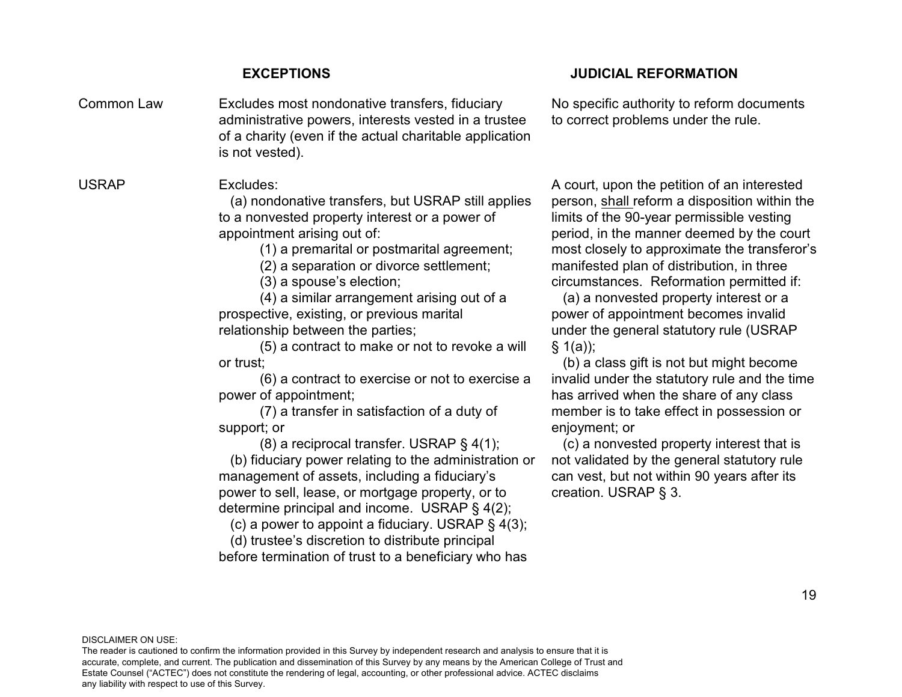Common Law Excludes most nondonative transfers, fiduciary administrative powers, interests vested in a trustee of a charity (even if the actual charitable application is not vested).

USRAP Excludes:

 (a) nondonative transfers, but USRAP still applies to a nonvested property interest or a power of appointment arising out of:

(1) a premarital or postmarital agreement;

(2) a separation or divorce settlement;

(3) a spouse's election;

(4) a similar arrangement arising out of a prospective, existing, or previous marital relationship between the parties;

(5) a contract to make or not to revoke a will or trust;

(6) a contract to exercise or not to exercise a power of appointment;

(7) a transfer in satisfaction of a duty of support; or

(8) a reciprocal transfer. USRAP § 4(1); (b) fiduciary power relating to the administration or management of assets, including a fiduciary's power to sell, lease, or mortgage property, or to determine principal and income. USRAP § 4(2);

(c) a power to appoint a fiduciary. USRAP § 4(3);

 (d) trustee's discretion to distribute principal before termination of trust to a beneficiary who has

# **EXCEPTIONS JUDICIAL REFORMATION**

No specific authority to reform documents to correct problems under the rule.

A court, upon the petition of an interested person, shall reform a disposition within the limits of the 90-year permissible vesting period, in the manner deemed by the court most closely to approximate the transferor's manifested plan of distribution, in three circumstances. Reformation permitted if:

 (a) a nonvested property interest or a power of appointment becomes invalid under the general statutory rule (USRAP § 1(a));

 (b) a class gift is not but might become invalid under the statutory rule and the time has arrived when the share of any class member is to take effect in possession or enjoyment; or

 (c) a nonvested property interest that is not validated by the general statutory rule can vest, but not within 90 years after its creation. USRAP § 3.

DISCLAIMER ON USE: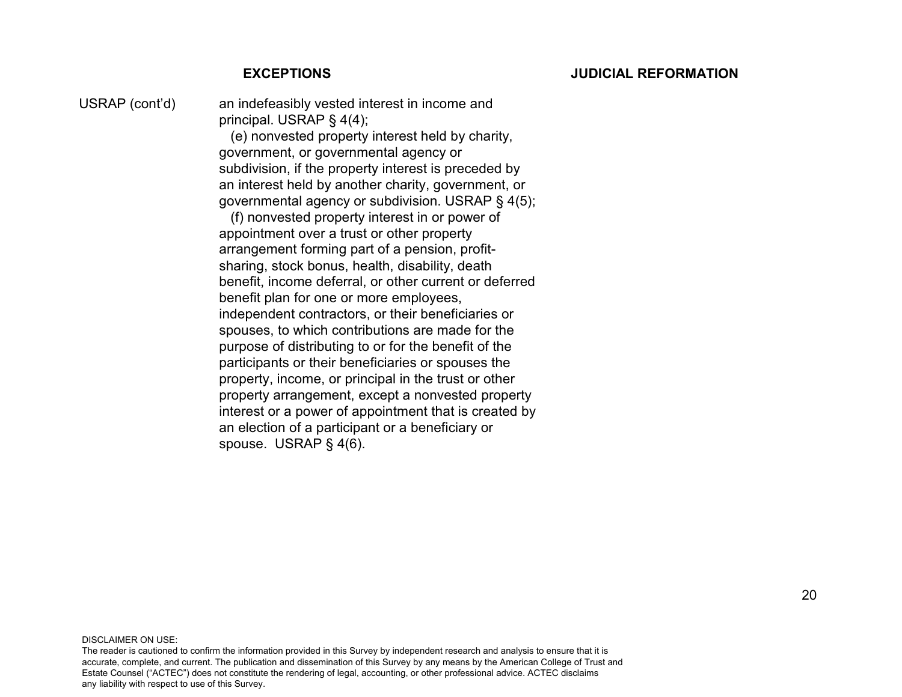USRAP (cont'd) an indefeasibly vested interest in income and principal. USRAP § 4(4);

> (e) nonvested property interest held by charity, government, or governmental agency or subdivision, if the property interest is preceded by an interest held by another charity, government, or governmental agency or subdivision. USRAP § 4(5);

 (f) nonvested property interest in or power of appointment over a trust or other property arrangement forming part of a pension, profitsharing, stock bonus, health, disability, death benefit, income deferral, or other current or deferred benefit plan for one or more employees, independent contractors, or their beneficiaries or spouses, to which contributions are made for the purpose of distributing to or for the benefit of the participants or their beneficiaries or spouses the property, income, or principal in the trust or other property arrangement, except a nonvested property interest or a power of appointment that is created by an election of a participant or a beneficiary or spouse. USRAP § 4(6).

DISCLAIMER ON USE: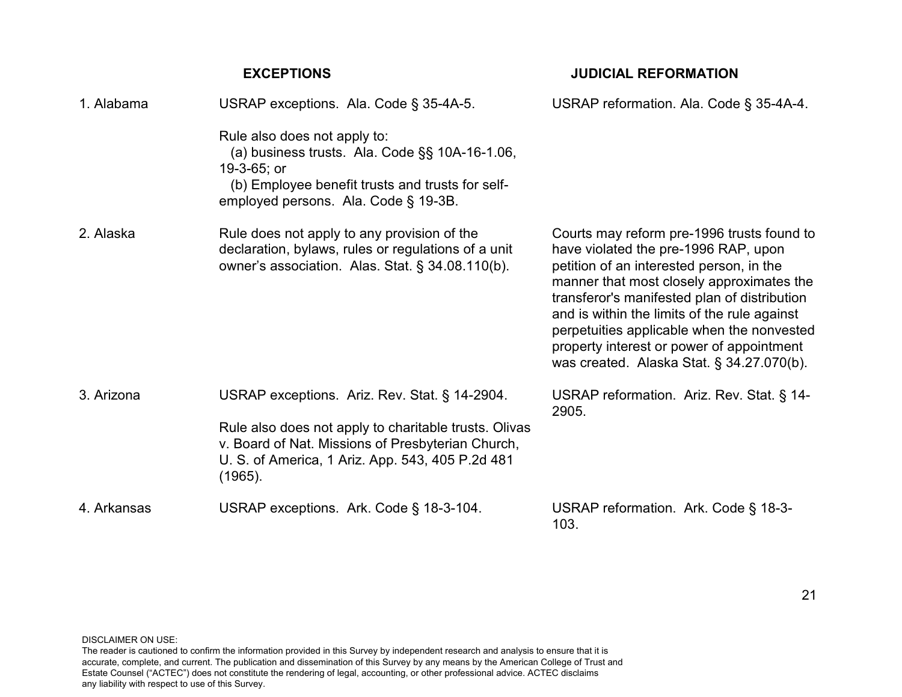| 1. Alabama  | USRAP exceptions. Ala. Code § 35-4A-5.                                                                                                                                                                                     | USRAP reformation. Ala. Code § 35-4A-4.                                                                                                                                                                                                                                                                                                                                                                             |
|-------------|----------------------------------------------------------------------------------------------------------------------------------------------------------------------------------------------------------------------------|---------------------------------------------------------------------------------------------------------------------------------------------------------------------------------------------------------------------------------------------------------------------------------------------------------------------------------------------------------------------------------------------------------------------|
|             | Rule also does not apply to:<br>(a) business trusts. Ala. Code $\S$ § 10A-16-1.06,<br>19-3-65; or<br>(b) Employee benefit trusts and trusts for self-<br>employed persons. Ala. Code § 19-3B.                              |                                                                                                                                                                                                                                                                                                                                                                                                                     |
| 2. Alaska   | Rule does not apply to any provision of the<br>declaration, bylaws, rules or regulations of a unit<br>owner's association. Alas. Stat. § 34.08.110(b).                                                                     | Courts may reform pre-1996 trusts found to<br>have violated the pre-1996 RAP, upon<br>petition of an interested person, in the<br>manner that most closely approximates the<br>transferor's manifested plan of distribution<br>and is within the limits of the rule against<br>perpetuities applicable when the nonvested<br>property interest or power of appointment<br>was created. Alaska Stat. § 34.27.070(b). |
| 3. Arizona  | USRAP exceptions. Ariz. Rev. Stat. § 14-2904.<br>Rule also does not apply to charitable trusts. Olivas<br>v. Board of Nat. Missions of Presbyterian Church,<br>U. S. of America, 1 Ariz. App. 543, 405 P.2d 481<br>(1965). | USRAP reformation. Ariz. Rev. Stat. § 14-<br>2905.                                                                                                                                                                                                                                                                                                                                                                  |
| 4. Arkansas | USRAP exceptions. Ark. Code § 18-3-104.                                                                                                                                                                                    | USRAP reformation. Ark. Code § 18-3-<br>103.                                                                                                                                                                                                                                                                                                                                                                        |

DISCLAIMER ON USE: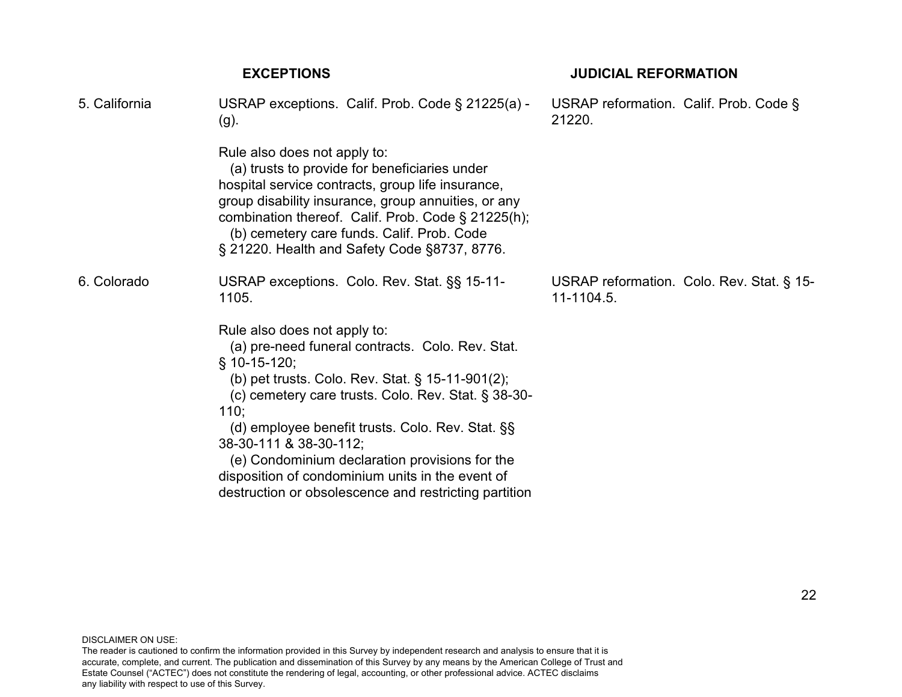| 5. California | USRAP exceptions. Calif. Prob. Code § 21225(a) -<br>$(g)$ .                                                                                                                                                                                                                                                                                                                                                                                                        | USRAP reformation. Calif. Prob. Code $\S$<br>21220. |                                           |
|---------------|--------------------------------------------------------------------------------------------------------------------------------------------------------------------------------------------------------------------------------------------------------------------------------------------------------------------------------------------------------------------------------------------------------------------------------------------------------------------|-----------------------------------------------------|-------------------------------------------|
|               | Rule also does not apply to:<br>(a) trusts to provide for beneficiaries under<br>hospital service contracts, group life insurance,<br>group disability insurance, group annuities, or any<br>combination thereof. Calif. Prob. Code § 21225(h);<br>(b) cemetery care funds. Calif. Prob. Code<br>§ 21220. Health and Safety Code §8737, 8776.                                                                                                                      |                                                     |                                           |
| 6. Colorado   | USRAP exceptions. Colo. Rev. Stat. §§ 15-11-<br>1105.                                                                                                                                                                                                                                                                                                                                                                                                              | 11-1104.5.                                          | USRAP reformation. Colo. Rev. Stat. § 15- |
|               | Rule also does not apply to:<br>(a) pre-need funeral contracts. Colo. Rev. Stat.<br>$§ 10-15-120;$<br>(b) pet trusts. Colo. Rev. Stat. § 15-11-901(2);<br>(c) cemetery care trusts. Colo. Rev. Stat. § 38-30-<br>110;<br>(d) employee benefit trusts. Colo. Rev. Stat. §§<br>38-30-111 & 38-30-112;<br>(e) Condominium declaration provisions for the<br>disposition of condominium units in the event of<br>destruction or obsolescence and restricting partition |                                                     |                                           |

DISCLAIMER ON USE: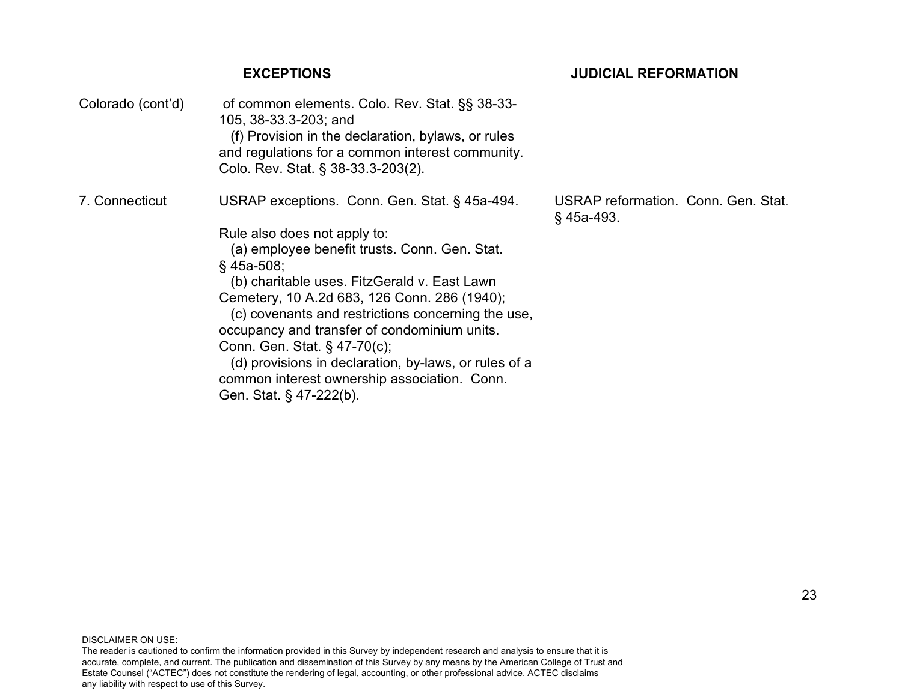| Colorado (cont'd) | of common elements. Colo. Rev. Stat. §§ 38-33-<br>105, 38-33.3-203; and<br>(f) Provision in the declaration, bylaws, or rules<br>and regulations for a common interest community.<br>Colo. Rev. Stat. § 38-33.3-203(2).                                                                                                                                                                                                                                                                                                |                                 |
|-------------------|------------------------------------------------------------------------------------------------------------------------------------------------------------------------------------------------------------------------------------------------------------------------------------------------------------------------------------------------------------------------------------------------------------------------------------------------------------------------------------------------------------------------|---------------------------------|
| 7. Connecticut    | USRAP exceptions. Conn. Gen. Stat. § 45a-494.<br>Rule also does not apply to:<br>(a) employee benefit trusts. Conn. Gen. Stat.<br>§ 45a-508;<br>(b) charitable uses. FitzGerald v. East Lawn<br>Cemetery, 10 A.2d 683, 126 Conn. 286 (1940);<br>(c) covenants and restrictions concerning the use,<br>occupancy and transfer of condominium units.<br>Conn. Gen. Stat. § 47-70(c);<br>(d) provisions in declaration, by-laws, or rules of a<br>common interest ownership association. Conn.<br>Gen. Stat. § 47-222(b). | <b>USRAP</b> refo<br>§ 45a-493. |

ormation. Conn. Gen. Stat.

## DISCLAIMER ON USE: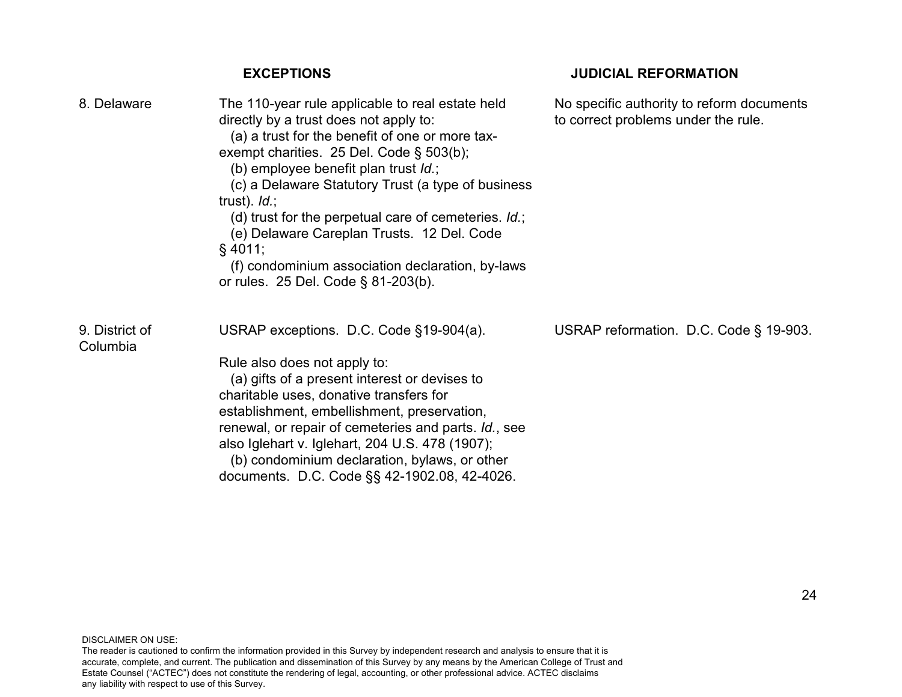| 8. Delaware                | The 110-year rule applicable to real estate held<br>directly by a trust does not apply to:<br>(a) a trust for the benefit of one or more tax-<br>exempt charities. 25 Del. Code § 503(b);<br>(b) employee benefit plan trust Id.;<br>(c) a Delaware Statutory Trust (a type of business<br>trust). $Id$ .;<br>(d) trust for the perpetual care of cemeteries. Id.;<br>(e) Delaware Careplan Trusts. 12 Del. Code<br>$§$ 4011;<br>(f) condominium association declaration, by-laws<br>or rules. $25$ Del. Code § 81-203(b). | No specific authority to reform documents<br>to correct problems under the rule. |
|----------------------------|----------------------------------------------------------------------------------------------------------------------------------------------------------------------------------------------------------------------------------------------------------------------------------------------------------------------------------------------------------------------------------------------------------------------------------------------------------------------------------------------------------------------------|----------------------------------------------------------------------------------|
| 9. District of<br>Columbia | USRAP exceptions. D.C. Code §19-904(a).<br>Rule also does not apply to:<br>(a) gifts of a present interest or devises to<br>charitable uses, donative transfers for<br>establishment, embellishment, preservation,<br>renewal, or repair of cemeteries and parts. Id., see<br>also Iglehart v. Iglehart, 204 U.S. 478 (1907);<br>(b) condominium declaration, bylaws, or other<br>documents. D.C. Code §§ 42-1902.08, 42-4026.                                                                                             | USRAP reformation. D.C. Code § 19-903.                                           |

DISCLAIMER ON USE:

The reader is cautioned to confirm the information provided in this Survey by independent research and analysis to ensure that it is accurate, complete, and current. The publication and dissemination of this Survey by any means by the American College of Trust and Estate Counsel ("ACTEC") does not constitute the rendering of legal, accounting, or other professional advice. ACTEC disclaims any liability with respect to use of this Survey.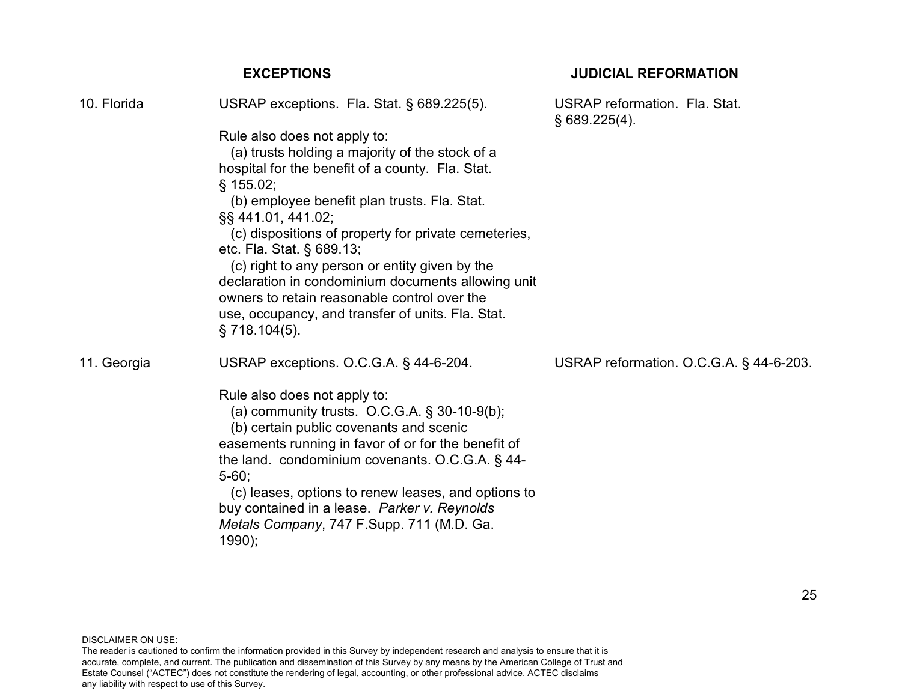| 10. Florida | USRAP exceptions. Fla. Stat. $\S$ 689.225(5).                                                                                                                                                                                                                                                                                                                                                                                                                                                                                                | USRAP reformation. Fla. Stat.<br>$§$ 689.225(4). |
|-------------|----------------------------------------------------------------------------------------------------------------------------------------------------------------------------------------------------------------------------------------------------------------------------------------------------------------------------------------------------------------------------------------------------------------------------------------------------------------------------------------------------------------------------------------------|--------------------------------------------------|
|             | Rule also does not apply to:<br>(a) trusts holding a majority of the stock of a<br>hospital for the benefit of a county. Fla. Stat.<br>§ 155.02;<br>(b) employee benefit plan trusts. Fla. Stat.<br>§§ 441.01, 441.02;<br>(c) dispositions of property for private cemeteries,<br>etc. Fla. Stat. § 689.13;<br>(c) right to any person or entity given by the<br>declaration in condominium documents allowing unit<br>owners to retain reasonable control over the<br>use, occupancy, and transfer of units. Fla. Stat.<br>$\S$ 718.104(5). |                                                  |
| 11. Georgia | USRAP exceptions. O.C.G.A. § 44-6-204.                                                                                                                                                                                                                                                                                                                                                                                                                                                                                                       | USRAP reformation. O.C.G.A. § 44-6-203.          |
|             | Rule also does not apply to:<br>(a) community trusts. O.C.G.A. $\S$ 30-10-9(b);<br>(b) certain public covenants and scenic<br>easements running in favor of or for the benefit of<br>the land. condominium covenants. O.C.G.A. § 44-<br>$5 - 60;$<br>(c) leases, options to renew leases, and options to<br>buy contained in a lease. Parker v. Reynolds<br>Metals Company, 747 F.Supp. 711 (M.D. Ga.                                                                                                                                        |                                                  |

1990);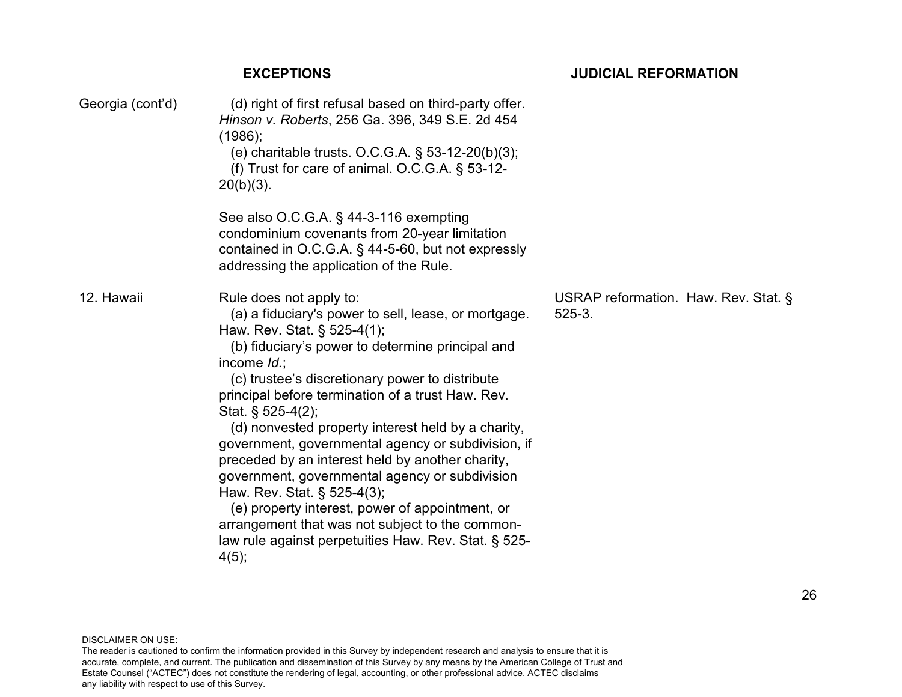| Georgia (cont'd) | (d) right of first refusal based on third-party offer.<br>Hinson v. Roberts, 256 Ga. 396, 349 S.E. 2d 454<br>(1986);<br>(e) charitable trusts. O.C.G.A. $\S$ 53-12-20(b)(3);<br>(f) Trust for care of animal. O.C.G.A. § 53-12-<br>$20(b)(3)$ .                                                                                                                                                                                                                                                                                                                                                                                                                                                                                              |                                                  |
|------------------|----------------------------------------------------------------------------------------------------------------------------------------------------------------------------------------------------------------------------------------------------------------------------------------------------------------------------------------------------------------------------------------------------------------------------------------------------------------------------------------------------------------------------------------------------------------------------------------------------------------------------------------------------------------------------------------------------------------------------------------------|--------------------------------------------------|
|                  | See also O.C.G.A. § 44-3-116 exempting<br>condominium covenants from 20-year limitation<br>contained in O.C.G.A. § 44-5-60, but not expressly<br>addressing the application of the Rule.                                                                                                                                                                                                                                                                                                                                                                                                                                                                                                                                                     |                                                  |
| 12. Hawaii       | Rule does not apply to:<br>(a) a fiduciary's power to sell, lease, or mortgage.<br>Haw. Rev. Stat. § 525-4(1);<br>(b) fiduciary's power to determine principal and<br>income $Id$ .;<br>(c) trustee's discretionary power to distribute<br>principal before termination of a trust Haw. Rev.<br>Stat. $\S$ 525-4(2);<br>(d) nonvested property interest held by a charity,<br>government, governmental agency or subdivision, if<br>preceded by an interest held by another charity,<br>government, governmental agency or subdivision<br>Haw. Rev. Stat. § 525-4(3);<br>(e) property interest, power of appointment, or<br>arrangement that was not subject to the common-<br>law rule against perpetuities Haw. Rev. Stat. § 525-<br>4(5); | USRAP reformation. Haw. Rev. Stat. §<br>$525-3.$ |

DISCLAIMER ON USE: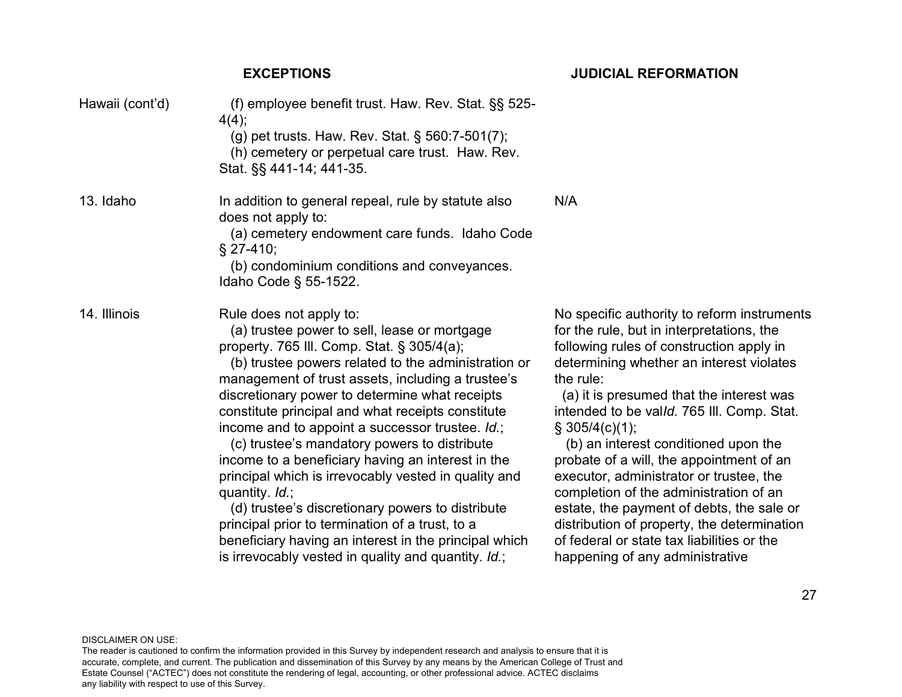DISCLAIMER ON USE:

The reader is cautioned to confirm the information provided in this Survey by independent research and analysis to ensure that it is accurate, complete, and current. The publication and dissemination of this Survey by any means by the American College of Trust and Estate Counsel ("ACTEC") does not constitute the rendering of legal, accounting, or other professional advice. ACTEC disclaims any liability with respect to use of this Survey.

| Hawaii (cont'd) | (f) employee benefit trust. Haw. Rev. Stat. §§ 525-<br>4(4);<br>(g) pet trusts. Haw. Rev. Stat. $\S$ 560:7-501(7);<br>(h) cemetery or perpetual care trust. Haw. Rev.<br>Stat. §§ 441-14; 441-35.                                                                                                                                                                                                                                                                                                                                                                                                                                                                                                                                                                                                 |                                                                                                                                                                                                                                                                                                                                                                                                                                                                                                                                                                                                                                                                    |
|-----------------|---------------------------------------------------------------------------------------------------------------------------------------------------------------------------------------------------------------------------------------------------------------------------------------------------------------------------------------------------------------------------------------------------------------------------------------------------------------------------------------------------------------------------------------------------------------------------------------------------------------------------------------------------------------------------------------------------------------------------------------------------------------------------------------------------|--------------------------------------------------------------------------------------------------------------------------------------------------------------------------------------------------------------------------------------------------------------------------------------------------------------------------------------------------------------------------------------------------------------------------------------------------------------------------------------------------------------------------------------------------------------------------------------------------------------------------------------------------------------------|
| 13. Idaho       | In addition to general repeal, rule by statute also<br>does not apply to:<br>(a) cemetery endowment care funds. Idaho Code<br>$\S$ 27-410;<br>(b) condominium conditions and conveyances.<br>Idaho Code § 55-1522.                                                                                                                                                                                                                                                                                                                                                                                                                                                                                                                                                                                | N/A                                                                                                                                                                                                                                                                                                                                                                                                                                                                                                                                                                                                                                                                |
| 14. Illinois    | Rule does not apply to:<br>(a) trustee power to sell, lease or mortgage<br>property. 765 III. Comp. Stat. § 305/4(a);<br>(b) trustee powers related to the administration or<br>management of trust assets, including a trustee's<br>discretionary power to determine what receipts<br>constitute principal and what receipts constitute<br>income and to appoint a successor trustee. Id.;<br>(c) trustee's mandatory powers to distribute<br>income to a beneficiary having an interest in the<br>principal which is irrevocably vested in quality and<br>quantity. Id.;<br>(d) trustee's discretionary powers to distribute<br>principal prior to termination of a trust, to a<br>beneficiary having an interest in the principal which<br>is irrevocably vested in quality and quantity. Id.; | No specific authority to reform instruments<br>for the rule, but in interpretations, the<br>following rules of construction apply in<br>determining whether an interest violates<br>the rule:<br>(a) it is presumed that the interest was<br>intended to be valld. 765 III. Comp. Stat.<br>$\S$ 305/4(c)(1);<br>(b) an interest conditioned upon the<br>probate of a will, the appointment of an<br>executor, administrator or trustee, the<br>completion of the administration of an<br>estate, the payment of debts, the sale or<br>distribution of property, the determination<br>of federal or state tax liabilities or the<br>happening of any administrative |

## **EXCEPTIONS JUDICIAL REFORMATION**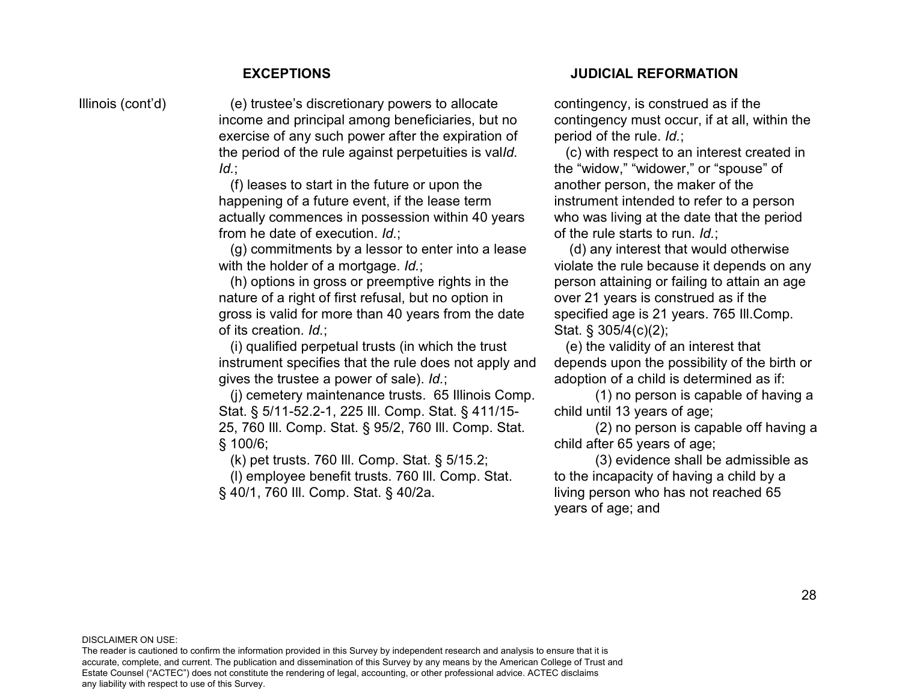Illinois (cont'd) (e) trustee's discretionary powers to allocate income and principal among beneficiaries, but no exercise of any such power after the expiration of the period of the rule against perpetuities is val*Id. Id.*;

> (f) leases to start in the future or upon the happening of a future event, if the lease term actually commences in possession within 40 years from he date of execution. *Id.*;

> (g) commitments by a lessor to enter into a lease with the holder of a mortgage. *Id.*;

> (h) options in gross or preemptive rights in the nature of a right of first refusal, but no option in gross is valid for more than 40 years from the date of its creation. *Id.*;

 (i) qualified perpetual trusts (in which the trust instrument specifies that the rule does not apply and gives the trustee a power of sale). *Id.*;

 (j) cemetery maintenance trusts. 65 Illinois Comp. Stat. § 5/11-52.2-1, 225 Ill. Comp. Stat. § 411/15- 25, 760 Ill. Comp. Stat. § 95/2, 760 Ill. Comp. Stat. § 100/6;

(k) pet trusts. 760 Ill. Comp. Stat. § 5/15.2;

 (l) employee benefit trusts. 760 Ill. Comp. Stat. § 40/1, 760 Ill. Comp. Stat. § 40/2a.

### **EXCEPTIONS JUDICIAL REFORMATION**

contingency, is construed as if the contingency must occur, if at all, within the period of the rule. *Id.*;

 (c) with respect to an interest created in the "widow," "widower," or "spouse" of another person, the maker of the instrument intended to refer to a person who was living at the date that the period of the rule starts to run. *Id.*;

 (d) any interest that would otherwise violate the rule because it depends on any person attaining or failing to attain an age over 21 years is construed as if the specified age is 21 years. 765 Ill.Comp. Stat. § 305/4(c)(2);

 (e) the validity of an interest that depends upon the possibility of the birth or adoption of a child is determined as if:

(1) no person is capable of having a child until 13 years of age;

(2) no person is capable off having a child after 65 years of age;

(3) evidence shall be admissible as to the incapacity of having a child by a living person who has not reached 65 years of age; and

### DISCLAIMER ON USE: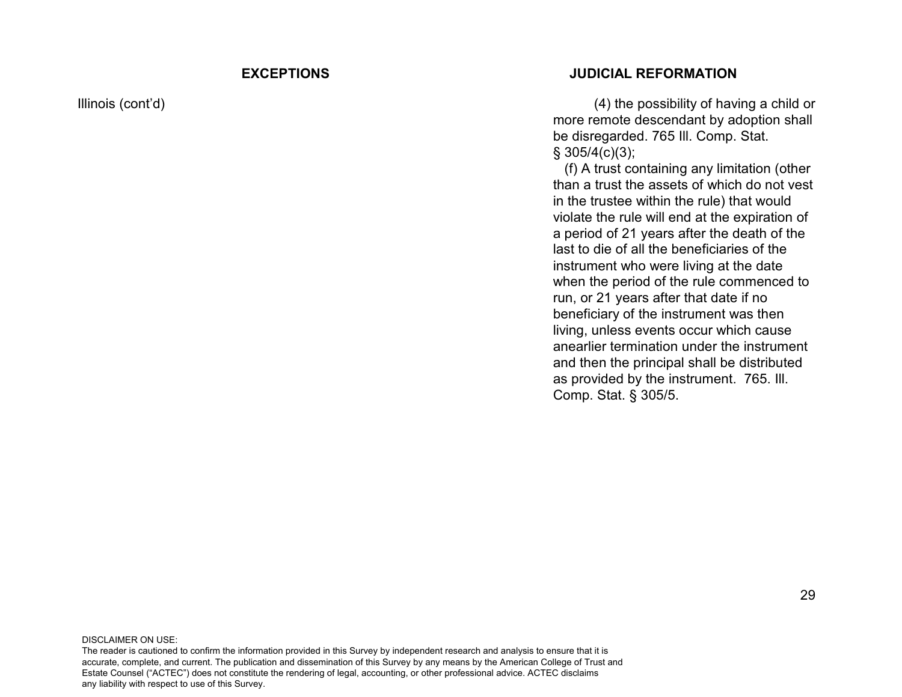Illinois (cont'd) and in the possibility of having a child or more remote descendant by adoption shall be disregarded. 765 Ill. Comp. Stat.  $§$  305/4(c)(3);

 (f) A trust containing any limitation (other than a trust the assets of which do not vest in the trustee within the rule) that would violate the rule will end at the expiration of a period of 21 years after the death of the last to die of all the beneficiaries of the instrument who were living at the date when the period of the rule commenced to run, or 21 years after that date if no beneficiary of the instrument was then living, unless events occur which cause anearlier termination under the instrument and then the principal shall be distributed as provided by the instrument. 765. Ill. Comp. Stat. § 305/5.

DISCLAIMER ON USE: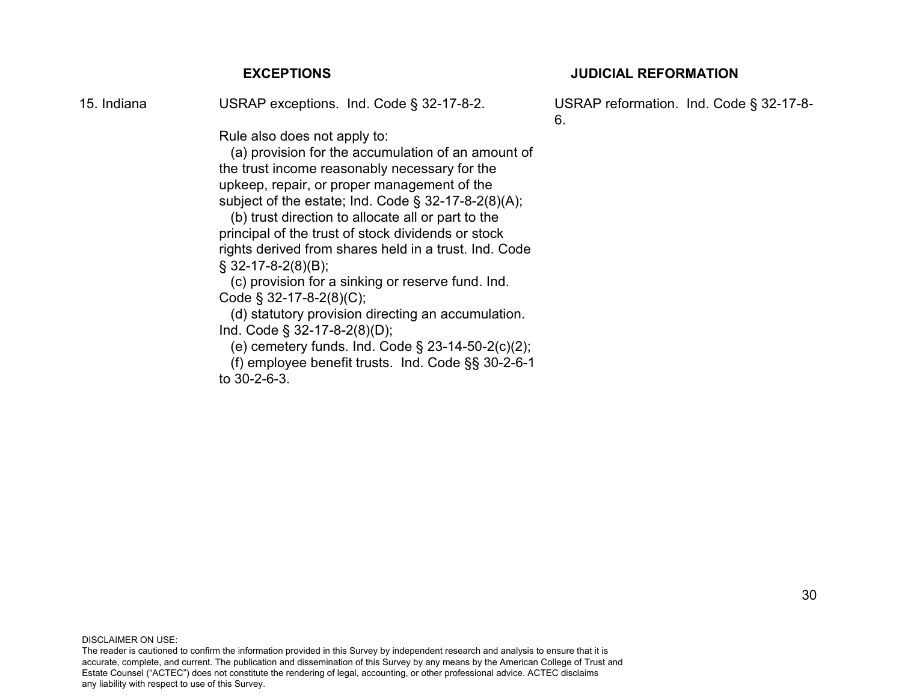15. Indiana USRAP exceptions. Ind. Code § 32-17-8-2.

Rule also does not apply to:

 (a) provision for the accumulation of an amount of the trust income reasonably necessary for the upkeep, repair, or proper management of the subject of the estate; Ind. Code § 32-17-8-2(8)(A);

 (b) trust direction to allocate all or part to the principal of the trust of stock dividends or stock rights derived from shares held in a trust. Ind. Code § 32-17-8-2(8)(B);

 (c) provision for a sinking or reserve fund. Ind. Code § 32-17-8-2(8)(C);

 (d) statutory provision directing an accumulation. Ind. Code § 32-17-8-2(8)(D);

(e) cemetery funds. Ind. Code § 23-14-50-2(c)(2);

 (f) employee benefit trusts. Ind. Code §§ 30-2-6-1 to 30-2-6-3.

# **EXCEPTIONS JUDICIAL REFORMATION**

USRAP reformation. Ind. Code § 32-17-8- 6.

DISCLAIMER ON USE: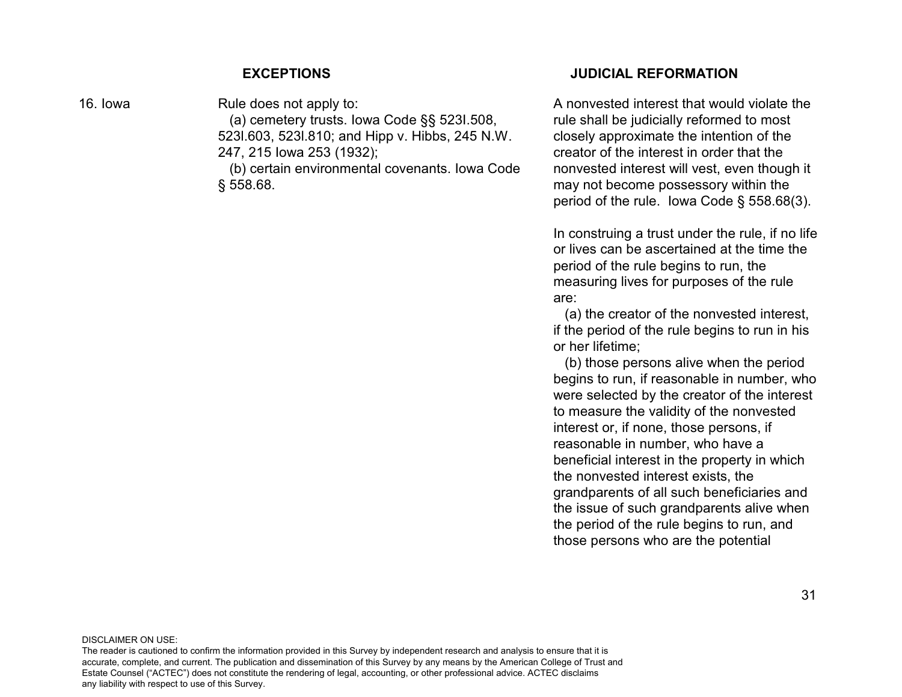16. Iowa Rule does not apply to:

 (a) cemetery trusts. Iowa Code §§ 523I.508, 523l.603, 523l.810; and Hipp v. Hibbs, 245 N.W. 247, 215 Iowa 253 (1932);

 (b) certain environmental covenants. Iowa Code § 558.68.

# **EXCEPTIONS JUDICIAL REFORMATION**

A nonvested interest that would violate the rule shall be judicially reformed to most closely approximate the intention of the creator of the interest in order that the nonvested interest will vest, even though it may not become possessory within the period of the rule. Iowa Code § 558.68(3).

In construing a trust under the rule, if no life or lives can be ascertained at the time the period of the rule begins to run, the measuring lives for purposes of the rule are:

 (a) the creator of the nonvested interest, if the period of the rule begins to run in his or her lifetime;

 (b) those persons alive when the period begins to run, if reasonable in number, who were selected by the creator of the interest to measure the validity of the nonvested interest or, if none, those persons, if reasonable in number, who have a beneficial interest in the property in which the nonvested interest exists, the grandparents of all such beneficiaries and the issue of such grandparents alive when the period of the rule begins to run, and those persons who are the potential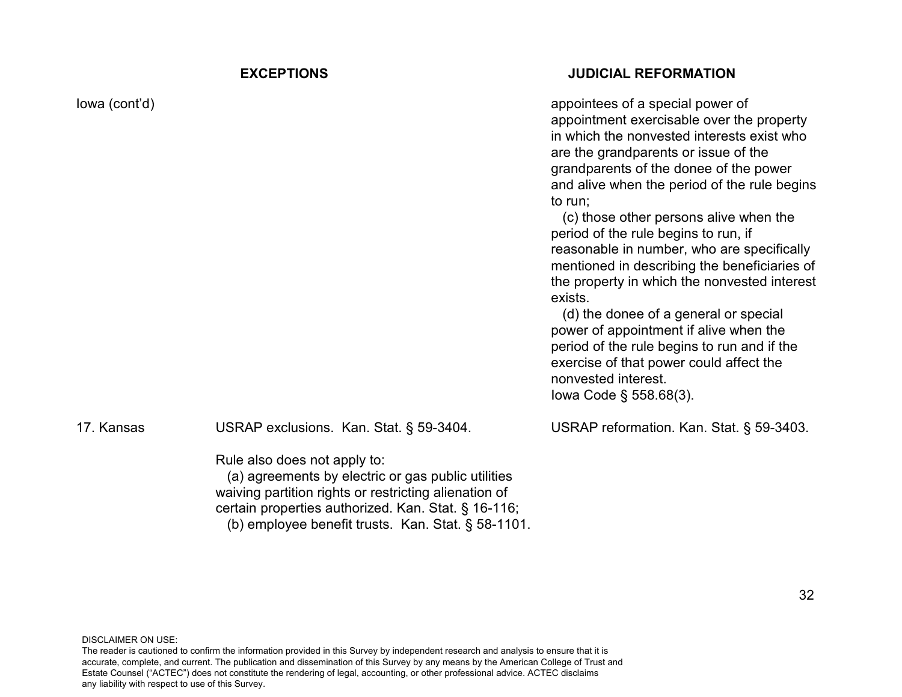# are the grandparents or issue of the grandparents of the donee of the power to run; (c) those other persons alive when the period of the rule begins to run, if exists. (d) the donee of a general or special power of appointment if alive when the period of the rule begins to run and if the exercise of that power could affect the nonvested interest. Iowa Code § 558.68(3). 17. Kansas USRAP exclusions. Kan. Stat. § 59-3404. Rule also does not apply to: (a) agreements by electric or gas public utilities waiving partition rights or restricting alienation of USRAP reformation. Kan. Stat. § 59-3403.

DISCLAIMER ON USE:

The reader is cautioned to confirm the information provided in this Survey by independent research and analysis to ensure that it is accurate, complete, and current. The publication and dissemination of this Survey by any means by the American College of Trust and Estate Counsel ("ACTEC") does not constitute the rendering of legal, accounting, or other professional advice. ACTEC disclaims any liability with respect to use of this Survey.

certain properties authorized. Kan. Stat. § 16-116; (b) employee benefit trusts. Kan. Stat. § 58-1101.

32

# **EXCEPTIONS JUDICIAL REFORMATION**

Iowa (cont'd) appointees of a special power of appointment exercisable over the property in which the nonvested interests exist who and alive when the period of the rule begins

> reasonable in number, who are specifically mentioned in describing the beneficiaries of the property in which the nonvested interest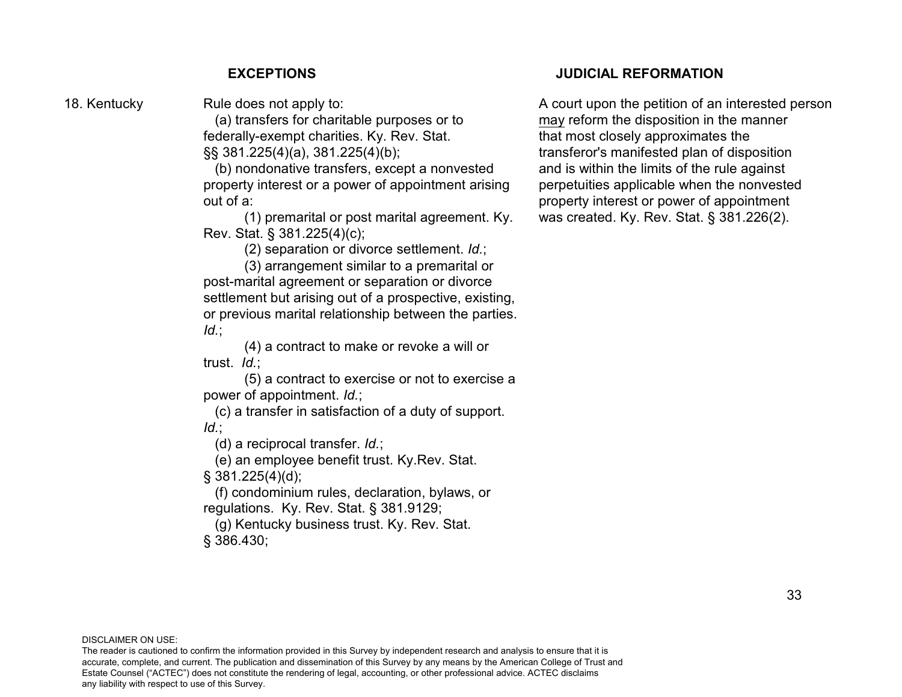18. Kentucky Rule does not apply to:

 (a) transfers for charitable purposes or to federally-exempt charities. Ky. Rev. Stat. §§ 381.225(4)(a), 381.225(4)(b);

 (b) nondonative transfers, except a nonvested property interest or a power of appointment arising out of a:

(1) premarital or post marital agreement. Ky. Rev. Stat. § 381.225(4)(c);

(2) separation or divorce settlement. *Id.*;

(3) arrangement similar to a premarital or post-marital agreement or separation or divorce settlement but arising out of a prospective, existing, or previous marital relationship between the parties. *Id.*;

(4) a contract to make or revoke a will or trust. *Id.*;

(5) a contract to exercise or not to exercise a power of appointment. *Id.*;

 (c) a transfer in satisfaction of a duty of support. *Id.*;

(d) a reciprocal transfer. *Id.*;

(e) an employee benefit trust. Ky.Rev. Stat.

§ 381.225(4)(d);

 (f) condominium rules, declaration, bylaws, or regulations. Ky. Rev. Stat. § 381.9129;

 (g) Kentucky business trust. Ky. Rev. Stat. § 386.430;

# **EXCEPTIONS JUDICIAL REFORMATION**

A court upon the petition of an interested person may reform the disposition in the manner that most closely approximates the transferor's manifested plan of disposition and is within the limits of the rule against perpetuities applicable when the nonvested property interest or power of appointment was created. Ky. Rev. Stat. § 381.226(2).

DISCLAIMER ON USE: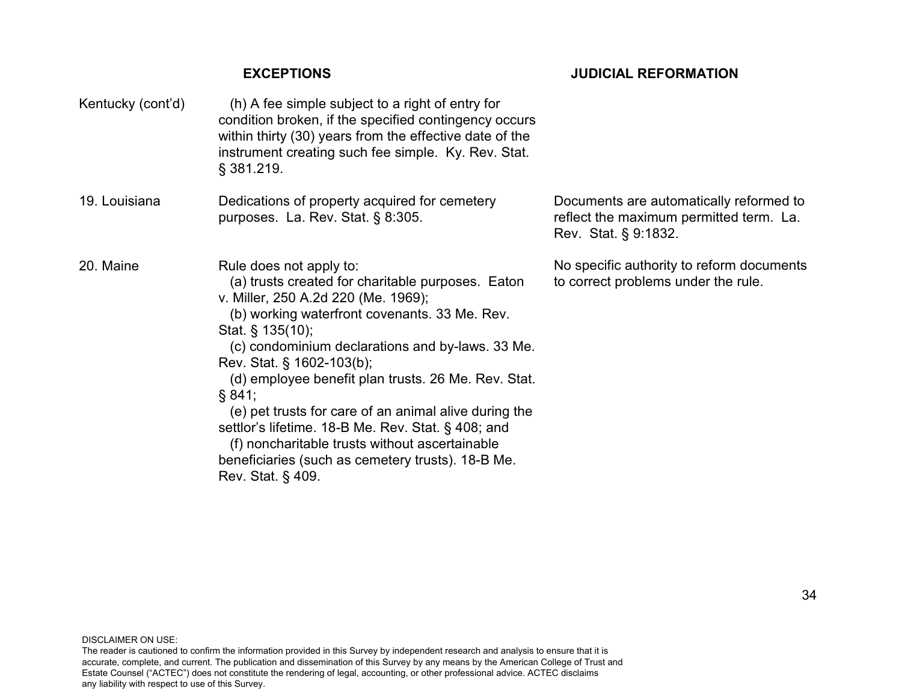- Kentucky (cont'd) (h) A fee simple subject to a right of entry for condition broken, if the specified contingency occurs within thirty (30) years from the effective date of the instrument creating such fee simple. Ky. Rev. Stat. § 381.219.
- 19. Louisiana Dedications of property acquired for cemetery purposes. La. Rev. Stat. § 8:305.

20. Maine Rule does not apply to:

- (a) trusts created for charitable purposes. Eaton
- v. Miller, 250 A.2d 220 (Me. 1969);

 (b) working waterfront covenants. 33 Me. Rev. Stat. § 135(10);

 (c) condominium declarations and by-laws. 33 Me. Rev. Stat. § 1602-103(b);

 (d) employee benefit plan trusts. 26 Me. Rev. Stat. § 841;

 (e) pet trusts for care of an animal alive during the settlor's lifetime. 18-B Me. Rev. Stat. § 408; and

 (f) noncharitable trusts without ascertainable beneficiaries (such as cemetery trusts). 18-B Me. Rev. Stat. § 409.

## **EXCEPTIONS JUDICIAL REFORMATION**

Documents are automatically reformed to reflect the maximum permitted term. La. Rev. Stat. § 9:1832.

No specific authority to reform documents to correct problems under the rule.

### DISCLAIMER ON USE: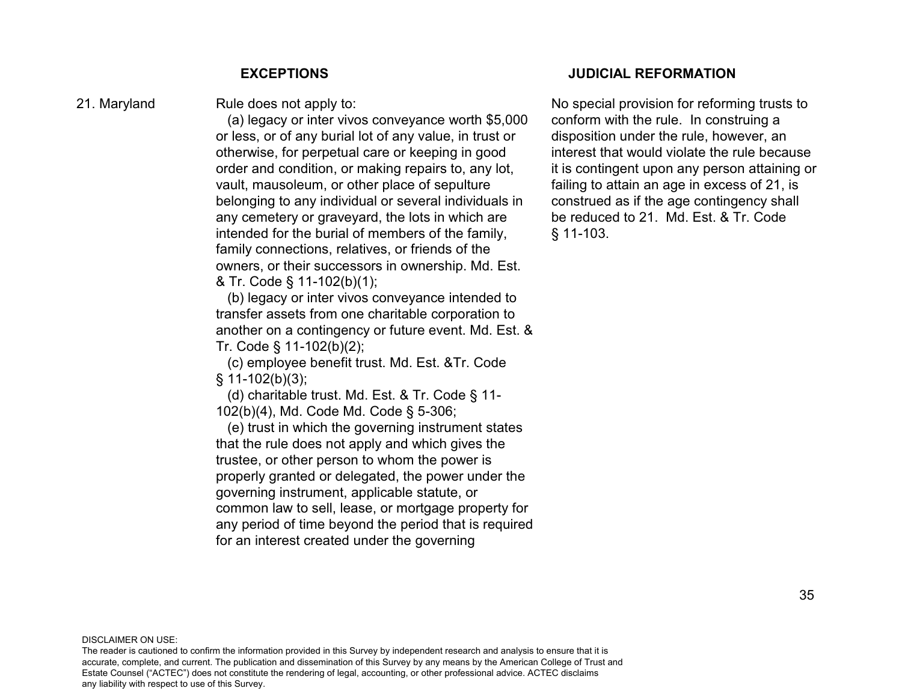21. Maryland Rule does not apply to:

 (a) legacy or inter vivos conveyance worth \$5,000 or less, or of any burial lot of any value, in trust or otherwise, for perpetual care or keeping in good order and condition, or making repairs to, any lot, vault, mausoleum, or other place of sepulture belonging to any individual or several individuals in any cemetery or graveyard, the lots in which are intended for the burial of members of the family, family connections, relatives, or friends of the owners, or their successors in ownership. Md. Est. & Tr. Code § 11-102(b)(1);

 (b) legacy or inter vivos conveyance intended to transfer assets from one charitable corporation to another on a contingency or future event. Md. Est. & Tr. Code § 11-102(b)(2);

 (c) employee benefit trust. Md. Est. &Tr. Code § 11-102(b)(3);

 (d) charitable trust. Md. Est. & Tr. Code § 11- 102(b)(4), Md. Code Md. Code § 5-306;

 (e) trust in which the governing instrument states that the rule does not apply and which gives the trustee, or other person to whom the power is properly granted or delegated, the power under the governing instrument, applicable statute, or common law to sell, lease, or mortgage property for any period of time beyond the period that is required for an interest created under the governing

### **EXCEPTIONS JUDICIAL REFORMATION**

No special provision for reforming trusts to conform with the rule. In construing a disposition under the rule, however, an interest that would violate the rule because it is contingent upon any person attaining or failing to attain an age in excess of 21, is construed as if the age contingency shall be reduced to 21. Md. Est. & Tr. Code § 11-103.

DISCLAIMER ON USE: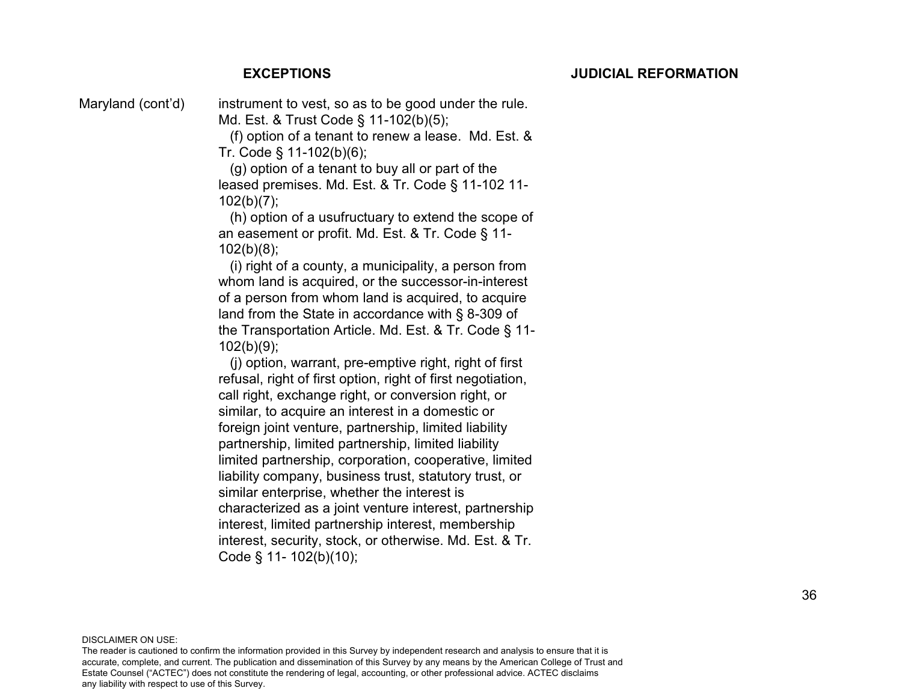Maryland (cont'd) instrument to vest, so as to be good under the rule. Md. Est. & Trust Code § 11-102(b)(5);

> (f) option of a tenant to renew a lease. Md. Est. & Tr. Code § 11-102(b)(6);

 (g) option of a tenant to buy all or part of the leased premises. Md. Est. & Tr. Code § 11-102 11- 102(b)(7);

 (h) option of a usufructuary to extend the scope of an easement or profit. Md. Est. & Tr. Code § 11- 102(b)(8);

 (i) right of a county, a municipality, a person from whom land is acquired, or the successor-in-interest of a person from whom land is acquired, to acquire land from the State in accordance with § 8-309 of the Transportation Article. Md. Est. & Tr. Code § 11- 102(b)(9);

 (j) option, warrant, pre-emptive right, right of first refusal, right of first option, right of first negotiation, call right, exchange right, or conversion right, or similar, to acquire an interest in a domestic or foreign joint venture, partnership, limited liability partnership, limited partnership, limited liability limited partnership, corporation, cooperative, limited liability company, business trust, statutory trust, or similar enterprise, whether the interest is characterized as a joint venture interest, partnership interest, limited partnership interest, membership interest, security, stock, or otherwise. Md. Est. & Tr. Code § 11- 102(b)(10);

DISCLAIMER ON USE: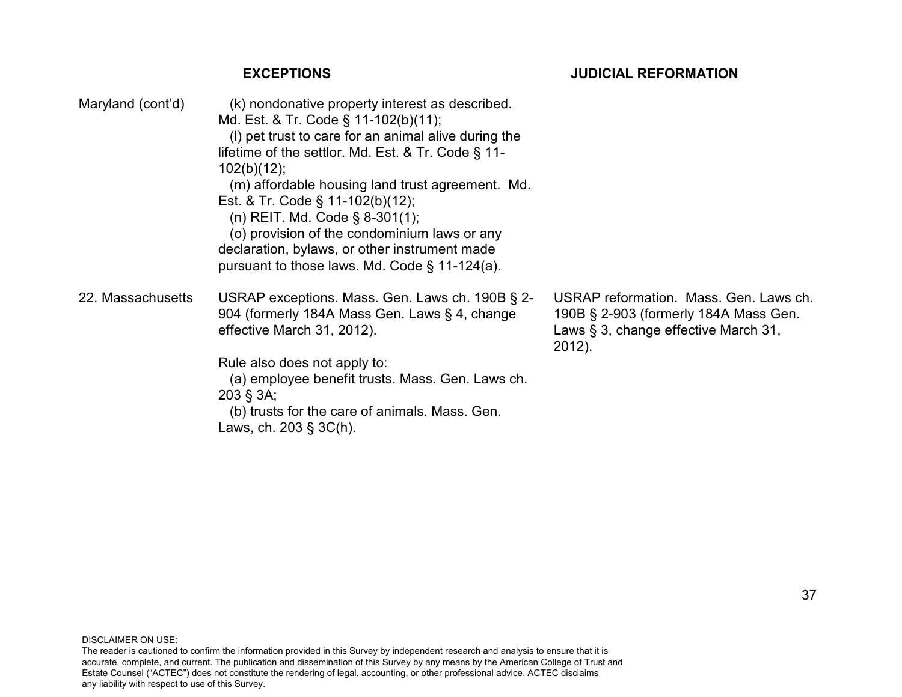| Maryland (cont'd) | (k) nondonative property interest as described.<br>Md. Est. & Tr. Code § 11-102(b)(11);<br>(I) pet trust to care for an animal alive during the<br>lifetime of the settlor. Md. Est. & Tr. Code § 11-<br>102(b)(12);<br>(m) affordable housing land trust agreement. Md.<br>Est. & Tr. Code $\S$ 11-102(b)(12);<br>(n) REIT. Md. Code $\S$ 8-301(1);<br>(o) provision of the condominium laws or any<br>declaration, bylaws, or other instrument made<br>pursuant to those laws. Md. Code § 11-124(a). |                                                                                                                                   |
|-------------------|--------------------------------------------------------------------------------------------------------------------------------------------------------------------------------------------------------------------------------------------------------------------------------------------------------------------------------------------------------------------------------------------------------------------------------------------------------------------------------------------------------|-----------------------------------------------------------------------------------------------------------------------------------|
| 22. Massachusetts | USRAP exceptions. Mass. Gen. Laws ch. 190B § 2-<br>904 (formerly 184A Mass Gen. Laws § 4, change<br>effective March 31, 2012).                                                                                                                                                                                                                                                                                                                                                                         | USRAP reformation. Mass. Gen. Laws ch.<br>190B § 2-903 (formerly 184A Mass Gen.<br>Laws § 3, change effective March 31,<br>2012). |
|                   | Rule also does not apply to:<br>(a) employee benefit trusts. Mass. Gen. Laws ch.<br>$203 \S 3A;$<br>(b) trusts for the care of animals. Mass. Gen.<br>Laws, ch. $203 \S 3C(h)$ .                                                                                                                                                                                                                                                                                                                       |                                                                                                                                   |

DISCLAIMER ON USE: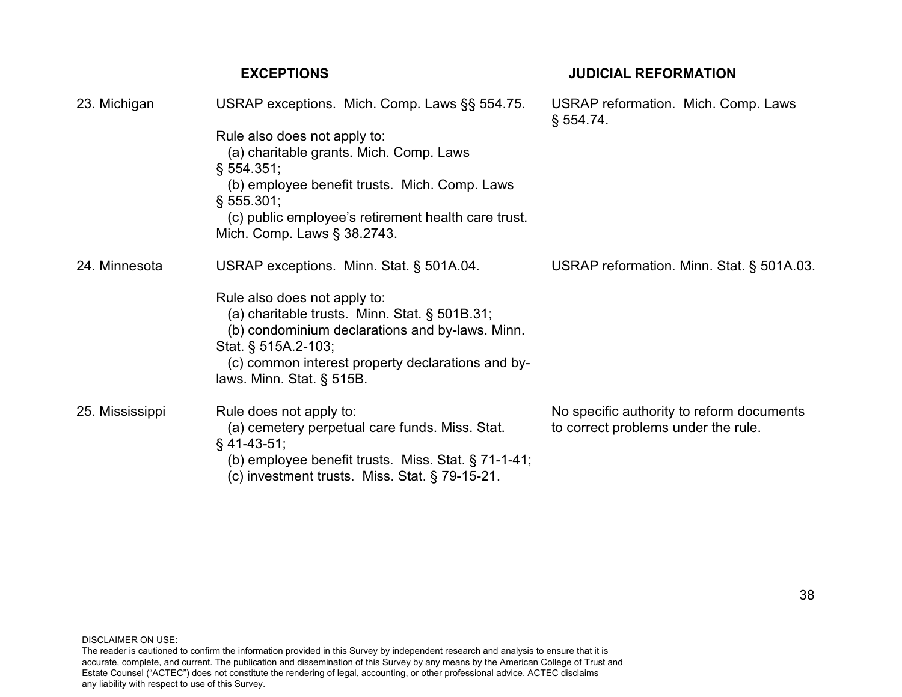# 23. Michigan USRAP exceptions. Mich. Comp. Laws §§ 554.75. Rule also does not apply to: (a) charitable grants. Mich. Comp. Laws § 554.351; (b) employee benefit trusts. Mich. Comp. Laws § 555.301; (c) public employee's retirement health care trust. Mich. Comp. Laws § 38.2743. USRAP reformation. Mich. Comp. Laws § 554.74. 24. Minnesota USRAP exceptions. Minn. Stat. § 501A.04. Rule also does not apply to: (a) charitable trusts. Minn. Stat. § 501B.31; (b) condominium declarations and by-laws. Minn. Stat. § 515A.2-103; (c) common interest property declarations and bylaws. Minn. Stat. § 515B. USRAP reformation. Minn. Stat. § 501A.03. 25. Mississippi Rule does not apply to: (a) cemetery perpetual care funds. Miss. Stat. § 41-43-51; (b) employee benefit trusts. Miss. Stat. § 71-1-41; (c) investment trusts. Miss. Stat. § 79-15-21. No specific authority to reform documents to correct problems under the rule.

DISCLAIMER ON USE: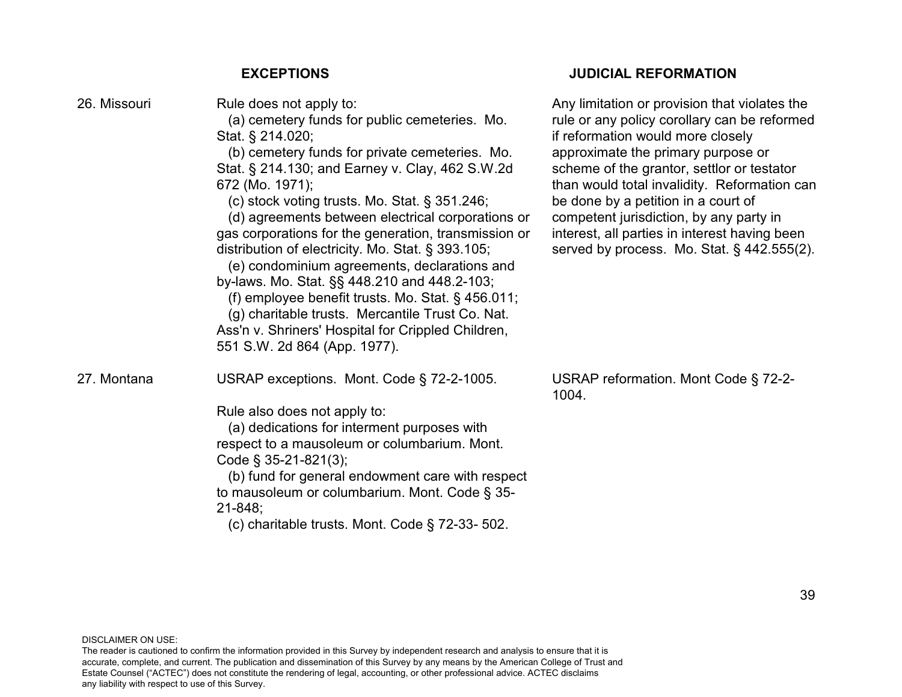| 26. Missouri | Rule does not apply to:<br>(a) cemetery funds for public cemeteries. Mo.<br>Stat. § 214.020;<br>(b) cemetery funds for private cemeteries. Mo.<br>Stat. § 214.130; and Earney v. Clay, 462 S.W.2d<br>672 (Mo. 1971);<br>(c) stock voting trusts. Mo. Stat. $\S$ 351.246;<br>(d) agreements between electrical corporations or<br>gas corporations for the generation, transmission or<br>distribution of electricity. Mo. Stat. § 393.105;<br>(e) condominium agreements, declarations and<br>by-laws. Mo. Stat. §§ 448.210 and 448.2-103;<br>(f) employee benefit trusts. Mo. Stat. $\S$ 456.011;<br>(g) charitable trusts. Mercantile Trust Co. Nat.<br>Ass'n v. Shriners' Hospital for Crippled Children,<br>551 S.W. 2d 864 (App. 1977). | Any limitation or provision that violates the<br>rule or any policy corollary can be reformed<br>if reformation would more closely<br>approximate the primary purpose or<br>scheme of the grantor, settlor or testator<br>than would total invalidity. Reformation can<br>be done by a petition in a court of<br>competent jurisdiction, by any party in<br>interest, all parties in interest having been<br>served by process. Mo. Stat. § 442.555(2). |
|--------------|----------------------------------------------------------------------------------------------------------------------------------------------------------------------------------------------------------------------------------------------------------------------------------------------------------------------------------------------------------------------------------------------------------------------------------------------------------------------------------------------------------------------------------------------------------------------------------------------------------------------------------------------------------------------------------------------------------------------------------------------|---------------------------------------------------------------------------------------------------------------------------------------------------------------------------------------------------------------------------------------------------------------------------------------------------------------------------------------------------------------------------------------------------------------------------------------------------------|
| 27. Montana  | USRAP exceptions. Mont. Code § 72-2-1005.                                                                                                                                                                                                                                                                                                                                                                                                                                                                                                                                                                                                                                                                                                    | USRAP reformation. Mont Code § 72-2-<br>1004.                                                                                                                                                                                                                                                                                                                                                                                                           |
|              | Rule also does not apply to:<br>(a) dedications for interment purposes with<br>respect to a mausoleum or columbarium. Mont.<br>Code $\S$ 35-21-821(3);<br>(b) fund for general endowment care with respect<br>to mausoleum or columbarium. Mont. Code § 35-<br>$21 - 848$ ;<br>(c) charitable trusts. Mont. Code § 72-33- 502.                                                                                                                                                                                                                                                                                                                                                                                                               |                                                                                                                                                                                                                                                                                                                                                                                                                                                         |

DISCLAIMER ON USE: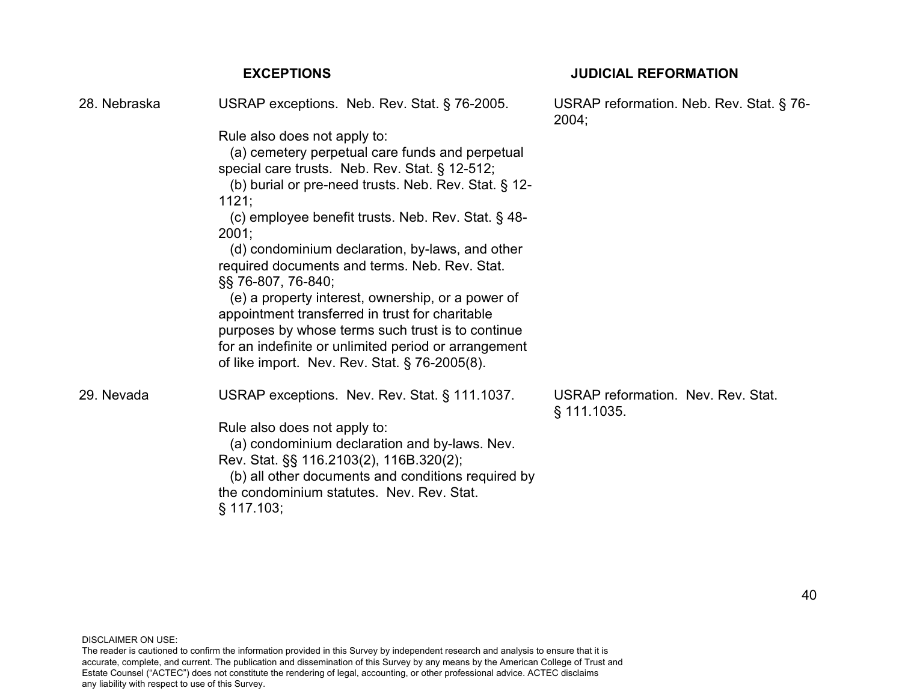| 28. Nebraska | USRAP exceptions. Neb. Rev. Stat. § 76-2005.                                                                                                                                                                                                                                                                                                                                                 | USRAP reformation. Neb. Rev. Stat. § 76-<br>2004; |
|--------------|----------------------------------------------------------------------------------------------------------------------------------------------------------------------------------------------------------------------------------------------------------------------------------------------------------------------------------------------------------------------------------------------|---------------------------------------------------|
|              | Rule also does not apply to:<br>(a) cemetery perpetual care funds and perpetual<br>special care trusts. Neb. Rev. Stat. § 12-512;<br>(b) burial or pre-need trusts. Neb. Rev. Stat. § 12-<br>1121;<br>(c) employee benefit trusts. Neb. Rev. Stat. § 48-<br>2001;                                                                                                                            |                                                   |
|              | (d) condominium declaration, by-laws, and other<br>required documents and terms. Neb. Rev. Stat.<br>§§ 76-807, 76-840;<br>(e) a property interest, ownership, or a power of<br>appointment transferred in trust for charitable<br>purposes by whose terms such trust is to continue<br>for an indefinite or unlimited period or arrangement<br>of like import. Nev. Rev. Stat. § 76-2005(8). |                                                   |
| 29. Nevada   | USRAP exceptions. Nev. Rev. Stat. § 111.1037.<br>Rule also does not apply to:<br>(a) condominium declaration and by-laws. Nev.<br>Rev. Stat. §§ 116.2103(2), 116B.320(2);<br>(b) all other documents and conditions required by<br>the condominium statutes. Nev. Rev. Stat.<br>$\S$ 117.103;                                                                                                | USRAP reformation. Nev. Rev. Stat.<br>§ 111.1035. |

DISCLAIMER ON USE: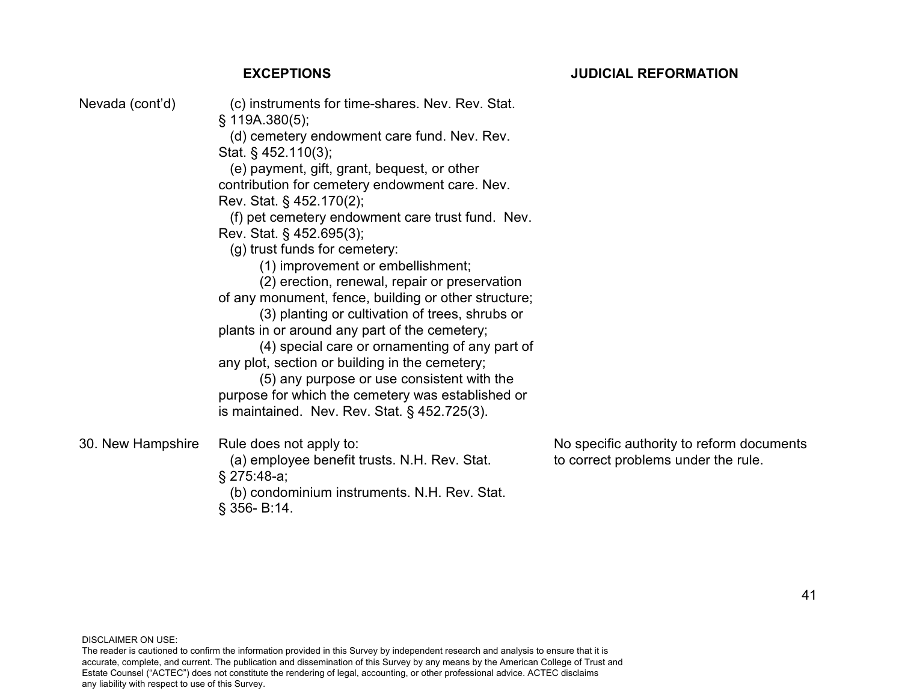Nevada (cont'd) (c) instruments for time-shares. Nev. Rev. Stat. § 119A.380(5); (d) cemetery endowment care fund. Nev. Rev. Stat. § 452.110(3); (e) payment, gift, grant, bequest, or other contribution for cemetery endowment care. Nev. Rev. Stat. § 452.170(2); (f) pet cemetery endowment care trust fund. Nev. Rev. Stat. § 452.695(3); (g) trust funds for cemetery: (1) improvement or embellishment; (2) erection, renewal, repair or preservation of any monument, fence, building or other structure; (3) planting or cultivation of trees, shrubs or plants in or around any part of the cemetery; (4) special care or ornamenting of any part of any plot, section or building in the cemetery; (5) any purpose or use consistent with the purpose for which the cemetery was established or is maintained. Nev. Rev. Stat. § 452.725(3). 30. New Hampshire Rule does not apply to: (a) employee benefit trusts. N.H. Rev. Stat. § 275:48-a; (b) condominium instruments. N.H. Rev. Stat. § 356- B:14.

DISCLAIMER ON USE:

The reader is cautioned to confirm the information provided in this Survey by independent research and analysis to ensure that it is accurate, complete, and current. The publication and dissemination of this Survey by any means by the American College of Trust and Estate Counsel ("ACTEC") does not constitute the rendering of legal, accounting, or other professional advice. ACTEC disclaims any liability with respect to use of this Survey.

No specific authority to reform documents to correct problems under the rule.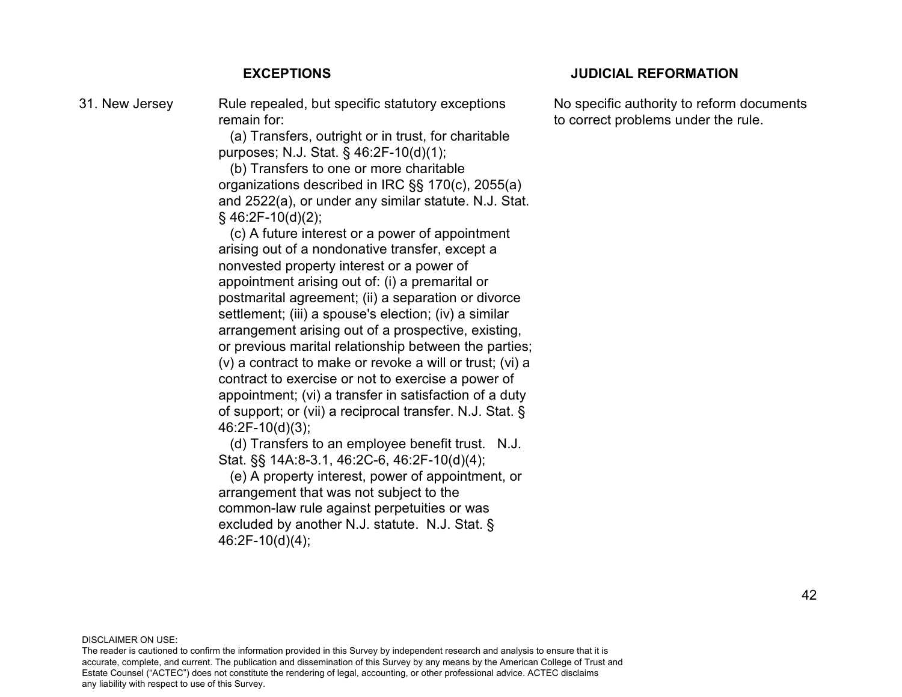31. New Jersey Rule repealed, but specific statutory exceptions remain for:

> (a) Transfers, outright or in trust, for charitable purposes; N.J. Stat. § 46:2F-10(d)(1);

 (b) Transfers to one or more charitable organizations described in IRC §§ 170(c), 2055(a) and 2522(a), or under any similar statute. N.J. Stat. § 46:2F-10(d)(2);

 (c) A future interest or a power of appointment arising out of a nondonative transfer, except a nonvested property interest or a power of appointment arising out of: (i) a premarital or postmarital agreement; (ii) a separation or divorce settlement; (iii) a spouse's election; (iv) a similar arrangement arising out of a prospective, existing, or previous marital relationship between the parties; (v) a contract to make or revoke a will or trust; (vi) a contract to exercise or not to exercise a power of appointment; (vi) a transfer in satisfaction of a duty of support; or (vii) a reciprocal transfer. N.J. Stat. § 46:2F-10(d)(3);

 (d) Transfers to an employee benefit trust. N.J. Stat. §§ 14A:8-3.1, 46:2C-6, 46:2F-10(d)(4);

 (e) A property interest, power of appointment, or arrangement that was not subject to the common-law rule against perpetuities or was excluded by another N.J. statute. N.J. Stat. § 46:2F-10(d)(4);

### **EXCEPTIONS JUDICIAL REFORMATION**

No specific authority to reform documents to correct problems under the rule.

DISCLAIMER ON USE: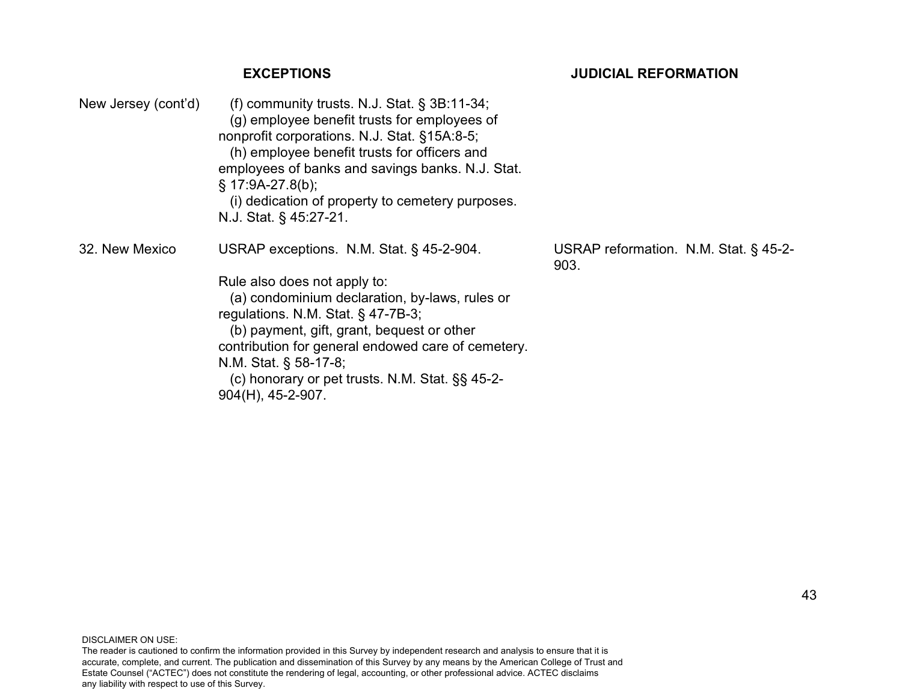| New Jersey (cont'd) | (f) community trusts. N.J. Stat. $\S$ 3B:11-34;<br>(g) employee benefit trusts for employees of<br>nonprofit corporations. N.J. Stat. §15A:8-5;<br>(h) employee benefit trusts for officers and<br>employees of banks and savings banks. N.J. Stat.<br>$\S$ 17:9A-27.8(b);<br>(i) dedication of property to cemetery purposes.<br>N.J. Stat. § 45:27-21. |                                               |
|---------------------|----------------------------------------------------------------------------------------------------------------------------------------------------------------------------------------------------------------------------------------------------------------------------------------------------------------------------------------------------------|-----------------------------------------------|
| 32. New Mexico      | USRAP exceptions. N.M. Stat. § 45-2-904.                                                                                                                                                                                                                                                                                                                 | USRAP reformation. N.M. Stat. § 45-2-<br>903. |
|                     | Rule also does not apply to:<br>(a) condominium declaration, by-laws, rules or<br>regulations. N.M. Stat. $\S$ 47-7B-3;<br>(b) payment, gift, grant, bequest or other<br>contribution for general endowed care of cemetery.<br>N.M. Stat. § 58-17-8;<br>(c) honorary or pet trusts. N.M. Stat. §§ 45-2-<br>$904(H)$ , 45-2-907.                          |                                               |

DISCLAIMER ON USE: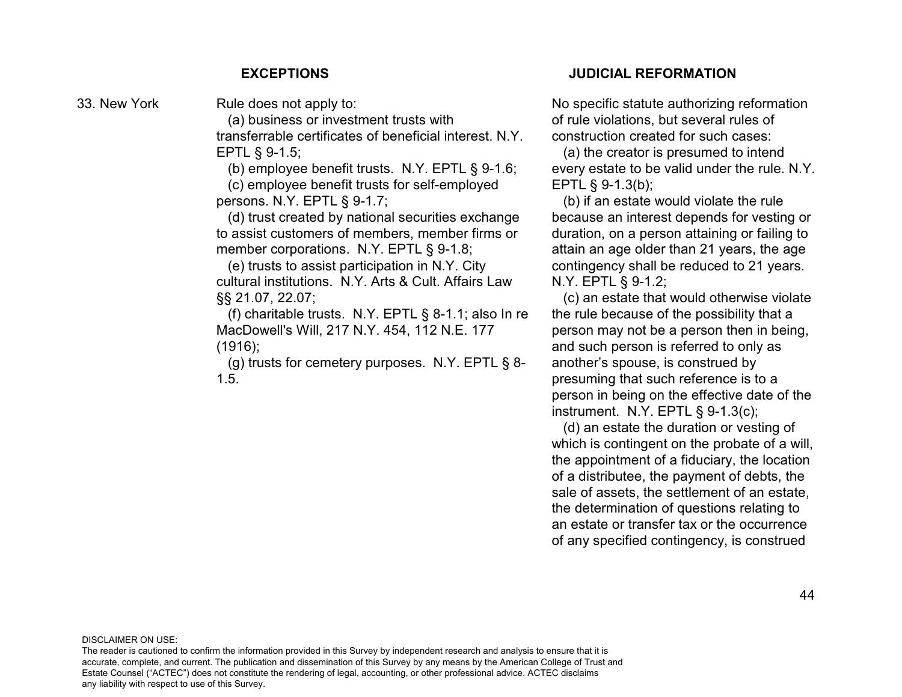33. New York Rule does not apply to:

 (a) business or investment trusts with transferrable certificates of beneficial interest. N.Y. EPTL § 9-1.5;

(b) employee benefit trusts. N.Y. EPTL § 9-1.6;

 (c) employee benefit trusts for self-employed persons. N.Y. EPTL § 9-1.7;

 (d) trust created by national securities exchange to assist customers of members, member firms or member corporations. N.Y. EPTL § 9-1.8;

 (e) trusts to assist participation in N.Y. City cultural institutions. N.Y. Arts & Cult. Affairs Law §§ 21.07, 22.07;

 (f) charitable trusts. N.Y. EPTL § 8-1.1; also In re MacDowell's Will, 217 N.Y. 454, 112 N.E. 177 (1916);

 (g) trusts for cemetery purposes. N.Y. EPTL § 8- 1.5.

## **EXCEPTIONS JUDICIAL REFORMATION**

No specific statute authorizing reformation of rule violations, but several rules of construction created for such cases:

 (a) the creator is presumed to intend every estate to be valid under the rule. N.Y. EPTL § 9-1.3(b);

 (b) if an estate would violate the rule because an interest depends for vesting or duration, on a person attaining or failing to attain an age older than 21 years, the age contingency shall be reduced to 21 years. N.Y. EPTL § 9-1.2;

 (c) an estate that would otherwise violate the rule because of the possibility that a person may not be a person then in being, and such person is referred to only as another's spouse, is construed by presuming that such reference is to a person in being on the effective date of the instrument. N.Y. EPTL § 9-1.3(c);

 (d) an estate the duration or vesting of which is contingent on the probate of a will, the appointment of a fiduciary, the location of a distributee, the payment of debts, the sale of assets, the settlement of an estate, the determination of questions relating to an estate or transfer tax or the occurrence of any specified contingency, is construed

DISCLAIMER ON USE: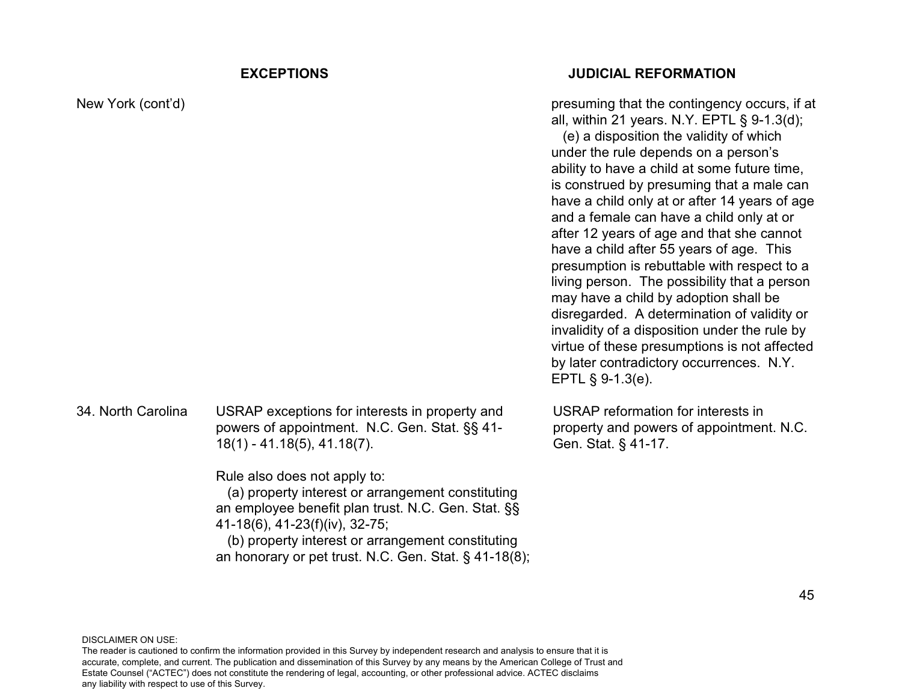The reader is cautioned to confirm the information provided in this Survey by independent research and analysis to ensure that it is accurate, complete, and current. The publication and dissemination of this Survey by any means by the American College of Trust and Estate Counsel ("ACTEC") does not constitute the rendering of legal, accounting, or other professional advice. ACTEC disclaims any liability with respect to use of this Survey.

## **EXCEPTIONS JUDICIAL REFORMATION**

New York (cont'd) **New York** (cont'd) **presuming that the contingency occurs**, if at all, within 21 years. N.Y. EPTL § 9-1.3(d);

> (e) a disposition the validity of which under the rule depends on a person's ability to have a child at some future time, is construed by presuming that a male can have a child only at or after 14 years of age and a female can have a child only at or after 12 years of age and that she cannot have a child after 55 years of age. This presumption is rebuttable with respect to a living person. The possibility that a person may have a child by adoption shall be disregarded. A determination of validity or invalidity of a disposition under the rule by virtue of these presumptions is not affected by later contradictory occurrences. N.Y. EPTL § 9-1.3(e).

USRAP reformation for interests in property and powers of appointment. N.C. Gen. Stat. § 41-17.

Rule also does not apply to:

34. North Carolina USRAP exceptions for interests in property and

18(1) - 41.18(5), 41.18(7).

 (a) property interest or arrangement constituting an employee benefit plan trust. N.C. Gen. Stat. §§ 41-18(6), 41-23(f)(iv), 32-75;

powers of appointment. N.C. Gen. Stat. §§ 41-

 (b) property interest or arrangement constituting an honorary or pet trust. N.C. Gen. Stat. § 41-18(8);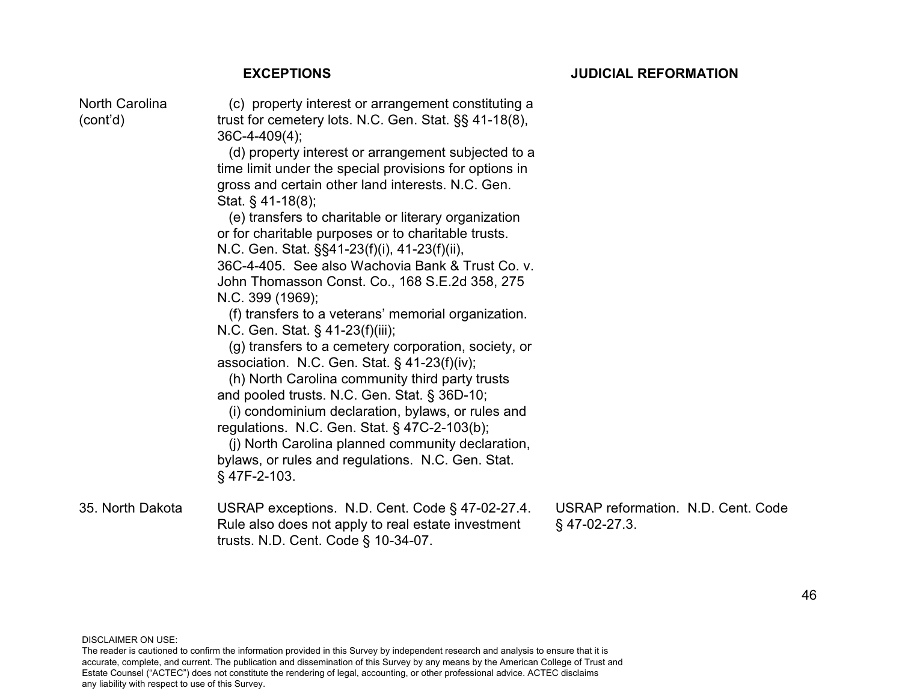North Carolina (cont'd) (c) property interest or arrangement constituting a trust for cemetery lots. N.C. Gen. Stat. §§ 41-18(8), 36C-4-409(4); (d) property interest or arrangement subjected to a time limit under the special provisions for options in gross and certain other land interests. N.C. Gen. Stat. § 41-18(8); (e) transfers to charitable or literary organization or for charitable purposes or to charitable trusts. N.C. Gen. Stat. §§41-23(f)(i), 41-23(f)(ii), 36C-4-405. See also Wachovia Bank & Trust Co. v. John Thomasson Const. Co., 168 S.E.2d 358, 275 N.C. 399 (1969); (f) transfers to a veterans' memorial organization. N.C. Gen. Stat. § 41-23(f)(iii); (g) transfers to a cemetery corporation, society, or association. N.C. Gen. Stat. § 41-23(f)(iv); (h) North Carolina community third party trusts and pooled trusts. N.C. Gen. Stat. § 36D-10; (i) condominium declaration, bylaws, or rules and regulations. N.C. Gen. Stat. § 47C-2-103(b); (j) North Carolina planned community declaration, bylaws, or rules and regulations. N.C. Gen. Stat. § 47F-2-103. 35. North Dakota USRAP exceptions. N.D. Cent. Code § 47-02-27.4. Rule also does not apply to real estate investment trusts. N.D. Cent. Code § 10-34-07. USRAP reformation. N.D. Cent. Code § 47-02-27.3.

DISCLAIMER ON USE: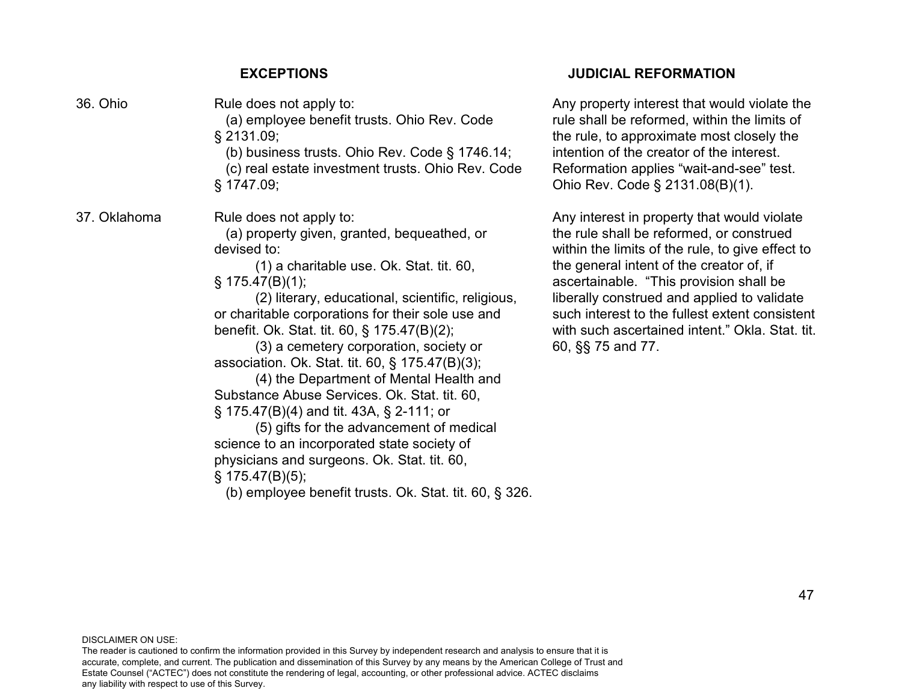| 36. Ohio     | Rule does not apply to:<br>(a) employee benefit trusts. Ohio Rev. Code<br>$§$ 2131.09;<br>(b) business trusts. Ohio Rev. Code $\S$ 1746.14;<br>(c) real estate investment trusts. Ohio Rev. Code<br>$\S$ 1747.09;                                                                                                                                                                                                                                                                                                                                                                                                                                                                                                                                                              | Any<br>rule<br>the<br>inter<br>Ref<br>Ohio                         |
|--------------|--------------------------------------------------------------------------------------------------------------------------------------------------------------------------------------------------------------------------------------------------------------------------------------------------------------------------------------------------------------------------------------------------------------------------------------------------------------------------------------------------------------------------------------------------------------------------------------------------------------------------------------------------------------------------------------------------------------------------------------------------------------------------------|--------------------------------------------------------------------|
| 37. Oklahoma | Rule does not apply to:<br>(a) property given, granted, bequeathed, or<br>devised to:<br>(1) a charitable use. Ok. Stat. tit. 60,<br>$\S$ 175.47(B)(1);<br>(2) literary, educational, scientific, religious,<br>or charitable corporations for their sole use and<br>benefit. Ok. Stat. tit. 60, § 175.47(B)(2);<br>(3) a cemetery corporation, society or<br>association. Ok. Stat. tit. 60, § 175.47(B)(3);<br>(4) the Department of Mental Health and<br>Substance Abuse Services. Ok. Stat. tit. 60,<br>§ 175.47(B)(4) and tit. 43A, § 2-111; or<br>(5) gifts for the advancement of medical<br>science to an incorporated state society of<br>physicians and surgeons. Ok. Stat. tit. 60,<br>$\S$ 175.47(B)(5);<br>(b) employee benefit trusts. Ok. Stat. tit. 60, § 326. | Any<br>the<br>with<br>the l<br>asc<br>liber<br>sucl<br>with<br>60, |

property interest that would violate the shall be reformed, within the limits of rule, to approximate most closely the ntion of the creator of the interest. ormation applies "wait-and-see" test. lo Rev. Code § 2131.08(B)(1).

interest in property that would violate rule shall be reformed, or construed in the limits of the rule, to give effect to general intent of the creator of, if ertainable. "This provision shall be rally construed and applied to validate h interest to the fullest extent consistent such ascertained intent." Okla. Stat. tit. §§ 75 and 77.

### DISCLAIMER ON USE: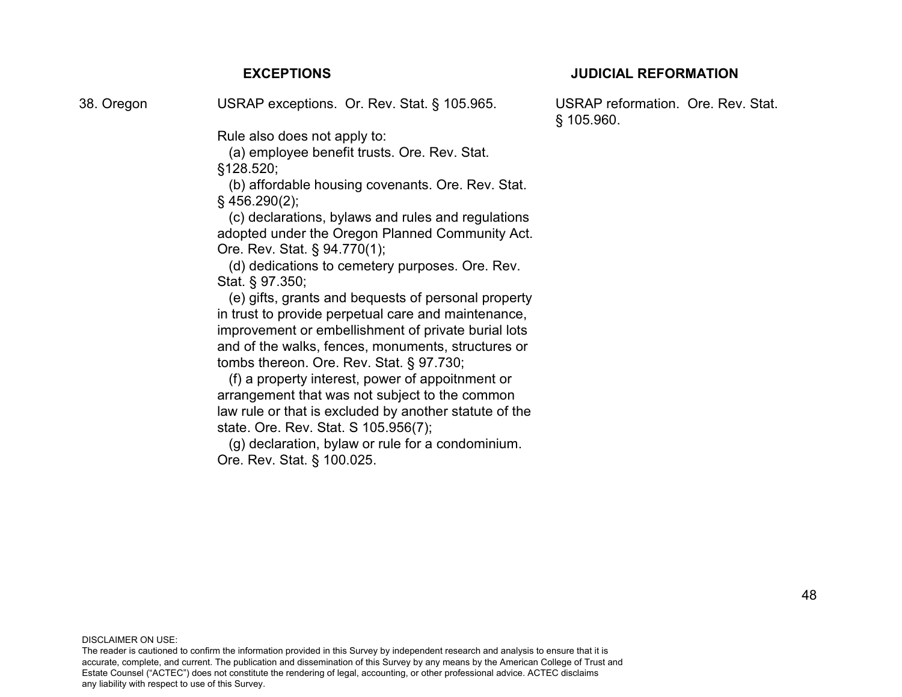38. Oregon USRAP exceptions. Or. Rev. Stat. § 105.965.

Rule also does not apply to:

 (a) employee benefit trusts. Ore. Rev. Stat. §128.520;

 (b) affordable housing covenants. Ore. Rev. Stat. § 456.290(2);

 (c) declarations, bylaws and rules and regulations adopted under the Oregon Planned Community Act. Ore. Rev. Stat. § 94.770(1);

 (d) dedications to cemetery purposes. Ore. Rev. Stat. § 97.350;

 (e) gifts, grants and bequests of personal property in trust to provide perpetual care and maintenance, improvement or embellishment of private burial lots and of the walks, fences, monuments, structures or tombs thereon. Ore. Rev. Stat. § 97.730;

 (f) a property interest, power of appoitnment or arrangement that was not subject to the common law rule or that is excluded by another statute of the state. Ore. Rev. Stat. S 105.956(7);

 (g) declaration, bylaw or rule for a condominium. Ore. Rev. Stat. § 100.025.

### DISCLAIMER ON USE:

The reader is cautioned to confirm the information provided in this Survey by independent research and analysis to ensure that it is accurate, complete, and current. The publication and dissemination of this Survey by any means by the American College of Trust and Estate Counsel ("ACTEC") does not constitute the rendering of legal, accounting, or other professional advice. ACTEC disclaims any liability with respect to use of this Survey.

## **EXCEPTIONS JUDICIAL REFORMATION**

USRAP reformation. Ore. Rev. Stat. § 105.960.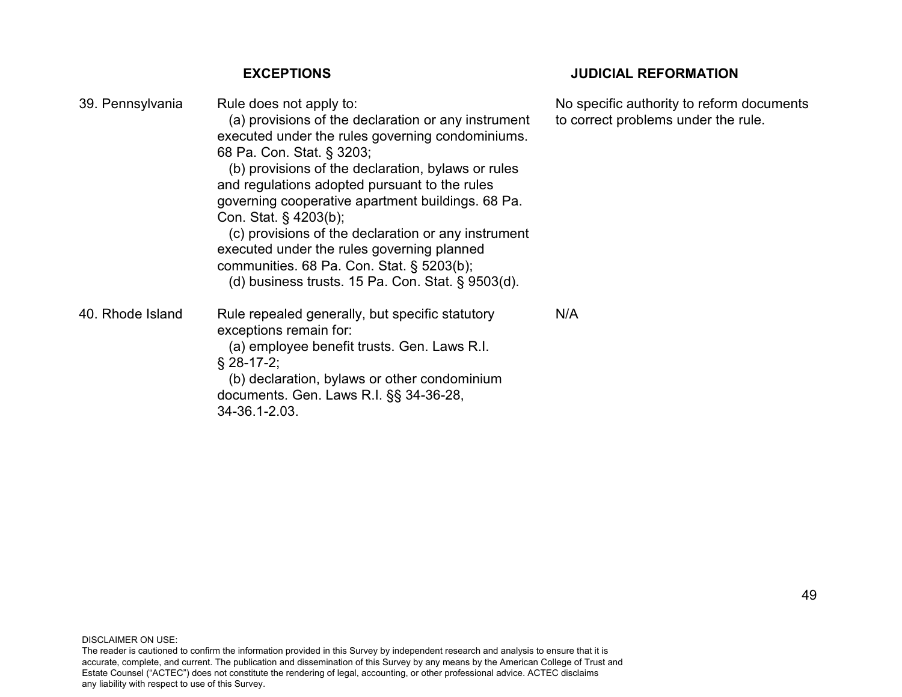| 39. Pennsylvania | Rule does not apply to:<br>(a) provisions of the declaration or any instrument<br>executed under the rules governing condominiums.<br>68 Pa. Con. Stat. § 3203;<br>(b) provisions of the declaration, bylaws or rules<br>and regulations adopted pursuant to the rules<br>governing cooperative apartment buildings. 68 Pa.<br>Con. Stat. § 4203(b);<br>(c) provisions of the declaration or any instrument<br>executed under the rules governing planned<br>communities. 68 Pa. Con. Stat. § 5203(b);<br>(d) business trusts. $15$ Pa. Con. Stat. § 9503(d). | No sp<br>to cor |
|------------------|---------------------------------------------------------------------------------------------------------------------------------------------------------------------------------------------------------------------------------------------------------------------------------------------------------------------------------------------------------------------------------------------------------------------------------------------------------------------------------------------------------------------------------------------------------------|-----------------|
| 40. Rhode Island | Rule repealed generally, but specific statutory<br>exceptions remain for:<br>(a) employee benefit trusts. Gen. Laws R.I.<br>$§$ 28-17-2;<br>(b) declaration, bylaws or other condominium<br>documents. Gen. Laws R.I. §§ 34-36-28,<br>34-36.1-2.03.                                                                                                                                                                                                                                                                                                           | N/A             |

ecific authority to reform documents rect problems under the rule.

DISCLAIMER ON USE: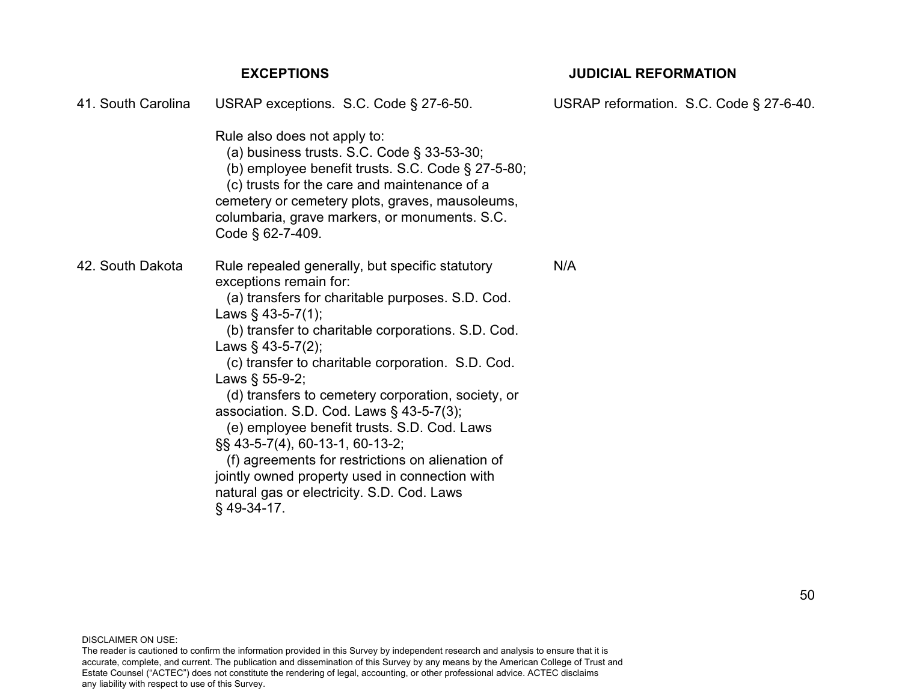| 41. South Carolina | USRAP exceptions. S.C. Code § 27-6-50.                                                                                                                                                                                                                                                                                                                                                                                                                                                                                                                                                                                                                                    | USRAP reformation. S.C. Code § 27-6-40. |
|--------------------|---------------------------------------------------------------------------------------------------------------------------------------------------------------------------------------------------------------------------------------------------------------------------------------------------------------------------------------------------------------------------------------------------------------------------------------------------------------------------------------------------------------------------------------------------------------------------------------------------------------------------------------------------------------------------|-----------------------------------------|
|                    | Rule also does not apply to:<br>(a) business trusts. S.C. Code $\S$ 33-53-30;<br>(b) employee benefit trusts. S.C. Code § 27-5-80;<br>(c) trusts for the care and maintenance of a<br>cemetery or cemetery plots, graves, mausoleums,<br>columbaria, grave markers, or monuments. S.C.<br>Code § 62-7-409.                                                                                                                                                                                                                                                                                                                                                                |                                         |
| 42. South Dakota   | Rule repealed generally, but specific statutory<br>exceptions remain for:<br>(a) transfers for charitable purposes. S.D. Cod.<br>Laws $\S$ 43-5-7(1);<br>(b) transfer to charitable corporations. S.D. Cod.<br>Laws $\S$ 43-5-7(2);<br>(c) transfer to charitable corporation. S.D. Cod.<br>Laws $\S$ 55-9-2;<br>(d) transfers to cemetery corporation, society, or<br>association. S.D. Cod. Laws $\S$ 43-5-7(3);<br>(e) employee benefit trusts. S.D. Cod. Laws<br>§§ 43-5-7(4), 60-13-1, 60-13-2;<br>(f) agreements for restrictions on alienation of<br>jointly owned property used in connection with<br>natural gas or electricity. S.D. Cod. Laws<br>$§$ 49-34-17. | N/A                                     |

DISCLAIMER ON USE:

The reader is cautioned to confirm the information provided in this Survey by independent research and analysis to ensure that it is accurate, complete, and current. The publication and dissemination of this Survey by any means by the American College of Trust and Estate Counsel ("ACTEC") does not constitute the rendering of legal, accounting, or other professional advice. ACTEC disclaims any liability with respect to use of this Survey.

50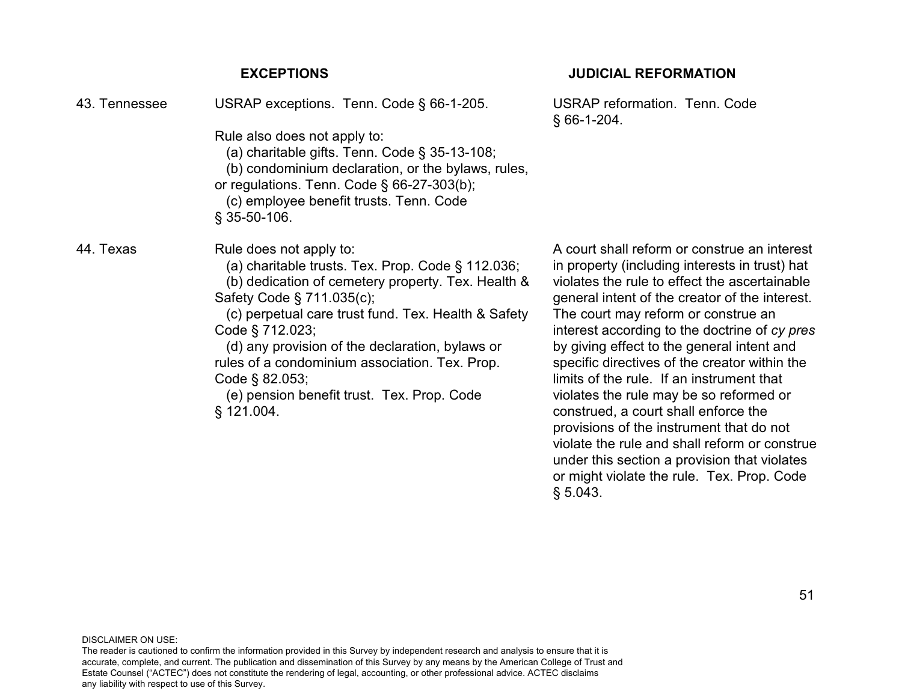| 43. Tennessee | USRAP exceptions. Tenn. Code § 66-1-205.                                                                                                                                                                                                                                                                                                                                                                                          | USRAP reformation. Tenn. Code<br>$§$ 66-1-204.                                                                                                                                                                                                                                                                                                                                                                                                                                                                           |
|---------------|-----------------------------------------------------------------------------------------------------------------------------------------------------------------------------------------------------------------------------------------------------------------------------------------------------------------------------------------------------------------------------------------------------------------------------------|--------------------------------------------------------------------------------------------------------------------------------------------------------------------------------------------------------------------------------------------------------------------------------------------------------------------------------------------------------------------------------------------------------------------------------------------------------------------------------------------------------------------------|
|               | Rule also does not apply to:<br>(a) charitable gifts. Tenn. Code $\S$ 35-13-108;<br>(b) condominium declaration, or the bylaws, rules,<br>or regulations. Tenn. Code $\S$ 66-27-303(b);<br>(c) employee benefit trusts. Tenn. Code<br>$$35-50-106.$                                                                                                                                                                               |                                                                                                                                                                                                                                                                                                                                                                                                                                                                                                                          |
| 44. Texas     | Rule does not apply to:<br>(a) charitable trusts. Tex. Prop. Code § 112.036;<br>(b) dedication of cemetery property. Tex. Health &<br>Safety Code § 711.035(c);<br>(c) perpetual care trust fund. Tex. Health & Safety<br>Code § 712.023;<br>(d) any provision of the declaration, bylaws or<br>rules of a condominium association. Tex. Prop.<br>Code $\S$ 82.053;<br>(e) pension benefit trust. Tex. Prop. Code<br>$§$ 121.004. | A court shall reform or construe an interest<br>in property (including interests in trust) hat<br>violates the rule to effect the ascertainable<br>general intent of the creator of the interest.<br>The court may reform or construe an<br>interest according to the doctrine of cy pres<br>by giving effect to the general intent and<br>specific directives of the creator within the<br>limits of the rule. If an instrument that<br>violates the rule may be so reformed or<br>construed, a court shall enforce the |

construed, a court shall enforce the provisions of the instrument that do not violate the rule and shall reform or construe under this section a provision that violates or might violate the rule. Tex. Prop. Code § 5.043.

### DISCLAIMER ON USE: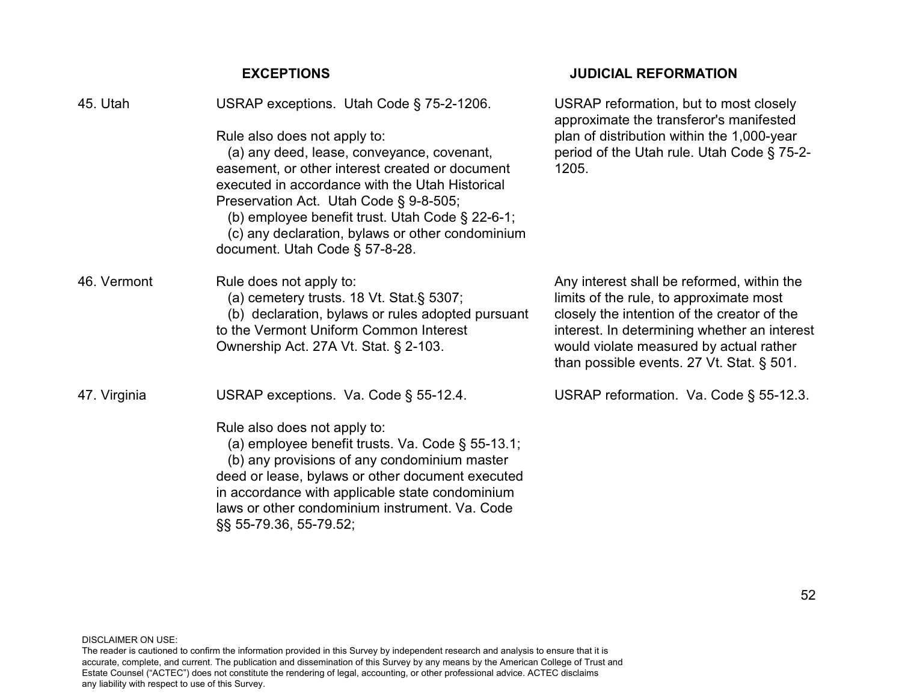| 45. Utah     | USRAP exceptions. Utah Code § 75-2-1206.<br>Rule also does not apply to:<br>(a) any deed, lease, conveyance, covenant,<br>easement, or other interest created or document<br>executed in accordance with the Utah Historical<br>Preservation Act. Utah Code § 9-8-505;<br>(b) employee benefit trust. Utah Code $\S$ 22-6-1;<br>(c) any declaration, bylaws or other condominium<br>document. Utah Code § 57-8-28. | USRAP reformation, but to most closely<br>approximate the transferor's manifested<br>plan of distribution within the 1,000-year<br>period of the Utah rule. Utah Code § 75-2-<br>1205.                                                                                       |
|--------------|--------------------------------------------------------------------------------------------------------------------------------------------------------------------------------------------------------------------------------------------------------------------------------------------------------------------------------------------------------------------------------------------------------------------|------------------------------------------------------------------------------------------------------------------------------------------------------------------------------------------------------------------------------------------------------------------------------|
| 46. Vermont  | Rule does not apply to:<br>(a) cemetery trusts. $18$ Vt. Stat. § 5307;<br>(b) declaration, bylaws or rules adopted pursuant<br>to the Vermont Uniform Common Interest<br>Ownership Act. 27A Vt. Stat. § 2-103.                                                                                                                                                                                                     | Any interest shall be reformed, within the<br>limits of the rule, to approximate most<br>closely the intention of the creator of the<br>interest. In determining whether an interest<br>would violate measured by actual rather<br>than possible events. 27 Vt. Stat. § 501. |
| 47. Virginia | USRAP exceptions. Va. Code § 55-12.4.<br>Rule also does not apply to:<br>(a) employee benefit trusts. Va. Code § 55-13.1;<br>(b) any provisions of any condominium master<br>deed or lease, bylaws or other document executed<br>in accordance with applicable state condominium<br>laws or other condominium instrument. Va. Code<br>§§ 55-79.36, 55-79.52;                                                       | USRAP reformation. Va. Code § 55-12.3.                                                                                                                                                                                                                                       |

DISCLAIMER ON USE: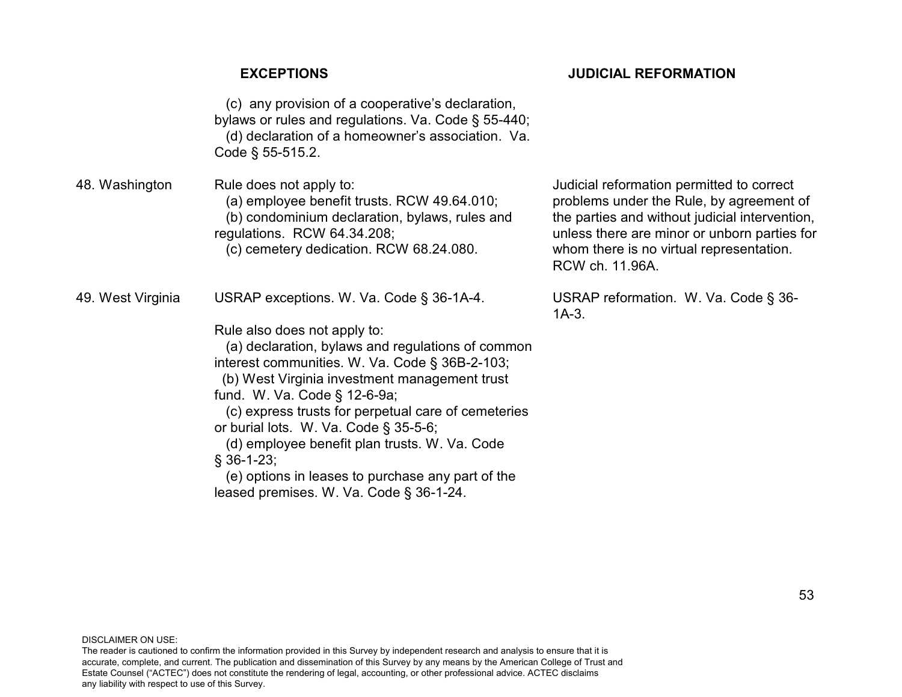|                   | (c) any provision of a cooperative's declaration,<br>bylaws or rules and regulations. Va. Code § 55-440;<br>(d) declaration of a homeowner's association. Va.<br>Code $\S$ 55-515.2.                   |                                                                                                                                                                                                                                                        |
|-------------------|--------------------------------------------------------------------------------------------------------------------------------------------------------------------------------------------------------|--------------------------------------------------------------------------------------------------------------------------------------------------------------------------------------------------------------------------------------------------------|
| 48. Washington    | Rule does not apply to:<br>(a) employee benefit trusts. RCW 49.64.010;<br>(b) condominium declaration, bylaws, rules and<br>regulations. RCW 64.34.208;<br>(c) cemetery dedication. RCW 68.24.080.     | Judicial reformation permitted to correct<br>problems under the Rule, by agreement of<br>the parties and without judicial intervention,<br>unless there are minor or unborn parties for<br>whom there is no virtual representation.<br>RCW ch. 11.96A. |
| 49. West Virginia | USRAP exceptions. W. Va. Code § 36-1A-4.<br>Rule also does not apply to:<br>(a) declaration, bylaws and regulations of common                                                                          | USRAP reformation. W. Va. Code § 36-<br>$1A-3.$                                                                                                                                                                                                        |
|                   | interest communities. W. Va. Code § 36B-2-103;<br>(b) West Virginia investment management trust<br>fund. W. Va. Code $\S$ 12-6-9a;<br>(c) express trusts for perpetual care of cemeteries              |                                                                                                                                                                                                                                                        |
|                   | or burial lots. W. Va. Code § 35-5-6;<br>(d) employee benefit plan trusts. W. Va. Code<br>$§$ 36-1-23;<br>(e) options in leases to purchase any part of the<br>leased premises. W. Va. Code § 36-1-24. |                                                                                                                                                                                                                                                        |
|                   |                                                                                                                                                                                                        |                                                                                                                                                                                                                                                        |

DISCLAIMER ON USE: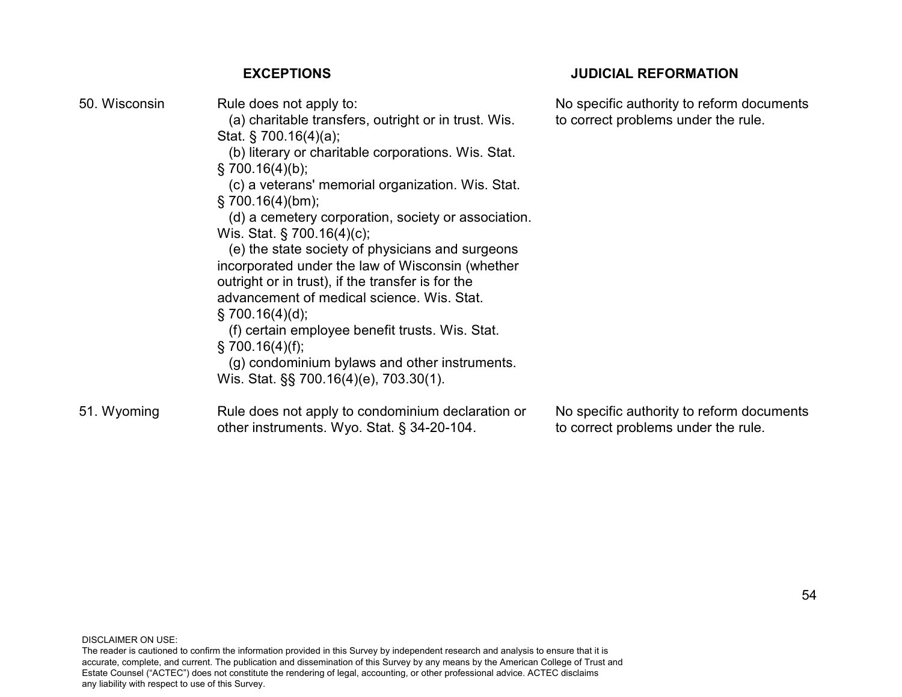| 50. Wisconsin | Rule does not apply to:<br>(a) charitable transfers, outright or in trust. Wis. | No specific authority to reform documents<br>to correct problems under the rule. |
|---------------|---------------------------------------------------------------------------------|----------------------------------------------------------------------------------|
|               | Stat. § 700.16(4)(a);                                                           |                                                                                  |
|               | (b) literary or charitable corporations. Wis. Stat.                             |                                                                                  |
|               | $\S$ 700.16(4)(b);                                                              |                                                                                  |
|               | (c) a veterans' memorial organization. Wis. Stat.                               |                                                                                  |
|               | $\S$ 700.16(4)(bm);                                                             |                                                                                  |
|               | (d) a cemetery corporation, society or association.                             |                                                                                  |
|               | Wis. Stat. $\S$ 700.16(4)(c);                                                   |                                                                                  |
|               | (e) the state society of physicians and surgeons                                |                                                                                  |
|               | incorporated under the law of Wisconsin (whether                                |                                                                                  |
|               | outright or in trust), if the transfer is for the                               |                                                                                  |
|               | advancement of medical science. Wis. Stat.                                      |                                                                                  |
|               | $\S$ 700.16(4)(d);                                                              |                                                                                  |
|               | (f) certain employee benefit trusts. Wis. Stat.                                 |                                                                                  |
|               | $\S$ 700.16(4)(f);                                                              |                                                                                  |
|               | (g) condominium bylaws and other instruments.                                   |                                                                                  |
|               | Wis. Stat. §§ 700.16(4)(e), 703.30(1).                                          |                                                                                  |
| 51. Wyoming   | Rule does not apply to condominium declaration or                               | No specific authority to reform documents                                        |

No specific authority to reform documents to correct problems under the rule.

The reader is cautioned to confirm the information provided in this Survey by independent research and analysis to ensure that it is accurate, complete, and current. The publication and dissemination of this Survey by any means by the American College of Trust and Estate Counsel ("ACTEC") does not constitute the rendering of legal, accounting, or other professional advice. ACTEC disclaims any liability with respect to use of this Survey.

other instruments. Wyo. Stat. § 34-20-104.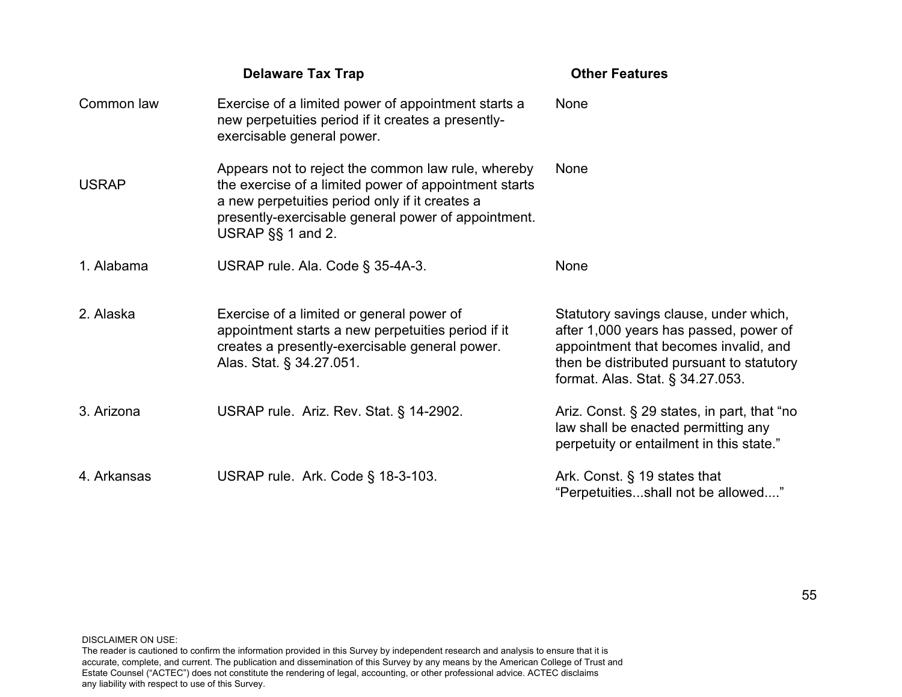|              | <b>Delaware Tax Trap</b>                                                                                                                                                                                                                    | <b>Other Features</b>                                                                                                                                                                                      |
|--------------|---------------------------------------------------------------------------------------------------------------------------------------------------------------------------------------------------------------------------------------------|------------------------------------------------------------------------------------------------------------------------------------------------------------------------------------------------------------|
| Common law   | Exercise of a limited power of appointment starts a<br>new perpetuities period if it creates a presently-<br>exercisable general power.                                                                                                     | None                                                                                                                                                                                                       |
| <b>USRAP</b> | Appears not to reject the common law rule, whereby<br>the exercise of a limited power of appointment starts<br>a new perpetuities period only if it creates a<br>presently-exercisable general power of appointment.<br>USRAP $\S$ 1 and 2. | None                                                                                                                                                                                                       |
| 1. Alabama   | USRAP rule. Ala. Code § 35-4A-3.                                                                                                                                                                                                            | None                                                                                                                                                                                                       |
| 2. Alaska    | Exercise of a limited or general power of<br>appointment starts a new perpetuities period if it<br>creates a presently-exercisable general power.<br>Alas. Stat. § 34.27.051.                                                               | Statutory savings clause, under which,<br>after 1,000 years has passed, power of<br>appointment that becomes invalid, and<br>then be distributed pursuant to statutory<br>format. Alas. Stat. § 34.27.053. |
| 3. Arizona   | USRAP rule. Ariz. Rev. Stat. § 14-2902.                                                                                                                                                                                                     | Ariz. Const. § 29 states, in part, that "no<br>law shall be enacted permitting any<br>perpetuity or entailment in this state."                                                                             |
| 4. Arkansas  | USRAP rule. Ark. Code § 18-3-103.                                                                                                                                                                                                           | Ark. Const. § 19 states that<br>"Perpetuitiesshall not be allowed"                                                                                                                                         |

DISCLAIMER ON USE: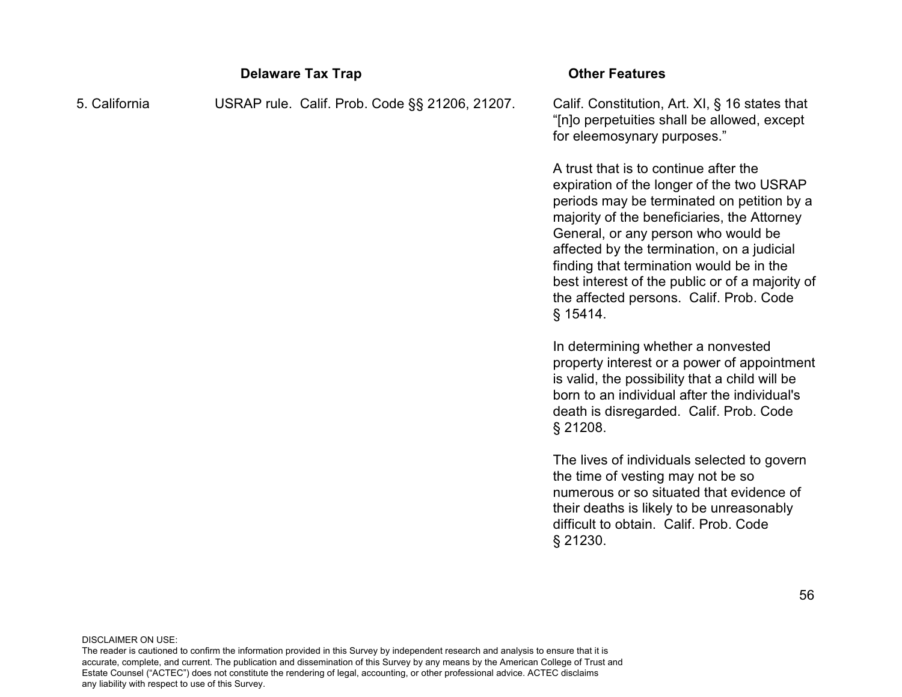|               | <b>Delaware Tax Trap</b>                       | <b>Other Features</b>                                                                                                                                                                                                                                                                                                                                                                                                      |
|---------------|------------------------------------------------|----------------------------------------------------------------------------------------------------------------------------------------------------------------------------------------------------------------------------------------------------------------------------------------------------------------------------------------------------------------------------------------------------------------------------|
| 5. California | USRAP rule. Calif. Prob. Code §§ 21206, 21207. | Calif. Constitution, Art. XI, § 16 states that<br>"[n]o perpetuities shall be allowed, except<br>for eleemosynary purposes."                                                                                                                                                                                                                                                                                               |
|               |                                                | A trust that is to continue after the<br>expiration of the longer of the two USRAP<br>periods may be terminated on petition by a<br>majority of the beneficiaries, the Attorney<br>General, or any person who would be<br>affected by the termination, on a judicial<br>finding that termination would be in the<br>best interest of the public or of a majority of<br>the affected persons. Calif. Prob. Code<br>§ 15414. |
|               |                                                | In determining whether a nonvested<br>property interest or a power of appointment<br>is valid, the possibility that a child will be<br>born to an individual after the individual's<br>death is disregarded. Calif. Prob. Code<br>§ 21208.                                                                                                                                                                                 |
|               |                                                | The lives of individuals selected to govern<br>the time of vesting may not be so<br>numerous or so situated that evidence of<br>their deaths is likely to be unreasonably<br>difficult to obtain. Calif. Prob. Code<br>§ 21230.                                                                                                                                                                                            |
|               |                                                |                                                                                                                                                                                                                                                                                                                                                                                                                            |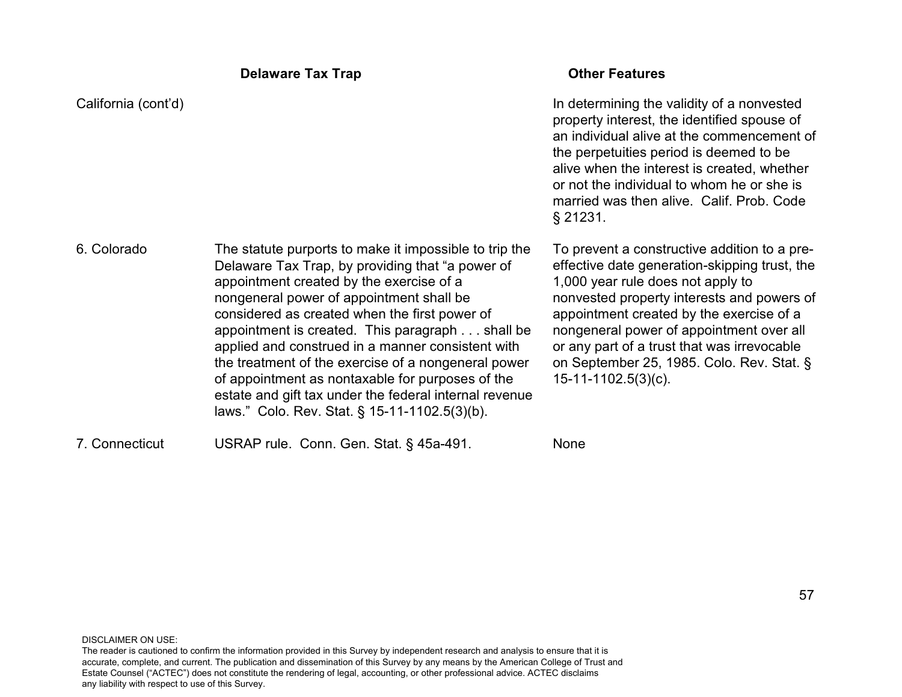|                     | <b>Delaware Tax Trap</b>                                                                                                                                                                                                                                                                                                                                                                                                                                                                                                                                                          | <b>Other Features</b>                                                                                                                                                                                                                                                                                                                                                                          |
|---------------------|-----------------------------------------------------------------------------------------------------------------------------------------------------------------------------------------------------------------------------------------------------------------------------------------------------------------------------------------------------------------------------------------------------------------------------------------------------------------------------------------------------------------------------------------------------------------------------------|------------------------------------------------------------------------------------------------------------------------------------------------------------------------------------------------------------------------------------------------------------------------------------------------------------------------------------------------------------------------------------------------|
| California (cont'd) |                                                                                                                                                                                                                                                                                                                                                                                                                                                                                                                                                                                   | In determining the validity of a nonvested<br>property interest, the identified spouse of<br>an individual alive at the commencement of<br>the perpetuities period is deemed to be<br>alive when the interest is created, whether<br>or not the individual to whom he or she is<br>married was then alive. Calif. Prob. Code<br>$§$ 21231.                                                     |
| 6. Colorado         | The statute purports to make it impossible to trip the<br>Delaware Tax Trap, by providing that "a power of<br>appointment created by the exercise of a<br>nongeneral power of appointment shall be<br>considered as created when the first power of<br>appointment is created. This paragraph shall be<br>applied and construed in a manner consistent with<br>the treatment of the exercise of a nongeneral power<br>of appointment as nontaxable for purposes of the<br>estate and gift tax under the federal internal revenue<br>laws." Colo. Rev. Stat. § 15-11-1102.5(3)(b). | To prevent a constructive addition to a pre-<br>effective date generation-skipping trust, the<br>1,000 year rule does not apply to<br>nonvested property interests and powers of<br>appointment created by the exercise of a<br>nongeneral power of appointment over all<br>or any part of a trust that was irrevocable<br>on September 25, 1985. Colo. Rev. Stat. §<br>$15-11-1102.5(3)(c)$ . |
| 7. Connecticut      | USRAP rule. Conn. Gen. Stat. § 45a-491.                                                                                                                                                                                                                                                                                                                                                                                                                                                                                                                                           | None                                                                                                                                                                                                                                                                                                                                                                                           |

DISCLAIMER ON USE: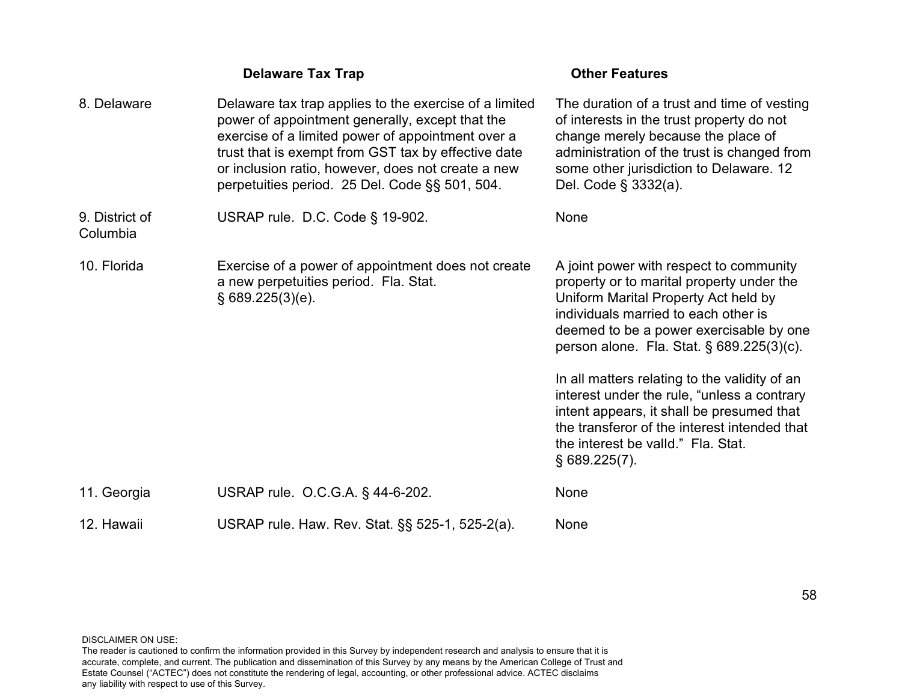### **Delaware Tax Trap COLOGITY CONSERVANTS Other Features** 8. Delaware Delaware tax trap applies to the exercise of a limited power of appointment generally, except that the exercise of a limited power of appointment over a trust that is exempt from GST tax by effective date or inclusion ratio, however, does not create a new perpetuities period. 25 Del. Code §§ 501, 504. The duration of a trust and time of vesting of interests in the trust property do not change merely because the place of administration of the trust is changed from some other jurisdiction to Delaware. 12 Del. Code § 3332(a). 9. District of Columbia USRAP rule. D.C. Code § 19-902. 10. Florida Exercise of a power of appointment does not create a new perpetuities period. Fla. Stat. § 689.225(3)(e). A joint power with respect to community property or to marital property under the Uniform Marital Property Act held by individuals married to each other is deemed to be a power exercisable by one person alone. Fla. Stat. § 689.225(3)(c). In all matters relating to the validity of an interest under the rule, "unless a contrary intent appears, it shall be presumed that the transferor of the interest intended that the interest be valId." Fla. Stat. § 689.225(7). 11. Georgia USRAP rule. O.C.G.A. § 44-6-202. None 12. Hawaii USRAP rule. Haw. Rev. Stat. §§ 525-1, 525-2(a). None

DISCLAIMER ON USE: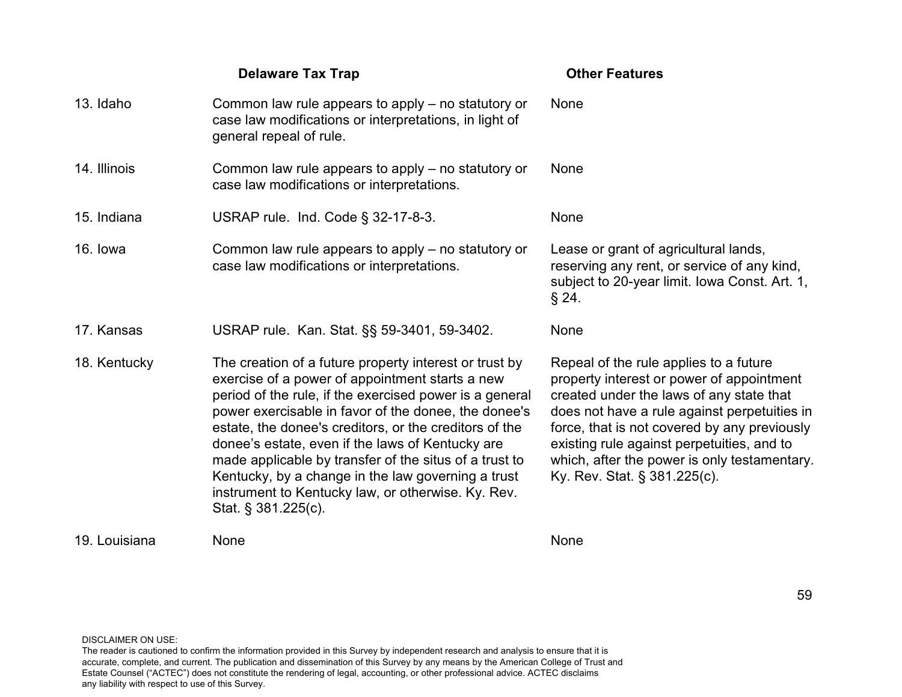|              | <b>Delaware Tax Trap</b>                                                                                                                                                                                                                                                                                                                                                                                                                                                                                                                | <b>Other Features</b>                                                                                                                                                                                                                                                                                                                                         |
|--------------|-----------------------------------------------------------------------------------------------------------------------------------------------------------------------------------------------------------------------------------------------------------------------------------------------------------------------------------------------------------------------------------------------------------------------------------------------------------------------------------------------------------------------------------------|---------------------------------------------------------------------------------------------------------------------------------------------------------------------------------------------------------------------------------------------------------------------------------------------------------------------------------------------------------------|
| 13. Idaho    | Common law rule appears to apply – no statutory or<br>case law modifications or interpretations, in light of<br>general repeal of rule.                                                                                                                                                                                                                                                                                                                                                                                                 | None                                                                                                                                                                                                                                                                                                                                                          |
| 14. Illinois | Common law rule appears to apply – no statutory or<br>case law modifications or interpretations.                                                                                                                                                                                                                                                                                                                                                                                                                                        | None                                                                                                                                                                                                                                                                                                                                                          |
| 15. Indiana  | USRAP rule. Ind. Code § 32-17-8-3.                                                                                                                                                                                                                                                                                                                                                                                                                                                                                                      | None                                                                                                                                                                                                                                                                                                                                                          |
| 16. lowa     | Common law rule appears to apply – no statutory or<br>case law modifications or interpretations.                                                                                                                                                                                                                                                                                                                                                                                                                                        | Lease or grant of agricultural lands,<br>reserving any rent, or service of any kind,<br>subject to 20-year limit. Iowa Const. Art. 1,<br>§ 24.                                                                                                                                                                                                                |
| 17. Kansas   | USRAP rule. Kan. Stat. §§ 59-3401, 59-3402.                                                                                                                                                                                                                                                                                                                                                                                                                                                                                             | None                                                                                                                                                                                                                                                                                                                                                          |
| 18. Kentucky | The creation of a future property interest or trust by<br>exercise of a power of appointment starts a new<br>period of the rule, if the exercised power is a general<br>power exercisable in favor of the donee, the donee's<br>estate, the donee's creditors, or the creditors of the<br>donee's estate, even if the laws of Kentucky are<br>made applicable by transfer of the situs of a trust to<br>Kentucky, by a change in the law governing a trust<br>instrument to Kentucky law, or otherwise. Ky. Rev.<br>Stat. § 381.225(c). | Repeal of the rule applies to a future<br>property interest or power of appointment<br>created under the laws of any state that<br>does not have a rule against perpetuities in<br>force, that is not covered by any previously<br>existing rule against perpetuities, and to<br>which, after the power is only testamentary.<br>Ky. Rev. Stat. § 381.225(c). |

19. Louisiana None None None None None

59

### DISCLAIMER ON USE: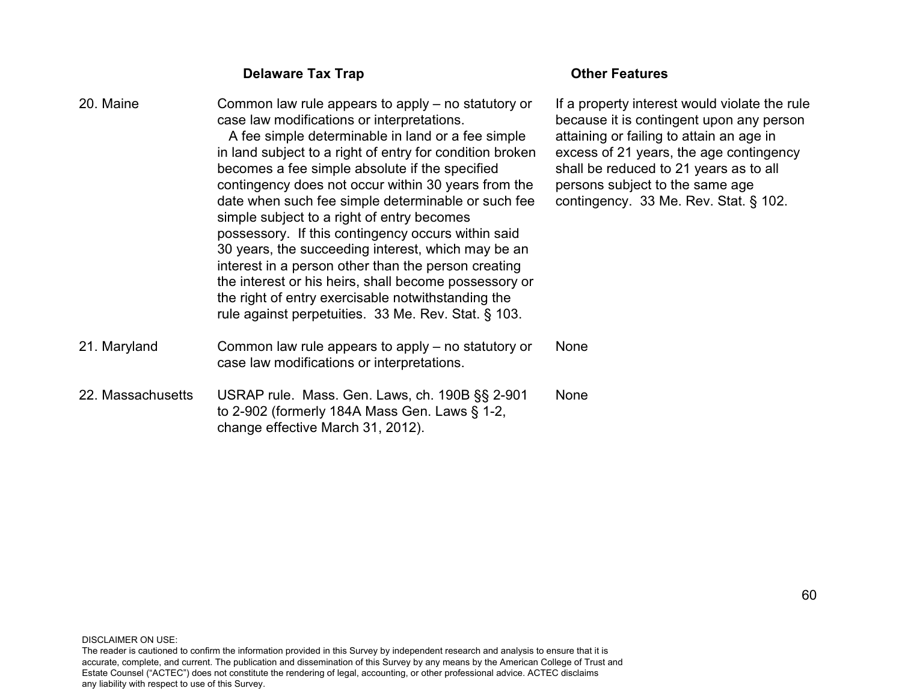# **Delaware Tax Trap CONSIDER ALCONSTRANGE TO A CONSIDER A CONSIDER A CONSIDER A CONSIDER A CONSIDER A CONSIDER A CONSIDER A CONSIDER A CONSIDER A CONSIDER A CONSIDER A CONSIDER A CONSIDER A CONSIDER A CONSIDER A CONSIDER**

| 20. Maine         | Common law rule appears to apply – no statutory or<br>case law modifications or interpretations.<br>A fee simple determinable in land or a fee simple<br>in land subject to a right of entry for condition broken<br>becomes a fee simple absolute if the specified<br>contingency does not occur within 30 years from the<br>date when such fee simple determinable or such fee<br>simple subject to a right of entry becomes<br>possessory. If this contingency occurs within said<br>30 years, the succeeding interest, which may be an<br>interest in a person other than the person creating<br>the interest or his heirs, shall become possessory or<br>the right of entry exercisable not with standing the<br>rule against perpetuities. 33 Me. Rev. Stat. § 103. | If a property interest would violate the rule<br>because it is contingent upon any person<br>attaining or failing to attain an age in<br>excess of 21 years, the age contingency<br>shall be reduced to 21 years as to all<br>persons subject to the same age<br>contingency. 33 Me. Rev. Stat. § 102. |
|-------------------|---------------------------------------------------------------------------------------------------------------------------------------------------------------------------------------------------------------------------------------------------------------------------------------------------------------------------------------------------------------------------------------------------------------------------------------------------------------------------------------------------------------------------------------------------------------------------------------------------------------------------------------------------------------------------------------------------------------------------------------------------------------------------|--------------------------------------------------------------------------------------------------------------------------------------------------------------------------------------------------------------------------------------------------------------------------------------------------------|
| 21. Maryland      | Common law rule appears to apply – no statutory or<br>case law modifications or interpretations.                                                                                                                                                                                                                                                                                                                                                                                                                                                                                                                                                                                                                                                                          | None                                                                                                                                                                                                                                                                                                   |
| 22. Massachusetts | USRAP rule. Mass. Gen. Laws, ch. 190B §§ 2-901<br>to 2-902 (formerly 184A Mass Gen. Laws $\S$ 1-2,<br>change effective March 31, 2012).                                                                                                                                                                                                                                                                                                                                                                                                                                                                                                                                                                                                                                   | <b>None</b>                                                                                                                                                                                                                                                                                            |

DISCLAIMER ON USE:

The reader is cautioned to confirm the information provided in this Survey by independent research and analysis to ensure that it is accurate, complete, and current. The publication and dissemination of this Survey by any means by the American College of Trust and Estate Counsel ("ACTEC") does not constitute the rendering of legal, accounting, or other professional advice. ACTEC disclaims any liability with respect to use of this Survey.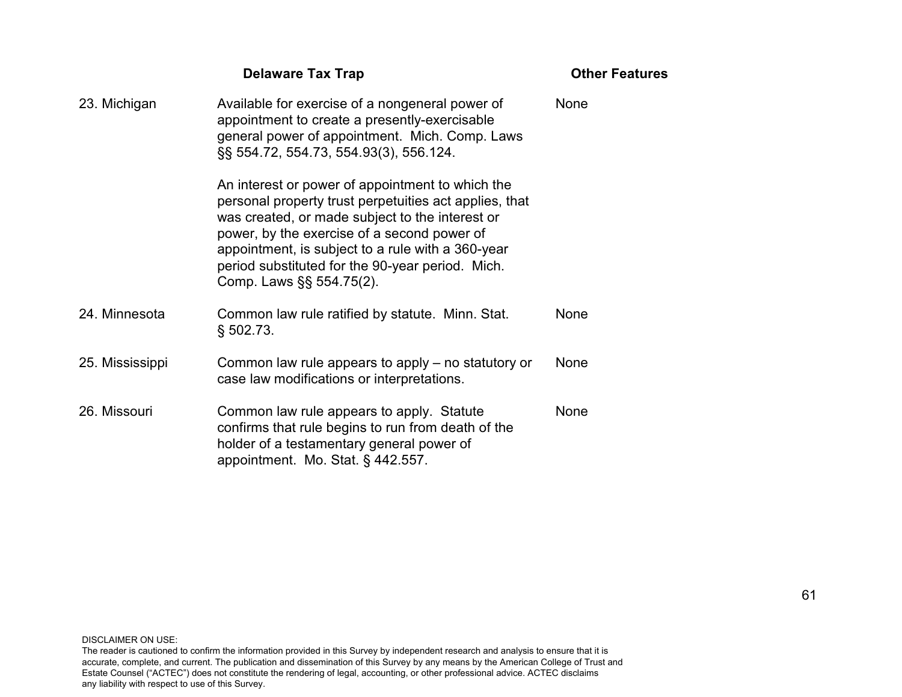|                 | <b>Delaware Tax Trap</b>                                                                                                                                                                                                                                                                                                                          | <b>Other Features</b> |
|-----------------|---------------------------------------------------------------------------------------------------------------------------------------------------------------------------------------------------------------------------------------------------------------------------------------------------------------------------------------------------|-----------------------|
| 23. Michigan    | Available for exercise of a nongeneral power of<br>appointment to create a presently-exercisable<br>general power of appointment. Mich. Comp. Laws<br>§§ 554.72, 554.73, 554.93(3), 556.124.                                                                                                                                                      | <b>None</b>           |
|                 | An interest or power of appointment to which the<br>personal property trust perpetuities act applies, that<br>was created, or made subject to the interest or<br>power, by the exercise of a second power of<br>appointment, is subject to a rule with a 360-year<br>period substituted for the 90-year period. Mich.<br>Comp. Laws §§ 554.75(2). |                       |
| 24. Minnesota   | Common law rule ratified by statute. Minn. Stat.<br>$§$ 502.73.                                                                                                                                                                                                                                                                                   | <b>None</b>           |
| 25. Mississippi | Common law rule appears to apply – no statutory or<br>case law modifications or interpretations.                                                                                                                                                                                                                                                  | <b>None</b>           |
| 26. Missouri    | Common law rule appears to apply. Statute<br>confirms that rule begins to run from death of the<br>holder of a testamentary general power of<br>appointment. Mo. Stat. § 442.557.                                                                                                                                                                 | <b>None</b>           |

DISCLAIMER ON USE: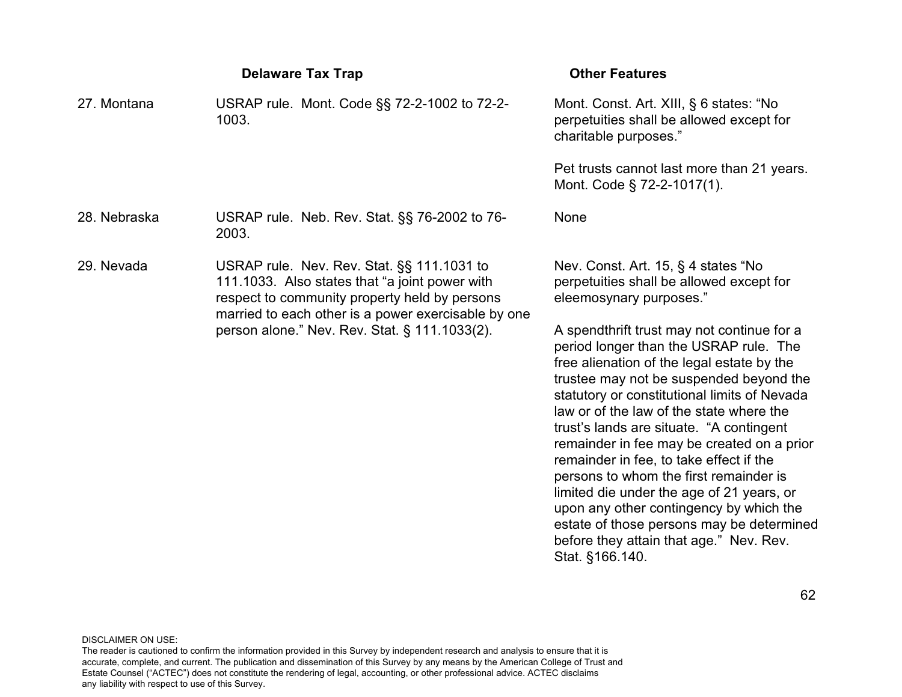|              | <b>Delaware Tax Trap</b>                                                                                                                                                                                                                              | <b>Other Features</b>                                                                                                                                                                                                                                                                                                                                                                                                                                                                                                                                                                                                                                                                                                                                                     |
|--------------|-------------------------------------------------------------------------------------------------------------------------------------------------------------------------------------------------------------------------------------------------------|---------------------------------------------------------------------------------------------------------------------------------------------------------------------------------------------------------------------------------------------------------------------------------------------------------------------------------------------------------------------------------------------------------------------------------------------------------------------------------------------------------------------------------------------------------------------------------------------------------------------------------------------------------------------------------------------------------------------------------------------------------------------------|
| 27. Montana  | USRAP rule. Mont. Code §§ 72-2-1002 to 72-2-<br>1003.                                                                                                                                                                                                 | Mont. Const. Art. XIII, § 6 states: "No<br>perpetuities shall be allowed except for<br>charitable purposes."                                                                                                                                                                                                                                                                                                                                                                                                                                                                                                                                                                                                                                                              |
|              |                                                                                                                                                                                                                                                       | Pet trusts cannot last more than 21 years.<br>Mont. Code § 72-2-1017(1).                                                                                                                                                                                                                                                                                                                                                                                                                                                                                                                                                                                                                                                                                                  |
| 28. Nebraska | USRAP rule. Neb. Rev. Stat. §§ 76-2002 to 76-<br>2003.                                                                                                                                                                                                | None                                                                                                                                                                                                                                                                                                                                                                                                                                                                                                                                                                                                                                                                                                                                                                      |
| 29. Nevada   | USRAP rule. Nev. Rev. Stat. §§ 111.1031 to<br>111.1033. Also states that "a joint power with<br>respect to community property held by persons<br>married to each other is a power exercisable by one<br>person alone." Nev. Rev. Stat. § 111.1033(2). | Nev. Const. Art. 15, § 4 states "No<br>perpetuities shall be allowed except for<br>eleemosynary purposes."<br>A spendthrift trust may not continue for a<br>period longer than the USRAP rule. The<br>free alienation of the legal estate by the<br>trustee may not be suspended beyond the<br>statutory or constitutional limits of Nevada<br>law or of the law of the state where the<br>trust's lands are situate. "A contingent<br>remainder in fee may be created on a prior<br>remainder in fee, to take effect if the<br>persons to whom the first remainder is<br>limited die under the age of 21 years, or<br>upon any other contingency by which the<br>estate of those persons may be determined<br>before they attain that age." Nev. Rev.<br>Stat. §166.140. |

DISCLAIMER ON USE:

The reader is cautioned to confirm the information provided in this Survey by independent research and analysis to ensure that it is accurate, complete, and current. The publication and dissemination of this Survey by any means by the American College of Trust and Estate Counsel ("ACTEC") does not constitute the rendering of legal, accounting, or other professional advice. ACTEC disclaims any liability with respect to use of this Survey.

62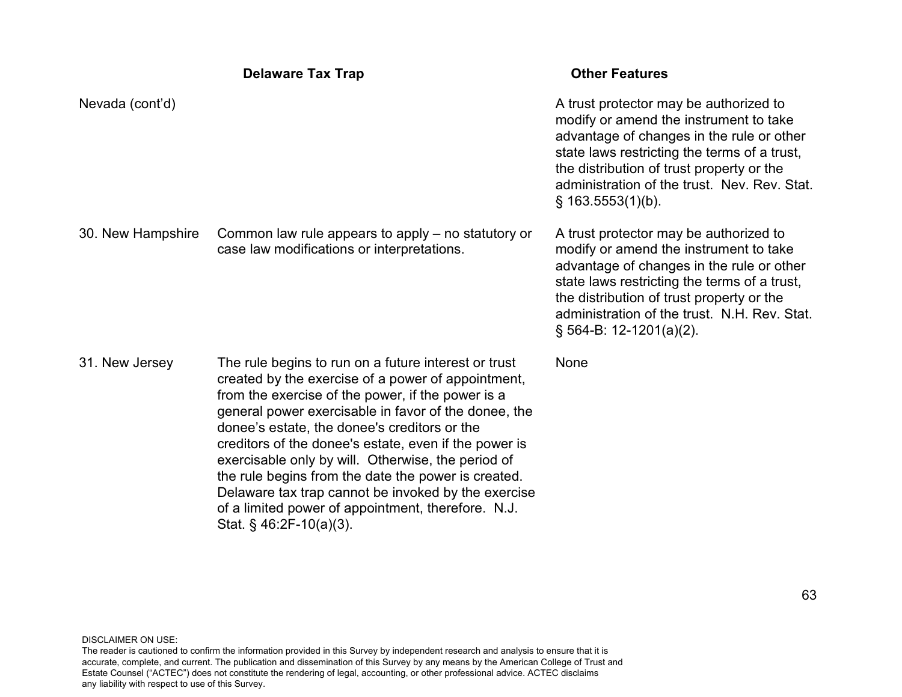|                   | <b>Delaware Tax Trap</b>                                                                                                                                                                                                                                                                                                                                                                                                                                                                                                                                                                 | <b>Other Features</b>                                                                                                                                                                                                                                                                                    |
|-------------------|------------------------------------------------------------------------------------------------------------------------------------------------------------------------------------------------------------------------------------------------------------------------------------------------------------------------------------------------------------------------------------------------------------------------------------------------------------------------------------------------------------------------------------------------------------------------------------------|----------------------------------------------------------------------------------------------------------------------------------------------------------------------------------------------------------------------------------------------------------------------------------------------------------|
| Nevada (cont'd)   |                                                                                                                                                                                                                                                                                                                                                                                                                                                                                                                                                                                          | A trust protector may be authorized to<br>modify or amend the instrument to take<br>advantage of changes in the rule or other<br>state laws restricting the terms of a trust,<br>the distribution of trust property or the<br>administration of the trust. Nev. Rev. Stat.<br>$\S$ 163.5553(1)(b).       |
| 30. New Hampshire | Common law rule appears to apply – no statutory or<br>case law modifications or interpretations.                                                                                                                                                                                                                                                                                                                                                                                                                                                                                         | A trust protector may be authorized to<br>modify or amend the instrument to take<br>advantage of changes in the rule or other<br>state laws restricting the terms of a trust,<br>the distribution of trust property or the<br>administration of the trust. N.H. Rev. Stat.<br>$\S$ 564-B: 12-1201(a)(2). |
| 31. New Jersey    | The rule begins to run on a future interest or trust<br>created by the exercise of a power of appointment,<br>from the exercise of the power, if the power is a<br>general power exercisable in favor of the donee, the<br>donee's estate, the donee's creditors or the<br>creditors of the donee's estate, even if the power is<br>exercisable only by will. Otherwise, the period of<br>the rule begins from the date the power is created.<br>Delaware tax trap cannot be invoked by the exercise<br>of a limited power of appointment, therefore. N.J.<br>Stat. $\S$ 46:2F-10(a)(3). | None                                                                                                                                                                                                                                                                                                     |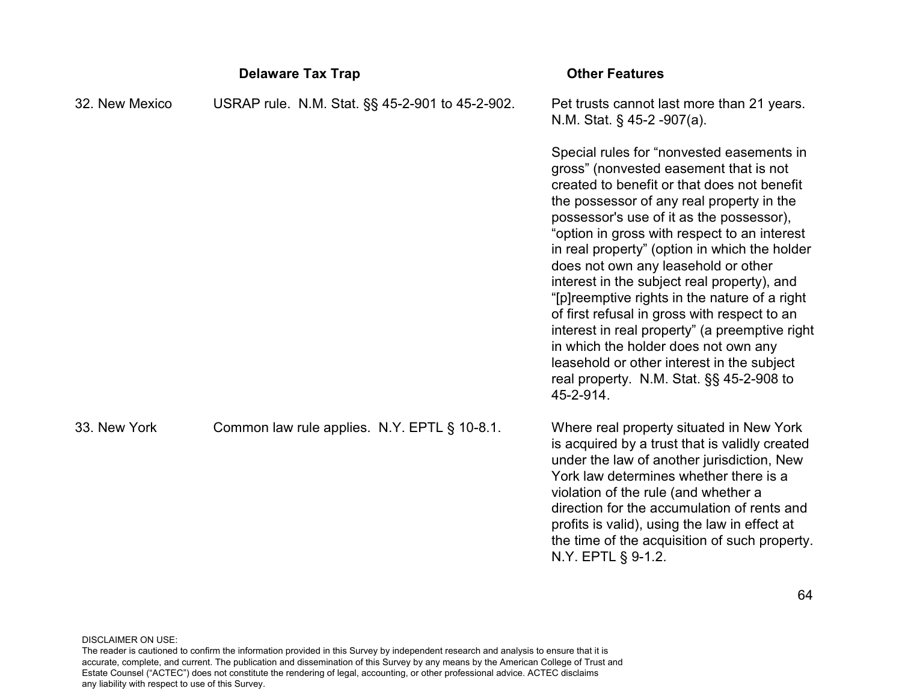|                | <b>Delaware Tax Trap</b>                        | <b>Other Features</b>                                                                                                                                                                                                                                                                                                                                                                                                                                                                                                                                                                                                                                                                                                |
|----------------|-------------------------------------------------|----------------------------------------------------------------------------------------------------------------------------------------------------------------------------------------------------------------------------------------------------------------------------------------------------------------------------------------------------------------------------------------------------------------------------------------------------------------------------------------------------------------------------------------------------------------------------------------------------------------------------------------------------------------------------------------------------------------------|
| 32. New Mexico | USRAP rule. N.M. Stat. §§ 45-2-901 to 45-2-902. | Pet trusts cannot last more than 21 years.<br>N.M. Stat. § 45-2 -907(a).                                                                                                                                                                                                                                                                                                                                                                                                                                                                                                                                                                                                                                             |
|                |                                                 | Special rules for "nonvested easements in<br>gross" (nonvested easement that is not<br>created to benefit or that does not benefit<br>the possessor of any real property in the<br>possessor's use of it as the possessor),<br>"option in gross with respect to an interest<br>in real property" (option in which the holder<br>does not own any leasehold or other<br>interest in the subject real property), and<br>"[p]reemptive rights in the nature of a right<br>of first refusal in gross with respect to an<br>interest in real property" (a preemptive right<br>in which the holder does not own any<br>leasehold or other interest in the subject<br>real property. N.M. Stat. §§ 45-2-908 to<br>45-2-914. |
| 33. New York   | Common law rule applies. N.Y. EPTL § 10-8.1.    | Where real property situated in New York<br>is acquired by a trust that is validly created<br>under the law of another jurisdiction, New<br>York law determines whether there is a<br>violation of the rule (and whether a<br>direction for the accumulation of rents and<br>profits is valid), using the law in effect at<br>the time of the acquisition of such property.<br>N.Y. EPTL § 9-1.2.                                                                                                                                                                                                                                                                                                                    |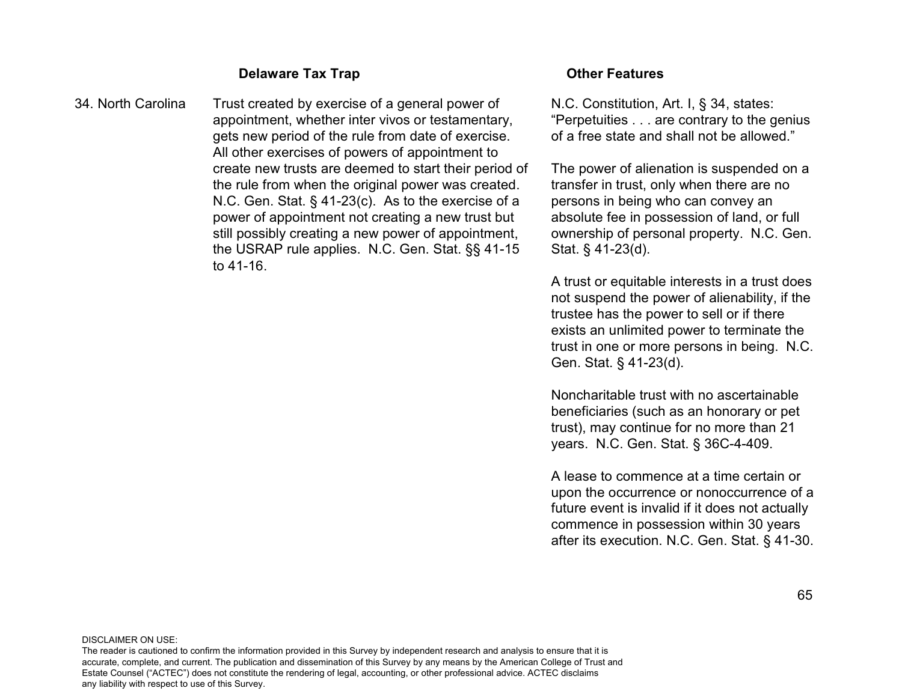# **Delaware Tax Trap CONSIDER ALCONSTRESS OF A CONSIDER AND THE PEATURES**

34. North Carolina Trust created by exercise of a general power of appointment, whether inter vivos or testamentary, gets new period of the rule from date of exercise. All other exercises of powers of appointment to create new trusts are deemed to start their period of the rule from when the original power was created. N.C. Gen. Stat. § 41-23(c). As to the exercise of a power of appointment not creating a new trust but still possibly creating a new power of appointment, the USRAP rule applies. N.C. Gen. Stat. §§ 41-15 to 41-16.

N.C. Constitution, Art. I, § 34, states: "Perpetuities . . . are contrary to the genius of a free state and shall not be allowed."

The power of alienation is suspended on a transfer in trust, only when there are no persons in being who can convey an absolute fee in possession of land, or full ownership of personal property. N.C. Gen. Stat. § 41-23(d).

A trust or equitable interests in a trust does not suspend the power of alienability, if the trustee has the power to sell or if there exists an unlimited power to terminate the trust in one or more persons in being. N.C. Gen. Stat. § 41-23(d).

Noncharitable trust with no ascertainable beneficiaries (such as an honorary or pet trust), may continue for no more than 21 years. N.C. Gen. Stat. § 36C-4-409.

A lease to commence at a time certain or upon the occurrence or nonoccurrence of a future event is invalid if it does not actually commence in possession within 30 years after its execution. N.C. Gen. Stat. § 41-30.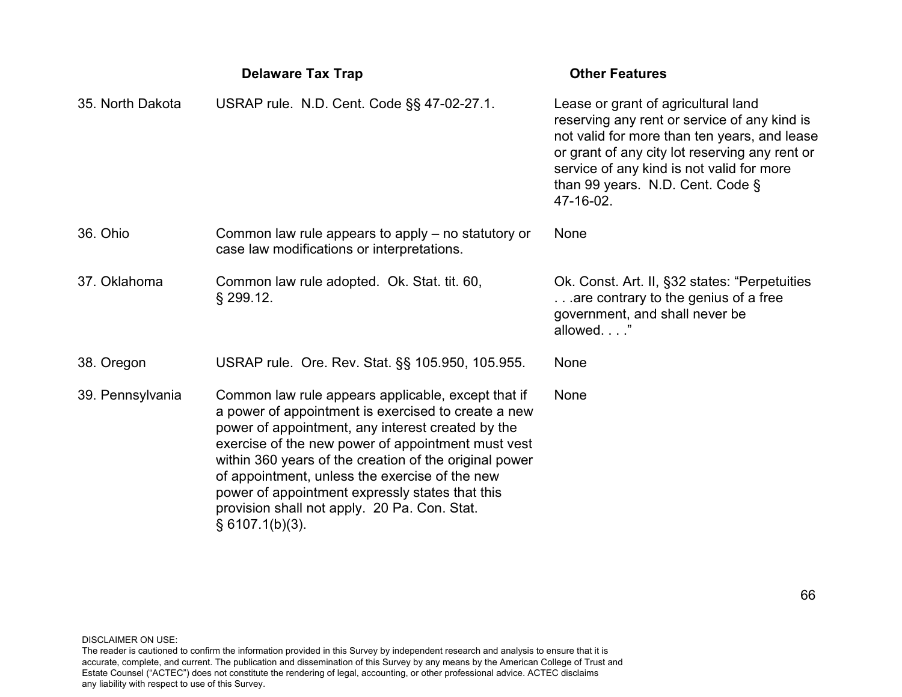|                  | <b>Delaware Tax Trap</b>                                                                                                                                                                                                                                                                                                                                                                                                                                  | <b>Other Features</b>                                                                                                                                                                                                                                                                  |
|------------------|-----------------------------------------------------------------------------------------------------------------------------------------------------------------------------------------------------------------------------------------------------------------------------------------------------------------------------------------------------------------------------------------------------------------------------------------------------------|----------------------------------------------------------------------------------------------------------------------------------------------------------------------------------------------------------------------------------------------------------------------------------------|
| 35. North Dakota | USRAP rule. N.D. Cent. Code §§ 47-02-27.1.                                                                                                                                                                                                                                                                                                                                                                                                                | Lease or grant of agricultural land<br>reserving any rent or service of any kind is<br>not valid for more than ten years, and lease<br>or grant of any city lot reserving any rent or<br>service of any kind is not valid for more<br>than 99 years. N.D. Cent. Code $\S$<br>47-16-02. |
| 36. Ohio         | Common law rule appears to apply – no statutory or<br>case law modifications or interpretations.                                                                                                                                                                                                                                                                                                                                                          | None                                                                                                                                                                                                                                                                                   |
| 37. Oklahoma     | Common law rule adopted. Ok. Stat. tit. 60,<br>$§$ 299.12.                                                                                                                                                                                                                                                                                                                                                                                                | Ok. Const. Art. II, §32 states: "Perpetuities<br>are contrary to the genius of a free<br>government, and shall never be<br>allowed"                                                                                                                                                    |
| 38. Oregon       | USRAP rule. Ore. Rev. Stat. §§ 105.950, 105.955.                                                                                                                                                                                                                                                                                                                                                                                                          | None                                                                                                                                                                                                                                                                                   |
| 39. Pennsylvania | Common law rule appears applicable, except that if<br>a power of appointment is exercised to create a new<br>power of appointment, any interest created by the<br>exercise of the new power of appointment must vest<br>within 360 years of the creation of the original power<br>of appointment, unless the exercise of the new<br>power of appointment expressly states that this<br>provision shall not apply. 20 Pa. Con. Stat.<br>$\S$ 6107.1(b)(3). | None                                                                                                                                                                                                                                                                                   |

66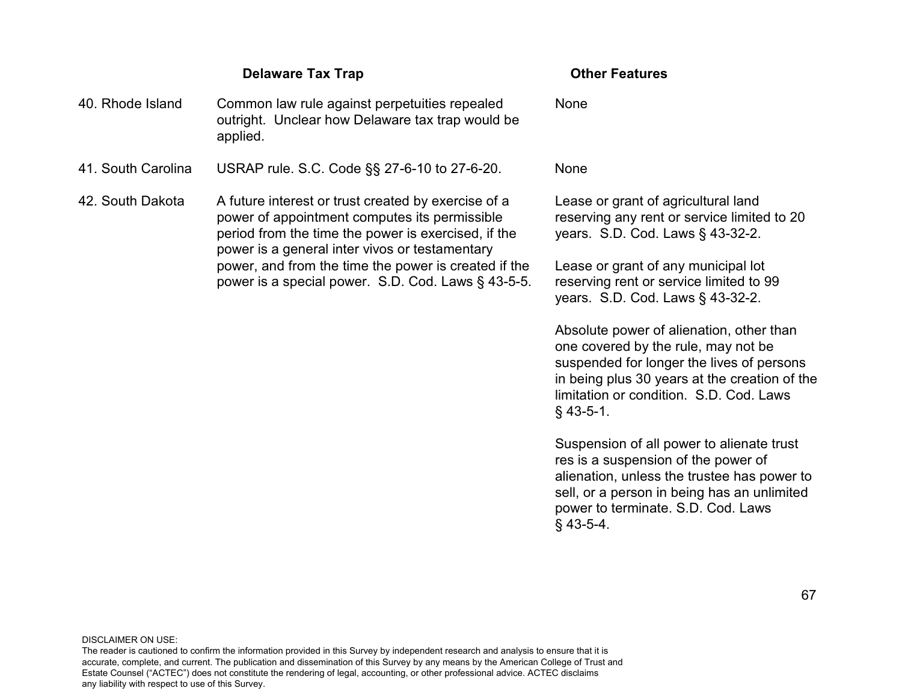|                    | <b>Delaware Tax Trap</b>                                                                                                                                                                                                                                                                                                    | <b>Other Features</b>                                                                                                                                                                                                                        |
|--------------------|-----------------------------------------------------------------------------------------------------------------------------------------------------------------------------------------------------------------------------------------------------------------------------------------------------------------------------|----------------------------------------------------------------------------------------------------------------------------------------------------------------------------------------------------------------------------------------------|
| 40. Rhode Island   | Common law rule against perpetuities repealed<br>outright. Unclear how Delaware tax trap would be<br>applied.                                                                                                                                                                                                               | None                                                                                                                                                                                                                                         |
| 41. South Carolina | USRAP rule. S.C. Code §§ 27-6-10 to 27-6-20.                                                                                                                                                                                                                                                                                | <b>None</b>                                                                                                                                                                                                                                  |
| 42. South Dakota   | A future interest or trust created by exercise of a<br>power of appointment computes its permissible<br>period from the time the power is exercised, if the<br>power is a general inter vivos or testamentary<br>power, and from the time the power is created if the<br>power is a special power. S.D. Cod. Laws § 43-5-5. | Lease or grant of agricultural land<br>reserving any rent or service limited to 20<br>years. S.D. Cod. Laws § 43-32-2.<br>Lease or grant of any municipal lot<br>reserving rent or service limited to 99<br>years. S.D. Cod. Laws § 43-32-2. |
|                    |                                                                                                                                                                                                                                                                                                                             | Absolute power of alienation, other than<br>one covered by the rule, may not be<br>suspended for longer the lives of persons<br>in being plus 30 years at the creation of the<br>limitation or condition. S.D. Cod. Laws<br>$§$ 43-5-1.      |

Suspension of all power to alienate trust res is a suspension of the power of alienation, unless the trustee has power to sell, or a person in being has an unlimited power to terminate. S.D. Cod. Laws § 43-5-4.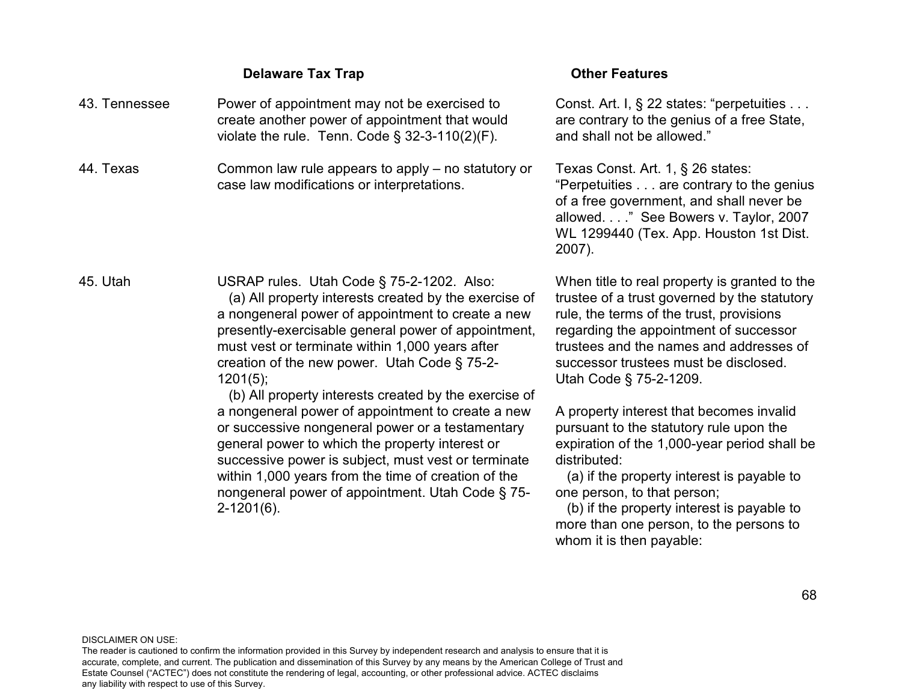### **Delaware Tax Trap COLOGITY CONSERVANTS Other Features** 43. Tennessee Power of appointment may not be exercised to create another power of appointment that would violate the rule. Tenn. Code  $\S$  32-3-110(2)(F). Const. Art. I, § 22 states: "perpetuities . . . are contrary to the genius of a free State, and shall not be allowed." 44. Texas Common law rule appears to apply – no statutory or case law modifications or interpretations. Texas Const. Art. 1, § 26 states: "Perpetuities . . . are contrary to the genius of a free government, and shall never be allowed. . . ." See Bowers v. Taylor, 2007 WL 1299440 (Tex. App. Houston 1st Dist. 2007). 45. Utah USRAP rules. Utah Code § 75-2-1202. Also: (a) All property interests created by the exercise of a nongeneral power of appointment to create a new presently-exercisable general power of appointment, must vest or terminate within 1,000 years after creation of the new power. Utah Code § 75-2- 1201(5); (b) All property interests created by the exercise of a nongeneral power of appointment to create a new or successive nongeneral power or a testamentary general power to which the property interest or successive power is subject, must vest or terminate within 1,000 years from the time of creation of the nongeneral power of appointment. Utah Code § 75- 2-1201(6). When title to real property is granted to the trustee of a trust governed by the statutory rule, the terms of the trust, provisions regarding the appointment of successor trustees and the names and addresses of successor trustees must be disclosed. Utah Code § 75-2-1209. A property interest that becomes invalid pursuant to the statutory rule upon the expiration of the 1,000-year period shall be distributed: (a) if the property interest is payable to one person, to that person; (b) if the property interest is payable to more than one person, to the persons to

The reader is cautioned to confirm the information provided in this Survey by independent research and analysis to ensure that it is accurate, complete, and current. The publication and dissemination of this Survey by any means by the American College of Trust and Estate Counsel ("ACTEC") does not constitute the rendering of legal, accounting, or other professional advice. ACTEC disclaims any liability with respect to use of this Survey.

whom it is then payable: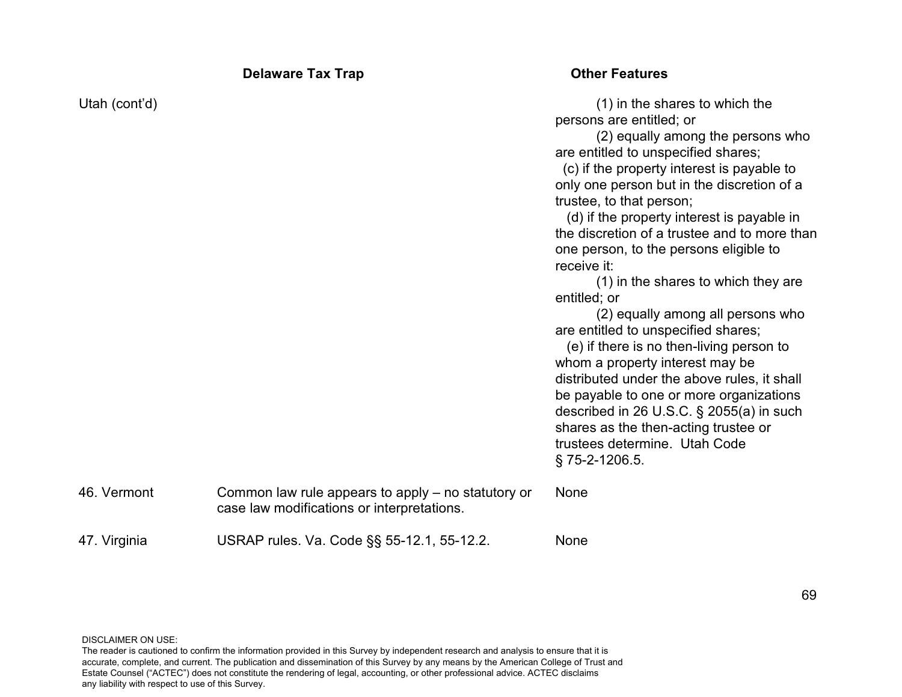| Utah (cont'd) |                                                                                                  | (1) in the shares to which the<br>persons are entitled; or<br>(2) equally among the persons who<br>are entitled to unspecified shares;<br>(c) if the property interest is payable to<br>only one person but in the discretion of a<br>trustee, to that person;<br>(d) if the property interest is payable in<br>the discretion of a trustee and to more than<br>one person, to the persons eligible to<br>receive it:<br>(1) in the shares to which they are<br>entitled; or<br>(2) equally among all persons who<br>are entitled to unspecified shares;<br>(e) if there is no then-living person to<br>whom a property interest may be<br>distributed under the above rules, it shall<br>be payable to one or more organizations<br>described in 26 U.S.C. $\S$ 2055(a) in such<br>shares as the then-acting trustee or<br>trustees determine. Utah Code<br>§75-2-1206.5. |
|---------------|--------------------------------------------------------------------------------------------------|----------------------------------------------------------------------------------------------------------------------------------------------------------------------------------------------------------------------------------------------------------------------------------------------------------------------------------------------------------------------------------------------------------------------------------------------------------------------------------------------------------------------------------------------------------------------------------------------------------------------------------------------------------------------------------------------------------------------------------------------------------------------------------------------------------------------------------------------------------------------------|
| 46. Vermont   | Common law rule appears to apply – no statutory or<br>case law modifications or interpretations. | None                                                                                                                                                                                                                                                                                                                                                                                                                                                                                                                                                                                                                                                                                                                                                                                                                                                                       |
| 47. Virginia  | USRAP rules. Va. Code §§ 55-12.1, 55-12.2.                                                       | None                                                                                                                                                                                                                                                                                                                                                                                                                                                                                                                                                                                                                                                                                                                                                                                                                                                                       |

**Delaware Tax Trap Other Features**

## DISCLAIMER ON USE: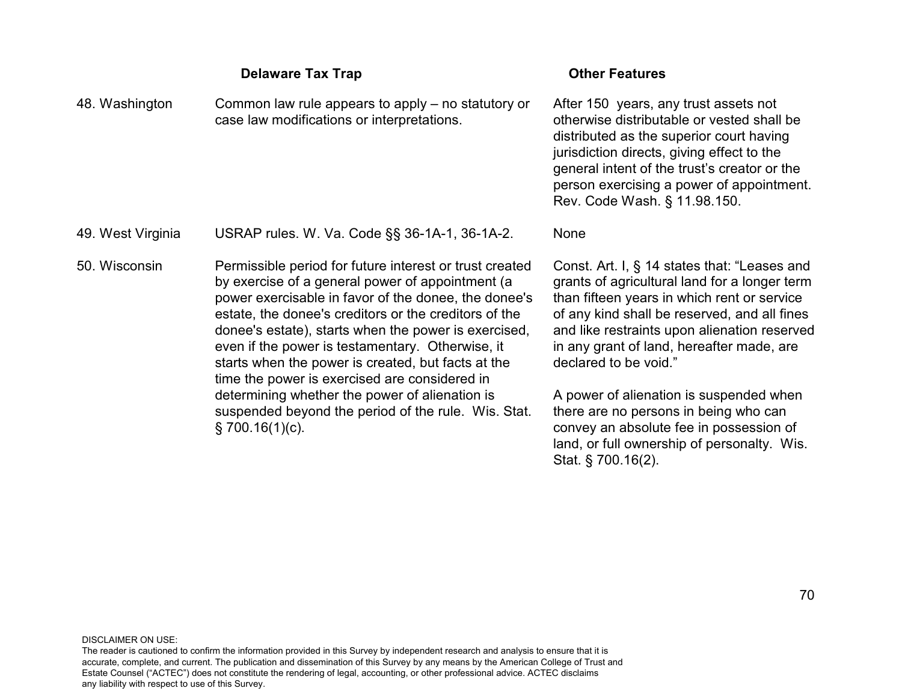|                   | <b>Delaware Tax Trap</b>                                                                                                                                                                                                                                                                                                                                                                                                                                                                                                                                                       | <b>Other Features</b>                                                                                                                                                                                                                                                                                                                                                                                                                                                                            |
|-------------------|--------------------------------------------------------------------------------------------------------------------------------------------------------------------------------------------------------------------------------------------------------------------------------------------------------------------------------------------------------------------------------------------------------------------------------------------------------------------------------------------------------------------------------------------------------------------------------|--------------------------------------------------------------------------------------------------------------------------------------------------------------------------------------------------------------------------------------------------------------------------------------------------------------------------------------------------------------------------------------------------------------------------------------------------------------------------------------------------|
| 48. Washington    | Common law rule appears to apply – no statutory or<br>case law modifications or interpretations.                                                                                                                                                                                                                                                                                                                                                                                                                                                                               | After 150 years, any trust assets not<br>otherwise distributable or vested shall be<br>distributed as the superior court having<br>jurisdiction directs, giving effect to the<br>general intent of the trust's creator or the<br>person exercising a power of appointment.<br>Rev. Code Wash. § 11.98.150.                                                                                                                                                                                       |
| 49. West Virginia | USRAP rules. W. Va. Code §§ 36-1A-1, 36-1A-2.                                                                                                                                                                                                                                                                                                                                                                                                                                                                                                                                  | None                                                                                                                                                                                                                                                                                                                                                                                                                                                                                             |
| 50. Wisconsin     | Permissible period for future interest or trust created<br>by exercise of a general power of appointment (a<br>power exercisable in favor of the donee, the donee's<br>estate, the donee's creditors or the creditors of the<br>donee's estate), starts when the power is exercised,<br>even if the power is testamentary. Otherwise, it<br>starts when the power is created, but facts at the<br>time the power is exercised are considered in<br>determining whether the power of alienation is<br>suspended beyond the period of the rule. Wis. Stat.<br>$\S$ 700.16(1)(c). | Const. Art. I, § 14 states that: "Leases and<br>grants of agricultural land for a longer term<br>than fifteen years in which rent or service<br>of any kind shall be reserved, and all fines<br>and like restraints upon alienation reserved<br>in any grant of land, hereafter made, are<br>declared to be void."<br>A power of alienation is suspended when<br>there are no persons in being who can<br>convey an absolute fee in possession of<br>land, or full ownership of personalty. Wis. |

Stat. § 700.16(2).

# DISCLAIMER ON USE: